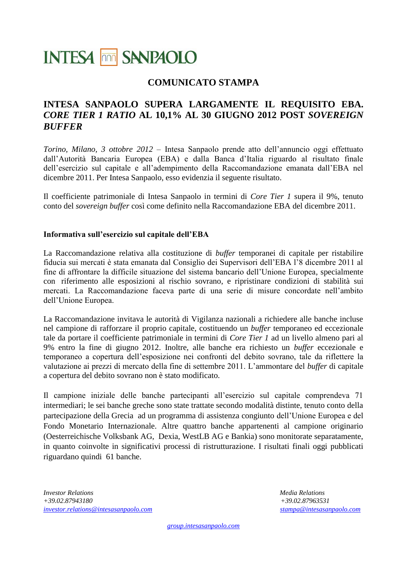# **INTESA MM SANPAOLO**

### **COMUNICATO STAMPA**

### **INTESA SANPAOLO SUPERA LARGAMENTE IL REQUISITO EBA.** *CORE TIER 1 RATIO* **AL 10,1% AL 30 GIUGNO 2012 POST** *SOVEREIGN BUFFER*

*Torino, Milano, 3 ottobre 2012 –* Intesa Sanpaolo prende atto dell'annuncio oggi effettuato dall'Autorità Bancaria Europea (EBA) e dalla Banca d'Italia riguardo al risultato finale dell'esercizio sul capitale e all'adempimento della Raccomandazione emanata dall'EBA nel dicembre 2011. Per Intesa Sanpaolo, esso evidenzia il seguente risultato.

Il coefficiente patrimoniale di Intesa Sanpaolo in termini di *Core Tier 1* supera il 9%, tenuto conto del *sovereign buffer* così come definito nella Raccomandazione EBA del dicembre 2011.

### **Informativa sull'esercizio sul capitale dell'EBA**

La Raccomandazione relativa alla costituzione di *buffer* temporanei di capitale per ristabilire fiducia sui mercati è stata emanata dal Consiglio dei Supervisori dell'EBA l'8 dicembre 2011 al fine di affrontare la difficile situazione del sistema bancario dell'Unione Europea, specialmente con riferimento alle esposizioni al rischio sovrano, e ripristinare condizioni di stabilità sui mercati. La Raccomandazione faceva parte di una serie di misure concordate nell'ambito dell'Unione Europea.

La Raccomandazione invitava le autorità di Vigilanza nazionali a richiedere alle banche incluse nel campione di rafforzare il proprio capitale, costituendo un *buffer* temporaneo ed eccezionale tale da portare il coefficiente patrimoniale in termini di *Core Tier 1* ad un livello almeno pari al 9% entro la fine di giugno 2012. Inoltre, alle banche era richiesto un *buffer* eccezionale e temporaneo a copertura dell'esposizione nei confronti del debito sovrano, tale da riflettere la valutazione ai prezzi di mercato della fine di settembre 2011. L'ammontare del *buffer* di capitale a copertura del debito sovrano non è stato modificato.

Il campione iniziale delle banche partecipanti all'esercizio sul capitale comprendeva 71 intermediari; le sei banche greche sono state trattate secondo modalità distinte, tenuto conto della partecipazione della Grecia ad un programma di assistenza congiunto dell'Unione Europea e del Fondo Monetario Internazionale. Altre quattro banche appartenenti al campione originario (Oesterreichische Volksbank AG, Dexia, WestLB AG e Bankia) sono monitorate separatamente, in quanto coinvolte in significativi processi di ristrutturazione. I risultati finali oggi pubblicati riguardano quindi 61 banche.

*Investor Relations Media Relations +39.02.87943180 +39.02.87963531 [investor.relations@intesasanpaolo.com](mailto:investor.relations@intesasanpaolo.com) [stampa@intesasanpaolo.com](mailto:stampa@intesasanpaolo.com)*

*[group.intesasanpaolo.com](http://www.group.intesasanpaolo.com/)*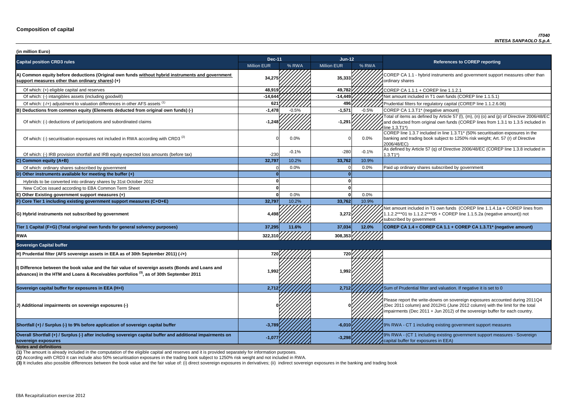**P CA 1.1 - hybrid instruments and government support measures other than** ry shares

of which: filters for regulatory capital (COREP line 1.1.2.6.06)

of items as defined by Article 57 (I),  $(m)$ ,  $(n)$  (o) and  $(p)$  of Directive 2006/48/EC educted from original own funds (COREP lines from 1.3.1 to 1.3.5 included in  $3.71^*$ 

 $\overline{C}$  line 1.3.7 included in line 1.3.T1\* (50% securitisation exposures in the g and trading book subject to 1250% risk weight; Art. 57 (r) of Directive 8/EC)

of which: IRB provided and IRB provided in and IRB equity expected and IRB equity expected in the tax of Directive 2006/48/EC (COREP line 1.3.8 included in

nount included in T1 own funds (COREP line 1.1.4.1a + COREP lines from  $2***01$  to 1.1.2.2\*\*\*05 + COREP line 1.1.5.2a (negative amount)) not ibed by government

**P CA 1.4 = COREP CA 1.1 + COREP CA 1.3.T1<sup>\*</sup> (negative amount)** 

report the write-downs on sovereign exposures accounted during 2011Q4 (011 column) and 2012H1 (June 2012 column) with the limit for the total ments (Dec 2011 + Jun 2012) of the sovereign buffer for each country.

**A** - CT 1 including existing government support measures

**A** - (CT 1 including existing government support measures - Sovereign buffer for exposures in EEA)

| (in million Euro)                                                                                                                                                                                      |                    |         |                    |         |                                                                                                                                                                                   |
|--------------------------------------------------------------------------------------------------------------------------------------------------------------------------------------------------------|--------------------|---------|--------------------|---------|-----------------------------------------------------------------------------------------------------------------------------------------------------------------------------------|
| <b>Capital position CRD3 rules</b>                                                                                                                                                                     | <b>Dec-11</b>      |         | $Jun-12$           |         | <b>References to COREP reporting</b>                                                                                                                                              |
|                                                                                                                                                                                                        | <b>Million EUR</b> | % RWA   | <b>Million EUR</b> | % RWA   |                                                                                                                                                                                   |
| A) Common equity before deductions (Original own funds without hybrid instruments and government<br>support measures other than ordinary shares) (+)                                                   | 34,275             |         | 35,333             |         | COREP CA 1.1 - hybrid instruments and government suppo<br>ordinary shares                                                                                                         |
| Of which: (+) eligible capital and reserves                                                                                                                                                            | 48,919             |         | 49,782             |         | COREP CA 1.1.1 + COREP line 1.1.2.1                                                                                                                                               |
| Of which: (-) intangibles assets (including goodwill)                                                                                                                                                  | $-14,644$          |         | $-14,449$          |         | Net amount included in T1 own funds (COREP line 1.1.5.1)                                                                                                                          |
| Of which: (-/+) adjustment to valuation differences in other AFS assets (1)                                                                                                                            | $62^{\circ}$       |         | 496                |         | Prudential filters for regulatory capital (COREP line 1.1.2.6.                                                                                                                    |
| B) Deductions from common equity (Elements deducted from original own funds) (-)                                                                                                                       | $-1,478$           | $-0.5%$ | $-1,571$           | $-0.5%$ | COREP CA 1.3.T1* (negative amount)                                                                                                                                                |
| Of which: (-) deductions of participations and subordinated claims                                                                                                                                     | $-1,248$           |         | $-1,291$           |         | Total of items as defined by Article 57 (I), (m), (n) (o) and (p<br>and deducted from original own funds (COREP lines from 1<br>line 1.3.T1*)                                     |
| Of which: (-) securitisation exposures not included in RWA according with CRD3 <sup>(2)</sup>                                                                                                          |                    | 0.0%    |                    | 0.0%    | COREP line 1.3.7 included in line 1.3.T1* (50% securitisation<br>banking and trading book subject to 1250% risk weight; Art.<br>2006/48/EC)                                       |
| Of which: (-) IRB provision shortfall and IRB equity expected loss amounts (before tax)                                                                                                                | $-230$             | $-0.1%$ | $-280$             | $-0.1%$ | As defined by Article 57 (q) of Directive 2006/48/EC (CORE<br>$1.3.T1*)$                                                                                                          |
| C) Common equity (A+B)                                                                                                                                                                                 | 32,797             | 10.2%   | 33,762             | 10.9%   |                                                                                                                                                                                   |
| Of which: ordinary shares subscribed by government                                                                                                                                                     |                    | 0.0%    |                    | 0.0%    | Paid up ordinary shares subscribed by government                                                                                                                                  |
| D) Other instruments available for meeting the buffer (+)                                                                                                                                              |                    |         |                    |         |                                                                                                                                                                                   |
| Hybrids to be converted into ordinary shares by 31st October 2012                                                                                                                                      |                    |         |                    |         |                                                                                                                                                                                   |
| New CoCos issued according to EBA Common Term Sheet                                                                                                                                                    |                    |         |                    |         |                                                                                                                                                                                   |
| E) Other Existing government support measures (+)                                                                                                                                                      |                    | 0.0%    |                    | 0.0%    |                                                                                                                                                                                   |
| F) Core Tier 1 including existing government support measures (C+D+E)                                                                                                                                  | 32,797             | 10.2%   | 33,762             | 10.9%   |                                                                                                                                                                                   |
| G) Hybrid instruments not subscribed by government                                                                                                                                                     | 4,498              |         | 3,272              |         | Net amount included in T1 own funds (COREP line 1.1.4.1a<br>1.1.2.2***01 to 1.1.2.2***05 + COREP line 1.1.5.2a (negativ<br>subscribed by government                               |
| Tier 1 Capital (F+G) (Total original own funds for general solvency purposes)                                                                                                                          | 37,295             | 11.6%   | 37,034             | 12.0%   | COREP CA 1.4 = COREP CA 1.1 + COREP CA 1.3.T1* (ne                                                                                                                                |
| <b>RWA</b>                                                                                                                                                                                             | 322,310            |         | 308,353            |         |                                                                                                                                                                                   |
| <b>Sovereign Capital buffer</b>                                                                                                                                                                        |                    |         |                    |         |                                                                                                                                                                                   |
| H) Prudential filter (AFS sovereign assets in EEA as of 30th September 2011) (-/+)                                                                                                                     | 720                |         |                    |         |                                                                                                                                                                                   |
| I) Difference between the book value and the fair value of sovereign assets (Bonds and Loans and<br>advances) in the HTM and Loans & Receivables portfolios <sup>(3)</sup> , as of 30th September 2011 | 1,992              |         | 1,992              |         |                                                                                                                                                                                   |
| Sovereign capital buffer for exposures in EEA (H+I)                                                                                                                                                    | 2,712              |         | 2,712              |         | Sum of Prudential filter and valuation. If negative it is set to                                                                                                                  |
| (J) Additional impairments on sovereign exposures (-)                                                                                                                                                  |                    |         |                    |         | Please report the write-downs on sovereign exposures acco<br>(Dec 2011 column) and 2012H1 (June 2012 column) with th<br>impairments (Dec 2011 + Jun 2012) of the sovereign buffer |
| Shortfall (+) / Surplus (-) to 9% before application of sovereign capital buffer                                                                                                                       | $-3,789$           |         | $-6,010$           |         | 9% RWA - CT 1 including existing government support mea                                                                                                                           |
| Overall Shortfall (+) / Surplus (-) after including sovereign capital buffer and additional impairments on<br>sovereign exposures<br><b>Notes and definitions</b>                                      | $-1,07$            |         | $-3,298$           |         | 9% RWA - (CT 1 including existing government support mea<br>capital buffer for exposures in EEA)                                                                                  |

**(2)** According with CRD3 it can include also 50% securitisation exposures in the trading book subject to 1250% risk weight and not included in RWA.

(3) It includes also possible differences between the book value and the fair value of: (i) direct sovereign exposures in derivatives; (ii) indirect sovereign exposures in the banking and trading book

**(1)** The amount is already included in the computation of the eligible capital and reserves and it is provided separately for information purposes.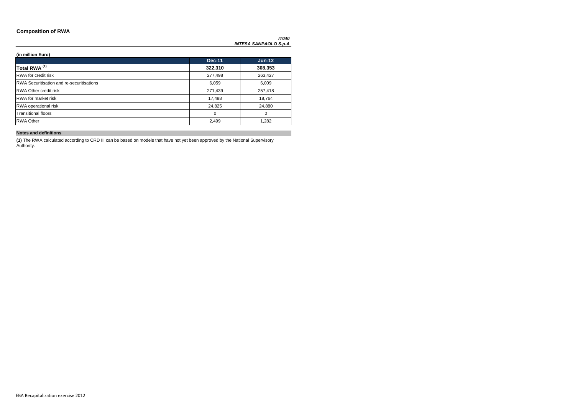### **Composition of RWA**

*IT040 INTESA SANPAOLO S.p.A*

**(in million Euro)**

|                                                  | <b>Dec-11</b> | $Jun-12$ |
|--------------------------------------------------|---------------|----------|
| Total RWA <sup>(1)</sup>                         | 322,310       | 308,353  |
| <b>RWA</b> for credit risk                       | 277,498       | 263,427  |
| <b>RWA Securitisation and re-securitisations</b> | 6,059         | 6,009    |
| <b>RWA Other credit risk</b>                     | 271,439       | 257,418  |
| <b>RWA</b> for market risk                       | 17,488        | 18,764   |
| RWA operational risk                             | 24,825        | 24,880   |
| <b>Transitional floors</b>                       | 0             | 0        |
| <b>RWA Other</b>                                 | 2,499         | 1,282    |

### **Notes and definitions**

**(1)** The RWA calculated according to CRD III can be based on models that have not yet been approved by the National Supervisory Authority.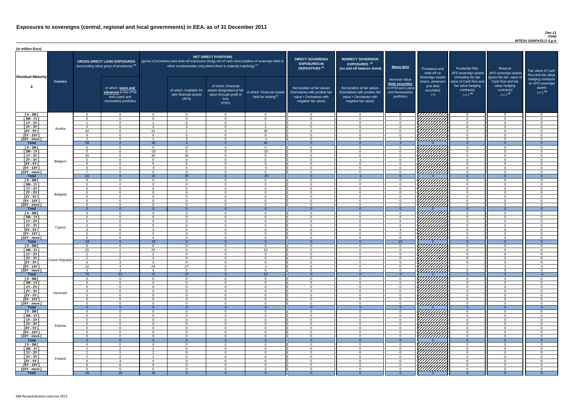### *Dec-11 IT040 INTESA SANPAOLO S.p.A*

| (in million Euro)                      |                |                      |                                                                                             |                          |                                                           |                                                                                                           |                                                                                                     |                                                                                                                    |                                                                                                                    |                                                                                              |                                                                          |                                                                                                             |                                                                                                         |                                          |
|----------------------------------------|----------------|----------------------|---------------------------------------------------------------------------------------------|--------------------------|-----------------------------------------------------------|-----------------------------------------------------------------------------------------------------------|-----------------------------------------------------------------------------------------------------|--------------------------------------------------------------------------------------------------------------------|--------------------------------------------------------------------------------------------------------------------|----------------------------------------------------------------------------------------------|--------------------------------------------------------------------------|-------------------------------------------------------------------------------------------------------------|---------------------------------------------------------------------------------------------------------|------------------------------------------|
|                                        |                |                      | <b>GROSS DIRECT LONG EXPOSURES</b><br>(accounting value gross of provisions) <sup>(1)</sup> |                          |                                                           | <b>NET DIRECT POSITIONS</b><br>other counterparties only where there is maturity matching) <sup>(1)</sup> | (gross of provisions and write-off exposures (long) net of cash short position of sovereign debt to | <b>DIRECT SOVEREIGN</b><br><b>EXPOSURES IN</b><br><b>DERIVATIVES (1)</b>                                           | <b>INDIRECT SOVEREIGN</b><br><b>EXPOSURES<sup>(3)</sup></b><br>(on and off balance sheet)                          | Memo Item                                                                                    | Provisions and<br>write-off on                                           | <b>Prudential filter</b><br>AFS sovereign assets                                                            | Reserve<br>AFS sovereign assets                                                                         | Fair value<br>flow and f                 |
| <b>Residual Maturity</b>               | <b>Country</b> |                      | of which: loans and<br>advances in the HTM<br>and Loans and<br>receivables portfolios       |                          | of which: Available for<br>sale financial assets<br>(AFS) | of which: Financial<br>assets designated at fair<br>value through profit or<br>loss<br>(FVO)              | of which: Financial assets<br>held for trading $(2)$                                                | Net position at fair values<br>(Derivatives with positive fair<br>value + Derivatives with<br>negative fair value) | Net position at fair values<br>(Derivatives with positive fair<br>value + Derivatives with<br>negative fair value) | <b>Nominal Value</b><br>Debt securities<br>in HTM and Loans<br>and Receivables<br>portfolios | Sovereign assets<br>(loans, advances<br>and debt<br>securities)<br>$(+)$ | (including the fair<br>value of Cash flow and<br>fair value hedging<br>contracts)<br>$(+/-)$ <sup>(4)</sup> | (gross the fair value of<br>Cash flow and fair<br>value hedging<br>contracts)<br>$(+/-)$ <sup>(4)</sup> | hedging c<br>on AFS so<br>ass<br>$(+/-)$ |
| $[0 - 3M]$                             |                | $\cap$               | $\overline{0}$                                                                              | - 0                      | $\Omega$                                                  | $\overline{0}$                                                                                            | $\overline{0}$                                                                                      | $\overline{0}$                                                                                                     | റ                                                                                                                  | $\Omega$                                                                                     | <i>77777777</i> 77                                                       | റ                                                                                                           | $\overline{0}$                                                                                          |                                          |
| $[3M - 1Y]$                            |                | $\Omega$             | $\Omega$                                                                                    | $\Omega$                 | $\Omega$<br>$\cap$                                        | $\Omega$                                                                                                  | $\Omega$                                                                                            | $\Omega$                                                                                                           | $\cap$<br>$\cap$                                                                                                   | $\mathbf 0$                                                                                  |                                                                          | $\cap$                                                                                                      | $\overline{0}$                                                                                          |                                          |
| $[1Y - 2Y]$<br>$[2Y - 3Y]$             |                |                      | $\Omega$<br>$\Omega$                                                                        | $\boldsymbol{\varDelta}$ | $\mathcal{R}$                                             | $\Omega$<br>$\Omega$                                                                                      |                                                                                                     | $\Omega$<br>$\Omega$                                                                                               |                                                                                                                    | $\Omega$<br>$\Omega$                                                                         |                                                                          | $\cap$<br>$\Omega$                                                                                          | $\Omega$<br>$\Omega$                                                                                    |                                          |
| $[3Y - 5Y]$                            | Austria        | 42                   | $\Omega$                                                                                    | 31                       |                                                           | $\Omega$                                                                                                  | 30                                                                                                  | $\overline{0}$                                                                                                     | $\Omega$                                                                                                           | $\overline{0}$                                                                               | HATHA SAN                                                                | $\cap$                                                                                                      | $\Omega$                                                                                                |                                          |
| [5Y - 10Y [                            |                | $\Omega$             | $\Omega$                                                                                    | $\alpha$                 | $\Omega$                                                  | $\Omega$                                                                                                  | <b>Q</b>                                                                                            | $\Omega$                                                                                                           | $\cap$                                                                                                             | റ                                                                                            |                                                                          | $\cap$                                                                                                      | $\Omega$                                                                                                |                                          |
| [10Y - more [<br><b>Total</b>          |                | $\mathcal{D}$<br>58  | $\Omega$<br>$\cap$                                                                          | 46                       | $\cap$                                                    | $\Omega$<br>- 0                                                                                           | $-1$<br>40                                                                                          | $\Omega$                                                                                                           | $\cap$<br>$\cap$                                                                                                   | 3                                                                                            |                                                                          | $\cap$<br>$\cap$                                                                                            | $\Omega$                                                                                                |                                          |
| $[0 - 3M]$                             |                | $\Omega$             | $\Omega$                                                                                    | $\Omega$                 | $\Omega$                                                  | $\Omega$                                                                                                  | $\overline{0}$                                                                                      | $\Omega$                                                                                                           | $\Omega$                                                                                                           | $\overline{0}$                                                                               |                                                                          | $\Omega$                                                                                                    | $\overline{0}$                                                                                          |                                          |
| $[3M - 1Y]$                            |                | $\Omega$             | $\Omega$                                                                                    | $-20$                    | $\Omega$                                                  | $\Omega$                                                                                                  | $-20$                                                                                               | $\Omega$                                                                                                           | $\Omega$                                                                                                           | $\overline{0}$                                                                               | THAT A                                                                   | $\Omega$                                                                                                    | $\overline{0}$                                                                                          |                                          |
| $[1Y - 2Y]$                            |                | 30                   | $\overline{0}$                                                                              | 30                       | 30                                                        | $\Omega$                                                                                                  | $\overline{0}$                                                                                      | $\overline{0}$                                                                                                     | $\Omega$                                                                                                           | $\overline{0}$                                                                               |                                                                          | $\Omega$                                                                                                    | $\overline{0}$                                                                                          |                                          |
| $[2Y - 3Y]$<br>$[3Y - 5Y]$             | Belgium        | $\Omega$             | $\Omega$<br>$\Omega$                                                                        | $\Omega$<br>-5           | $\Omega$<br>5                                             | $\Omega$<br>$\Omega$                                                                                      | $\overline{0}$<br>$\overline{0}$                                                                    | $\Omega$<br>$\Omega$                                                                                               | $-1$<br>$\Omega$                                                                                                   | $\overline{0}$<br>$\Omega$                                                                   |                                                                          | $\Omega$<br>$\cap$                                                                                          | $\overline{0}$<br>$\Omega$                                                                              |                                          |
| $[5Y - 10Y]$                           |                |                      | $\Omega$                                                                                    | $-5$                     | $\Omega$                                                  | $\Omega$                                                                                                  | $-5$                                                                                                | $\Omega$                                                                                                           |                                                                                                                    | $\Omega$                                                                                     |                                                                          |                                                                                                             | $\Omega$                                                                                                |                                          |
| [10Y - more [                          |                |                      | $\Omega$                                                                                    | -5                       | $\cap$                                                    | $\Omega$                                                                                                  | -5                                                                                                  | $\Omega$                                                                                                           | റ                                                                                                                  | $\Omega$                                                                                     |                                                                          | $\cap$                                                                                                      | $\Omega$                                                                                                |                                          |
| <b>Total</b>                           |                | 43                   | $\Omega$                                                                                    | 15                       | 35                                                        | $\Omega$                                                                                                  | $-20$                                                                                               | $\Omega$                                                                                                           | $-1$                                                                                                               | $\overline{0}$                                                                               |                                                                          | $\Omega$                                                                                                    | $\Omega$                                                                                                |                                          |
| $[0 - 3M]$<br>$[3M - 1Y]$              |                | $\Omega$<br>$\cap$   | $\Omega$<br>$\Omega$                                                                        | $\Omega$<br>$\Omega$     | $\Omega$<br>- റ                                           | $\Omega$<br>$\Omega$                                                                                      | $\overline{0}$<br>$\Omega$                                                                          | $\Omega$<br>$\Omega$                                                                                               | $\Omega$<br>$\Omega$                                                                                               | $\Omega$<br>$\Omega$                                                                         | WITHAN                                                                   | $\Omega$<br>$\cap$                                                                                          | $\Omega$<br>$\Omega$                                                                                    |                                          |
| $[1Y - 2Y]$                            |                | $\cap$               | $\Omega$                                                                                    | $\cap$                   | $\cap$                                                    | $\Omega$                                                                                                  | $\Omega$                                                                                            | $\Omega$                                                                                                           | $\cap$                                                                                                             | $\Omega$                                                                                     |                                                                          | $\cap$                                                                                                      | $\Omega$                                                                                                |                                          |
| $[2Y - 3Y]$                            | Bulgaria       | $\Omega$             | $\Omega$                                                                                    | $\Omega$                 | $\Omega$                                                  | $\Omega$                                                                                                  | $\Omega$                                                                                            | $\Omega$                                                                                                           | $\cap$                                                                                                             | $\cap$                                                                                       |                                                                          | $\cap$                                                                                                      | $\overline{0}$                                                                                          |                                          |
| [3Y - 5Y                               |                |                      |                                                                                             |                          |                                                           |                                                                                                           |                                                                                                     |                                                                                                                    |                                                                                                                    |                                                                                              | VH,                                                                      |                                                                                                             |                                                                                                         |                                          |
| $[5Y - 10Y]$<br>[10Y - more [          |                | $\cap$<br>$\cap$     | $\Omega$<br>$\Omega$                                                                        | $\Omega$<br>$\Omega$     | $\Omega$<br>$\Omega$                                      | $\Omega$<br>$\Omega$                                                                                      | $\Omega$<br>$\Omega$                                                                                | $\Omega$<br>$\Omega$                                                                                               | റ                                                                                                                  | $\Omega$<br>$\Omega$                                                                         | <u>HHHHH</u>                                                             | $\cap$<br>$\cap$                                                                                            | $\Omega$<br>$\Omega$                                                                                    |                                          |
| <b>Total</b>                           |                | $\Omega$             | $\Omega$                                                                                    | - 0                      | $\Omega$                                                  | <u>_ N</u>                                                                                                | $\Omega$                                                                                            |                                                                                                                    |                                                                                                                    | $\Omega$                                                                                     |                                                                          |                                                                                                             | $\Omega$                                                                                                |                                          |
| $[0 - 3M]$                             |                |                      | $\Omega$                                                                                    | $\Omega$                 | $\Omega$                                                  | $\Omega$                                                                                                  | $\Omega$                                                                                            | $\Omega$                                                                                                           |                                                                                                                    | $\cap$                                                                                       |                                                                          |                                                                                                             | $\Omega$                                                                                                |                                          |
| $[3M - 1Y]$                            |                |                      | $\Omega$                                                                                    | ĥ                        | $\Omega$                                                  | $\Omega$                                                                                                  | $\Omega$                                                                                            | $\Omega$                                                                                                           |                                                                                                                    |                                                                                              | <i>ШШШ</i>                                                               |                                                                                                             | $\Omega$                                                                                                |                                          |
| $\sqrt{1Y-2Y}$<br>$\overline{[2Y-3Y]}$ |                |                      | - 0<br>$\Omega$                                                                             |                          | $\cap$<br>$\Omega$                                        | -0<br>$\Omega$                                                                                            | $\Omega$<br>$\Omega$                                                                                | $\Omega$<br>$\Omega$                                                                                               |                                                                                                                    |                                                                                              | HHHH                                                                     |                                                                                                             | $\Omega$<br>$\Omega$                                                                                    |                                          |
| $[3Y - 5Y]$                            | Cyprus         |                      | $\Omega$                                                                                    | $\mathbf{B}$             | $\Omega$                                                  | $\Omega$                                                                                                  | $\Omega$                                                                                            | $\Omega$                                                                                                           |                                                                                                                    |                                                                                              |                                                                          | $\cap$                                                                                                      | $\Omega$                                                                                                |                                          |
| $[5Y - 10Y]$                           |                |                      | $\Omega$                                                                                    | $\Omega$                 | $\Omega$                                                  | $\Omega$                                                                                                  | $\Omega$                                                                                            | $\Omega$                                                                                                           |                                                                                                                    | $\cap$                                                                                       | HAHA                                                                     |                                                                                                             | $\Omega$                                                                                                |                                          |
| [10Y - more [<br><b>Total</b>          |                | $\cap$               | $\Omega$<br>- റ                                                                             | $\Omega$                 | $\Omega$<br>$\Omega$                                      | $\cap$                                                                                                    | $\Omega$                                                                                            | $\Omega$                                                                                                           |                                                                                                                    | $\cap$<br>$\overline{22}$                                                                    |                                                                          | $\cap$<br>$\Omega$                                                                                          | $\Omega$                                                                                                |                                          |
| $[0 - 3M]$                             |                | 19                   | -6                                                                                          | 19<br>-6                 | $\Omega$                                                  | $\Omega$                                                                                                  | $\Omega$                                                                                            | $\Omega$                                                                                                           |                                                                                                                    | $\Omega$                                                                                     |                                                                          | $\cap$                                                                                                      | $\Omega$                                                                                                |                                          |
| $\sqrt{3M-1Y}$                         |                | 25                   | 2                                                                                           | 25                       | $\Omega$                                                  | $\Omega$                                                                                                  | 23                                                                                                  | $\Omega$                                                                                                           | $\Omega$                                                                                                           | $\overline{0}$                                                                               | THAMA<br>HAMA                                                            | $\Omega$                                                                                                    | $\Omega$                                                                                                |                                          |
| $[1Y - 2Y]$                            |                | $\overline{2}$       | $\mathcal{P}$                                                                               | $\overline{2}$           | $\Omega$                                                  | $\Omega$                                                                                                  | $\overline{0}$                                                                                      | $\Omega$                                                                                                           | $\Omega$                                                                                                           | $\Omega$                                                                                     |                                                                          | $\Omega$                                                                                                    | $\Omega$                                                                                                |                                          |
| $\overline{[2Y-3Y]}$<br>$[3Y - 5Y]$    | Czech Republic | $\mathcal{L}$        | $\mathcal{D}$                                                                               | $\overline{2}$           | $\Omega$                                                  | $\Omega$                                                                                                  | $\overline{0}$                                                                                      | $\Omega$                                                                                                           |                                                                                                                    | $\Omega$                                                                                     |                                                                          |                                                                                                             | $\Omega$                                                                                                |                                          |
| $[5Y - 10Y]$                           |                | 32                   | 3<br>-4                                                                                     | -3<br>29                 | $\overline{0}$<br>27                                      | $\Omega$<br>- റ                                                                                           | $\overline{0}$<br>$-1$                                                                              | $\Omega$<br>$\Omega$                                                                                               |                                                                                                                    | $\Omega$<br>$\Omega$                                                                         |                                                                          |                                                                                                             | $\mathbf 0$<br>વ                                                                                        |                                          |
| [10Y - more [                          |                |                      | $\overline{4}$                                                                              | $\boldsymbol{\varDelta}$ | $\Omega$                                                  | $\Omega$                                                                                                  | $\Omega$                                                                                            | $\Omega$                                                                                                           |                                                                                                                    | $\cap$                                                                                       |                                                                          |                                                                                                             | $\Omega$                                                                                                |                                          |
| <b>Total</b>                           |                | 75                   | 23                                                                                          | 71                       | 27                                                        | - 0                                                                                                       | 22                                                                                                  |                                                                                                                    |                                                                                                                    | $\Omega$                                                                                     |                                                                          |                                                                                                             | 3                                                                                                       |                                          |
| $[0 - 3M]$                             |                | $\cap$<br>$\cap$     | $\Omega$                                                                                    | $\Omega$<br>- റ          | - 0<br>$\cap$                                             | $\Omega$<br>$\Omega$                                                                                      | $\overline{0}$<br>$\Omega$                                                                          | $\Omega$<br>$\Omega$                                                                                               | റ<br>റ                                                                                                             | $\Omega$<br>$\Omega$                                                                         |                                                                          | $\cap$<br>$\cap$                                                                                            | $\Omega$<br>$\Omega$                                                                                    |                                          |
| $[3M - 1Y]$<br>$[1Y - 2Y]$             |                | $\cap$               | $\Omega$<br>$\overline{0}$                                                                  | - 0                      | $\overline{0}$                                            | $\Omega$                                                                                                  | $\overline{0}$                                                                                      | $\Omega$                                                                                                           | $\cap$                                                                                                             | $\Omega$                                                                                     | HANA<br>HANA                                                             | $\cap$                                                                                                      | $\overline{0}$                                                                                          |                                          |
| $\overline{[2Y-3Y]}$                   | Denmark        | $\cap$               | $\Omega$                                                                                    | $\Omega$                 | $\Omega$                                                  | $\Omega$                                                                                                  | $\Omega$                                                                                            | $\Omega$                                                                                                           | $\cap$                                                                                                             | $\Omega$                                                                                     |                                                                          | $\cap$                                                                                                      | $\Omega$                                                                                                |                                          |
| $[3Y - 5Y]$                            |                | $\cap$               | $\Omega$                                                                                    | - റ                      | $\cap$                                                    | $\Omega$                                                                                                  | $\overline{0}$                                                                                      | $\Omega$                                                                                                           | $\Omega$                                                                                                           | $\Omega$                                                                                     |                                                                          | $\Omega$                                                                                                    | $\overline{0}$                                                                                          |                                          |
| $[5Y - 10Y]$<br>[10Y - more            |                | $\Omega$<br>$\Omega$ | $\Omega$<br>$\Omega$                                                                        | $\Omega$<br>- 0          | $\Omega$<br>$\Omega$                                      | $\Omega$<br>$\Omega$                                                                                      | $\overline{0}$<br>$\Omega$                                                                          | $\Omega$<br>$\Omega$                                                                                               | $\Omega$<br>$\Omega$                                                                                               | $\overline{0}$<br>$\Omega$                                                                   | 7777777777                                                               | $\Omega$<br>$\cap$                                                                                          | $\Omega$<br>$\Omega$                                                                                    |                                          |
| <b>Total</b>                           |                | $\overline{0}$       | $\Omega$                                                                                    | - 0                      | $\Omega$                                                  | $\Omega$                                                                                                  | $\Omega$                                                                                            |                                                                                                                    | $\Omega$                                                                                                           | $\Omega$                                                                                     |                                                                          | $\Omega$                                                                                                    | $\Omega$                                                                                                |                                          |
| $[0 - 3M]$                             |                | $\cap$               | $\Omega$                                                                                    | $\Omega$                 | $\Omega$                                                  | $\Omega$                                                                                                  | $\Omega$                                                                                            | $\Omega$                                                                                                           |                                                                                                                    | $\Omega$                                                                                     |                                                                          |                                                                                                             | $\Omega$                                                                                                |                                          |
| $[3M - 1Y]$                            |                |                      | $\Omega$                                                                                    | $\Omega$                 | $\Omega$                                                  | $\Omega$                                                                                                  | $\overline{0}$                                                                                      | $\Omega$                                                                                                           |                                                                                                                    | $\Omega$                                                                                     | 77)                                                                      |                                                                                                             | $\mathbf 0$                                                                                             |                                          |
| $[1Y - 2Y]$<br>$[2Y - 3Y]$             |                | റ                    | $\Omega$<br>$\Omega$                                                                        | $\Omega$<br>$\Omega$     | $\Omega$<br>$\Omega$                                      | $\Omega$<br>$\Omega$                                                                                      | $\Omega$<br>$\overline{0}$                                                                          | $\Omega$<br>$\Omega$                                                                                               |                                                                                                                    | $\Omega$<br>$\Omega$                                                                         | HAAA<br>HAAA                                                             | $\cap$                                                                                                      | $\Omega$<br>$\Omega$                                                                                    |                                          |
| $[3Y - 5Y]$                            | Estonia        |                      | $\Omega$                                                                                    | $\Omega$                 | $\Omega$                                                  | $\Omega$                                                                                                  | $\Omega$                                                                                            | $\Omega$                                                                                                           |                                                                                                                    | $\Omega$                                                                                     |                                                                          | $\cap$                                                                                                      | $\Omega$                                                                                                |                                          |
| $[5Y - 10Y]$                           |                |                      | $\Omega$                                                                                    | $\Omega$                 | $\Omega$                                                  | $\Omega$                                                                                                  | $\Omega$                                                                                            | $\Omega$                                                                                                           |                                                                                                                    | $\cap$                                                                                       |                                                                          | $\cap$                                                                                                      | $\Omega$                                                                                                |                                          |
| [10Y - more [                          |                | $\cap$               | - റ                                                                                         | $\Omega$                 | $\cap$                                                    | $\Omega$                                                                                                  | $\Omega$                                                                                            | $\Omega$                                                                                                           |                                                                                                                    | $\cap$                                                                                       |                                                                          |                                                                                                             | $\Omega$                                                                                                |                                          |
| <b>Total</b><br>$[0 - 3M]$             |                | $\Omega$             | - 0<br>$\Omega$                                                                             | -C<br>$\cap$             | $\Omega$<br>$\Omega$                                      | $\Omega$                                                                                                  | $\Omega$                                                                                            | $\Omega$                                                                                                           |                                                                                                                    | - വ                                                                                          | <i>VIIIIIIII</i> I                                                       |                                                                                                             | $\Omega$<br>$\Omega$                                                                                    |                                          |
| $[3M - 1Y]$                            |                | ົາ                   | $\mathcal{P}$                                                                               | -2                       | $\Omega$                                                  | $\Omega$                                                                                                  | $\overline{0}$                                                                                      | $\Omega$                                                                                                           | $\Omega$                                                                                                           | $\overline{0}$                                                                               |                                                                          | $\overline{0}$                                                                                              | $\overline{0}$                                                                                          |                                          |
| $[1Y - 2Y]$                            |                | ົາ                   | $\overline{2}$                                                                              | $\overline{2}$           | $\Omega$                                                  | $\Omega$                                                                                                  | $\overline{0}$                                                                                      | $\Omega$                                                                                                           | $\Omega$                                                                                                           | $\overline{0}$                                                                               |                                                                          | $\Omega$                                                                                                    | $\overline{0}$                                                                                          |                                          |
| $[2Y - 3Y]$                            | Finland        | 2                    | $\overline{2}$                                                                              | $\overline{2}$           | $\overline{0}$                                            | $\Omega$                                                                                                  | $\overline{0}$                                                                                      | $\overline{0}$                                                                                                     | $\Omega$                                                                                                           | $\overline{0}$                                                                               |                                                                          | $\Omega$                                                                                                    | $\overline{0}$                                                                                          |                                          |
| $[3Y - 5Y]$<br>$[5Y - 10Y]$            |                | $\overline{4}$       | $\overline{4}$<br>-6                                                                        | -4<br>6                  | $\Omega$<br>$\Omega$                                      | $\Omega$<br>$\Omega$                                                                                      | $\overline{0}$<br>$\overline{0}$                                                                    | $\Omega$<br>$\Omega$                                                                                               | $\Omega$                                                                                                           | $\overline{0}$<br>$\Omega$                                                                   |                                                                          | $\Omega$                                                                                                    | $\overline{0}$<br>$\Omega$                                                                              |                                          |
| [10Y - more [                          |                |                      | $\Omega$                                                                                    | $\Omega$                 | $\Omega$                                                  | $\Omega$                                                                                                  | $\Omega$                                                                                            | $\Omega$                                                                                                           |                                                                                                                    | $\Omega$                                                                                     | HATHA SA                                                                 |                                                                                                             | $\Omega$                                                                                                |                                          |
| <b>Total</b>                           |                | 16                   | 16                                                                                          | 16                       |                                                           |                                                                                                           |                                                                                                     |                                                                                                                    |                                                                                                                    |                                                                                              |                                                                          |                                                                                                             |                                                                                                         |                                          |

| <b>DIRECT SOVEREIGN</b><br><b>EXPOSURES IN</b><br><b>DERIVATIVES<sup>(1)</sup></b><br>Net position at fair values<br>(Derivatives with positive fair<br>value + Derivatives with<br>negative fair value) | <b>INDIRECT SOVEREIGN</b><br>EXPOSURES <sup>(3)</sup><br>(on and off balance sheet)<br>Net position at fair values<br>(Derivatives with positive fair<br>value + Derivatives with<br>negative fair value) | <b>Memo Item</b><br><b>Nominal Value</b><br>Debt securities<br>in HTM and Loans<br>and Receivables<br>portfolios | Provisions and<br>write-off on<br>Sovereign assets<br>(loans, advances<br>and debt<br>securities)<br>$(+)$ | <b>Prudential filter</b><br>AFS sovereign assets<br>(including the fair<br>value of Cash flow and<br>fair value hedging<br>contracts)<br>$(+/-)$ <sup>(4)</sup> | Reserve<br>AFS sovereign assets<br>(gross the fair value of<br>Cash flow and fair<br>value hedging<br>contracts)<br>$(+/-)$ <sup>(4)</sup> | Fair value of Cash<br>flow and fair value<br>hedging contracts<br>on AFS sovereign<br>assets<br>$(+/-)$ <sup>(4)</sup> |
|----------------------------------------------------------------------------------------------------------------------------------------------------------------------------------------------------------|-----------------------------------------------------------------------------------------------------------------------------------------------------------------------------------------------------------|------------------------------------------------------------------------------------------------------------------|------------------------------------------------------------------------------------------------------------|-----------------------------------------------------------------------------------------------------------------------------------------------------------------|--------------------------------------------------------------------------------------------------------------------------------------------|------------------------------------------------------------------------------------------------------------------------|
| 0                                                                                                                                                                                                        | $\mathbf 0$                                                                                                                                                                                               | $\mathbf 0$                                                                                                      |                                                                                                            | $\mathbf 0$                                                                                                                                                     | $\mathbf 0$                                                                                                                                | 0                                                                                                                      |
| $\overline{0}$                                                                                                                                                                                           | $\mathbf 0$                                                                                                                                                                                               | $\mathbf 0$                                                                                                      |                                                                                                            | 0                                                                                                                                                               | $\mathbf 0$                                                                                                                                | 0                                                                                                                      |
| $\mathbf 0$                                                                                                                                                                                              | $\mathbf 0$                                                                                                                                                                                               | $\mathbf 0$                                                                                                      |                                                                                                            | 0                                                                                                                                                               | $\mathbf 0$                                                                                                                                | 0                                                                                                                      |
| $\pmb{0}$                                                                                                                                                                                                | $\mathbf 0$                                                                                                                                                                                               | $\mathbf 0$                                                                                                      |                                                                                                            | 0                                                                                                                                                               | $\mathbf 0$                                                                                                                                | 0                                                                                                                      |
| $\pmb{0}$<br>$\mathbf 0$                                                                                                                                                                                 | $\mathbf 0$<br>$\mathbf 0$                                                                                                                                                                                | $\mathbf 0$<br>$\mathbf 0$                                                                                       |                                                                                                            | 0<br>$\mathbf 0$                                                                                                                                                | $\mathbf 0$<br>$\mathbf 0$                                                                                                                 | 0<br>0                                                                                                                 |
| $\pmb{0}$                                                                                                                                                                                                | $\boldsymbol{0}$                                                                                                                                                                                          | 3                                                                                                                |                                                                                                            | $\pmb{0}$                                                                                                                                                       | $\pmb{0}$                                                                                                                                  | 0                                                                                                                      |
| $\overline{0}$                                                                                                                                                                                           | $\overline{0}$                                                                                                                                                                                            | $\overline{3}$                                                                                                   | $\Omega$                                                                                                   | $\overline{0}$                                                                                                                                                  | $\overline{0}$                                                                                                                             | $\overline{0}$                                                                                                         |
| $\mathbf 0$                                                                                                                                                                                              | $\mathbf 0$                                                                                                                                                                                               | $\mathbf 0$                                                                                                      |                                                                                                            | $\mathbf 0$                                                                                                                                                     | $\overline{0}$                                                                                                                             | $\mathbf 0$                                                                                                            |
| $\mathbf 0$                                                                                                                                                                                              | $\boldsymbol{0}$                                                                                                                                                                                          | $\mathsf 0$<br>$\mathbf 0$                                                                                       |                                                                                                            | $\pmb{0}$                                                                                                                                                       | $\mathbf 0$<br>$\overline{0}$                                                                                                              | 0<br>0                                                                                                                 |
| $\mathbf 0$<br>$\mathbf 0$                                                                                                                                                                               | $\mathbf 0$<br>$-1$                                                                                                                                                                                       | $\mathbf 0$                                                                                                      |                                                                                                            | $\mathbf 0$<br>$\mathbf 0$                                                                                                                                      | $\mathbf 0$                                                                                                                                | 0                                                                                                                      |
| $\mathbf 0$                                                                                                                                                                                              | $\mathbf 0$                                                                                                                                                                                               | $\mathbf 0$                                                                                                      |                                                                                                            | $\mathbf 0$                                                                                                                                                     | $\mathbf 0$                                                                                                                                | 0                                                                                                                      |
| $\mathbf 0$                                                                                                                                                                                              | $\mathbf 0$                                                                                                                                                                                               | $\mathbf 0$                                                                                                      |                                                                                                            | $\mathbf 0$                                                                                                                                                     | $\mathbf 0$                                                                                                                                | 0                                                                                                                      |
| $\mathbf{0}$                                                                                                                                                                                             | 0                                                                                                                                                                                                         | $\mathbf 0$                                                                                                      |                                                                                                            | $\mathbf 0$                                                                                                                                                     | 0                                                                                                                                          | 0                                                                                                                      |
| $\overline{0}$<br>$\mathbf 0$                                                                                                                                                                            | $-1$<br>$\mathbf 0$                                                                                                                                                                                       | $\boldsymbol{0}$<br>$\boldsymbol{0}$                                                                             | ∩                                                                                                          | $\overline{0}$<br>$\mathbf 0$                                                                                                                                   | $\overline{0}$<br>$\mathbf 0$                                                                                                              | $\overline{0}$<br>0                                                                                                    |
| $\mathbf 0$                                                                                                                                                                                              | $\mathbf 0$                                                                                                                                                                                               | $\mathbf 0$                                                                                                      |                                                                                                            | $\mathbf 0$                                                                                                                                                     | $\mathbf 0$                                                                                                                                | 0                                                                                                                      |
| $\mathbf 0$                                                                                                                                                                                              | $\mathbf 0$                                                                                                                                                                                               | $\mathbf 0$                                                                                                      |                                                                                                            | $\mathbf 0$                                                                                                                                                     | $\mathbf 0$                                                                                                                                | 0                                                                                                                      |
| $\mathbf 0$                                                                                                                                                                                              | $\mathbf 0$                                                                                                                                                                                               | $\mathbf 0$                                                                                                      |                                                                                                            | $\mathbf 0$                                                                                                                                                     | $\mathbf 0$                                                                                                                                | 0                                                                                                                      |
| $\mathbf 0$                                                                                                                                                                                              | $\mathbf 0$                                                                                                                                                                                               | $\mathbf 0$                                                                                                      |                                                                                                            | $\mathbf 0$                                                                                                                                                     | $\overline{0}$                                                                                                                             | 0                                                                                                                      |
| 0<br>$\mathbf 0$                                                                                                                                                                                         | 0<br>$\mathbf 0$                                                                                                                                                                                          | 0<br>$\overline{0}$                                                                                              |                                                                                                            | 0<br>$\mathbf{0}$                                                                                                                                               | 0<br>$\Omega$                                                                                                                              | 0<br>$\overline{0}$                                                                                                    |
| $\mathbf{0}$                                                                                                                                                                                             | $\overline{0}$                                                                                                                                                                                            | $\overline{0}$                                                                                                   | $\mathbf{0}$                                                                                               | $\overline{0}$                                                                                                                                                  | $\overline{0}$                                                                                                                             | $\overline{0}$                                                                                                         |
| 0                                                                                                                                                                                                        | $\mathbf 0$                                                                                                                                                                                               | $\mathbf 0$                                                                                                      |                                                                                                            | $\mathbf 0$                                                                                                                                                     | 0                                                                                                                                          | 0                                                                                                                      |
| $\mathbf 0$                                                                                                                                                                                              | 0                                                                                                                                                                                                         | $6\phantom{1}6$                                                                                                  |                                                                                                            | 0                                                                                                                                                               | $\mathbf 0$                                                                                                                                | 0                                                                                                                      |
| 0                                                                                                                                                                                                        | 0                                                                                                                                                                                                         | $6\phantom{1}6$                                                                                                  |                                                                                                            | 0                                                                                                                                                               | $\mathbf{0}$                                                                                                                               | 0                                                                                                                      |
| 0<br>$\mathbf 0$                                                                                                                                                                                         | $\mathbf 0$<br>$\mathbf 0$                                                                                                                                                                                | 6<br>4                                                                                                           |                                                                                                            | 0<br>$\mathbf 0$                                                                                                                                                | 0<br>$\mathbf 0$                                                                                                                           | 0<br>0                                                                                                                 |
| $\mathbf 0$                                                                                                                                                                                              | 0                                                                                                                                                                                                         | $\mathbf 0$                                                                                                      |                                                                                                            | $\mathbf 0$                                                                                                                                                     | $\overline{0}$                                                                                                                             | 0                                                                                                                      |
| $\boldsymbol{0}$                                                                                                                                                                                         | $\mathbf 0$                                                                                                                                                                                               | $\overline{0}$                                                                                                   |                                                                                                            | $\mathbf 0$                                                                                                                                                     | $\mathbf 0$                                                                                                                                | 0                                                                                                                      |
| $\mathbf{0}$                                                                                                                                                                                             | $\overline{0}$                                                                                                                                                                                            | $\overline{22}$                                                                                                  | $\mathbf 0$                                                                                                | $\overline{0}$                                                                                                                                                  | $\overline{0}$                                                                                                                             | $\overline{0}$                                                                                                         |
| 0<br>0                                                                                                                                                                                                   | 0<br>$\mathbf 0$                                                                                                                                                                                          | $\mathbf 0$<br>$\mathbf 0$                                                                                       |                                                                                                            | 0<br>$\mathbf 0$                                                                                                                                                | 0<br>0                                                                                                                                     | 0<br>0                                                                                                                 |
| $\mathbf 0$                                                                                                                                                                                              | $\mathbf 0$                                                                                                                                                                                               | $\boldsymbol{0}$                                                                                                 |                                                                                                            | $\mathbf 0$                                                                                                                                                     | $\overline{0}$                                                                                                                             | $\overline{0}$                                                                                                         |
| $\mathbf 0$                                                                                                                                                                                              | $\mathbf 0$                                                                                                                                                                                               | $\mathbf 0$                                                                                                      |                                                                                                            | $\mathbf 0$                                                                                                                                                     | $\mathbf 0$                                                                                                                                | 0                                                                                                                      |
| $\mathbf 0$                                                                                                                                                                                              | $\mathbf 0$                                                                                                                                                                                               | $\mathbf 0$                                                                                                      |                                                                                                            | 0                                                                                                                                                               | $\mathbf 0$                                                                                                                                | 0                                                                                                                      |
| 0<br>$\mathbf 0$                                                                                                                                                                                         | 0<br>$\mathbf 0$                                                                                                                                                                                          | $\mathbf 0$<br>$\mathbf 0$                                                                                       |                                                                                                            | 1<br>0                                                                                                                                                          | 3<br>$\overline{0}$                                                                                                                        | $-4$<br>0                                                                                                              |
| $\mathbf{0}$                                                                                                                                                                                             | $\overline{0}$                                                                                                                                                                                            | $\mathbf{0}$                                                                                                     | $\overline{0}$                                                                                             |                                                                                                                                                                 | 3                                                                                                                                          | $-4$                                                                                                                   |
| $\mathbf 0$                                                                                                                                                                                              | $\mathbf 0$                                                                                                                                                                                               | $\mathbf 0$                                                                                                      |                                                                                                            | 0                                                                                                                                                               | $\mathbf 0$                                                                                                                                | 0                                                                                                                      |
| $\mathbf 0$                                                                                                                                                                                              | $\mathbf 0$                                                                                                                                                                                               | $\mathbf 0$                                                                                                      |                                                                                                            | 0                                                                                                                                                               | $\mathbf 0$                                                                                                                                | 0                                                                                                                      |
| $\mathbf 0$<br>0                                                                                                                                                                                         | $\mathbf 0$<br>$\mathbf 0$                                                                                                                                                                                | $\mathbf 0$<br>$\mathbf 0$                                                                                       |                                                                                                            | 0<br>$\mathbf 0$                                                                                                                                                | $\mathbf 0$<br>$\mathbf 0$                                                                                                                 | 0<br>0                                                                                                                 |
| 0                                                                                                                                                                                                        | 0                                                                                                                                                                                                         | $\mathsf 0$                                                                                                      |                                                                                                            | 0                                                                                                                                                               | 0                                                                                                                                          | 0                                                                                                                      |
| 0                                                                                                                                                                                                        | 0                                                                                                                                                                                                         | $\mathbf 0$                                                                                                      |                                                                                                            | $\mathbf 0$                                                                                                                                                     | $\mathbf 0$                                                                                                                                | 0                                                                                                                      |
| $\mathbf 0$                                                                                                                                                                                              | $\mathbf 0$                                                                                                                                                                                               | $\mathbf 0$                                                                                                      | $Z\!\!\!Z\!\!\!Z\!\!\!Z$                                                                                   | $\mathbf 0$                                                                                                                                                     | $\mathbf 0$                                                                                                                                | 0                                                                                                                      |
| $\mathbf{0}$<br>0                                                                                                                                                                                        | $\overline{0}$<br>$\mathbf 0$                                                                                                                                                                             | $\overline{0}$<br>$\mathbf 0$                                                                                    | $\mathbf 0$                                                                                                | $\overline{O}$<br>0                                                                                                                                             | $\overline{0}$<br>0                                                                                                                        | $\overline{0}$<br>0                                                                                                    |
| 0                                                                                                                                                                                                        | 0                                                                                                                                                                                                         | $\mathbf 0$                                                                                                      |                                                                                                            | 0                                                                                                                                                               | 0                                                                                                                                          | 0                                                                                                                      |
| 0                                                                                                                                                                                                        | 0                                                                                                                                                                                                         | $\mathbf 0$                                                                                                      |                                                                                                            | 0                                                                                                                                                               | $\mathbf{0}$                                                                                                                               | 0                                                                                                                      |
| 0                                                                                                                                                                                                        | $\mathbf 0$                                                                                                                                                                                               | $\mathbf 0$                                                                                                      |                                                                                                            | 0                                                                                                                                                               | 0                                                                                                                                          | 0                                                                                                                      |
| $\mathbf 0$<br>$\mathbf 0$                                                                                                                                                                               | $\mathbf 0$                                                                                                                                                                                               | $\mathbf 0$                                                                                                      |                                                                                                            | 0                                                                                                                                                               | $\mathbf 0$<br>$\mathbf 0$                                                                                                                 | 0<br>0                                                                                                                 |
| $\mathbf 0$                                                                                                                                                                                              | 0<br>0                                                                                                                                                                                                    | $\mathbf 0$<br>$\mathbf 0$                                                                                       |                                                                                                            | 0<br>$\mathbf 0$                                                                                                                                                | $\mathbf 0$                                                                                                                                | 0                                                                                                                      |
| $\mathbf{0}$                                                                                                                                                                                             | $\overline{0}$                                                                                                                                                                                            | $\mathbf{0}$                                                                                                     | $\mathbf 0$                                                                                                | $\overline{O}$                                                                                                                                                  | $\overline{0}$                                                                                                                             | $\boldsymbol{0}$                                                                                                       |
| $\mathbf 0$                                                                                                                                                                                              | $\mathbf 0$                                                                                                                                                                                               | $\mathbf 0$                                                                                                      |                                                                                                            | 0                                                                                                                                                               | 0                                                                                                                                          | 0                                                                                                                      |
| $\Omega$                                                                                                                                                                                                 | $\Omega$                                                                                                                                                                                                  | $\Omega$                                                                                                         |                                                                                                            | $\mathbf 0$                                                                                                                                                     | $\overline{0}$                                                                                                                             | 0                                                                                                                      |
| $\mathbf 0$<br>$\mathsf{O}\xspace$                                                                                                                                                                       | $\mathbf 0$<br>$\overline{0}$                                                                                                                                                                             | $\mathbf 0$<br>$\mathsf{O}\xspace$                                                                               |                                                                                                            | $\mathbf 0$<br>$\mathbf 0$                                                                                                                                      | $\mathbf 0$<br>$\overline{0}$                                                                                                              | 0<br>$\overline{0}$                                                                                                    |
| $\mathbf 0$                                                                                                                                                                                              | $\mathbf 0$                                                                                                                                                                                               | $\mathbf 0$                                                                                                      |                                                                                                            | $\mathbf 0$                                                                                                                                                     | $\overline{0}$                                                                                                                             | $\overline{0}$                                                                                                         |
| $\mathbf 0$                                                                                                                                                                                              | $\mathbf 0$                                                                                                                                                                                               | $\mathbf 0$                                                                                                      |                                                                                                            | $\mathbf 0$                                                                                                                                                     | $\overline{0}$                                                                                                                             | $\overline{0}$                                                                                                         |
| $\overline{0}$                                                                                                                                                                                           | $\overline{0}$                                                                                                                                                                                            | $\mathbf 0$                                                                                                      |                                                                                                            | $\overline{0}$                                                                                                                                                  | $\overline{0}$                                                                                                                             | $\overline{0}$                                                                                                         |
| $\overline{0}$                                                                                                                                                                                           | $\overline{0}$                                                                                                                                                                                            | $\overline{0}$                                                                                                   | $\Omega$                                                                                                   | $\overline{0}$                                                                                                                                                  | $\overline{0}$                                                                                                                             | $\overline{0}$                                                                                                         |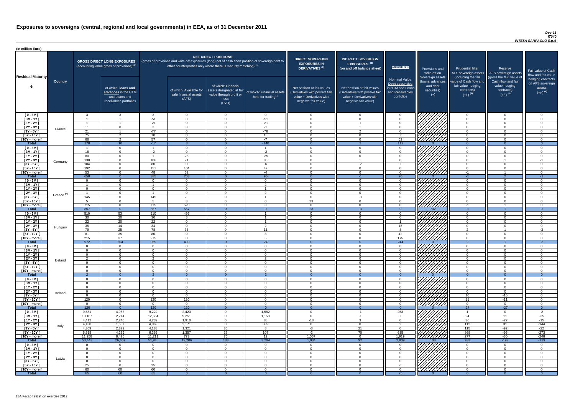### *Dec-11 IT040 INTESA SANPAOLO S.p.A*

| (in million Euro)             |                       |                       |                                                                                             |                      |                                                                                                                                                                                   |                                                                                              |                                                      |                                                                                                                    |                                                                                                                    |                                                                                              |                                                                          |                                                                                      |                                                                                  |                                                                           |
|-------------------------------|-----------------------|-----------------------|---------------------------------------------------------------------------------------------|----------------------|-----------------------------------------------------------------------------------------------------------------------------------------------------------------------------------|----------------------------------------------------------------------------------------------|------------------------------------------------------|--------------------------------------------------------------------------------------------------------------------|--------------------------------------------------------------------------------------------------------------------|----------------------------------------------------------------------------------------------|--------------------------------------------------------------------------|--------------------------------------------------------------------------------------|----------------------------------------------------------------------------------|---------------------------------------------------------------------------|
| <b>Residual Maturity</b>      |                       |                       | <b>GROSS DIRECT LONG EXPOSURES</b><br>(accounting value gross of provisions) <sup>(1)</sup> |                      | (gross of provisions and write-off exposures (long) net of cash short position of sovereign debt to<br>other counterparties only where there is maturity matching) <sup>(1)</sup> | <b>NET DIRECT POSITIONS</b>                                                                  |                                                      | <b>DIRECT SOVEREIGN</b><br><b>EXPOSURES IN</b><br><b>DERIVATIVES (1)</b>                                           | <b>INDIRECT SOVEREIGN</b><br>EXPOSURES <sup>(3)</sup><br>(on and off balance sheet)                                | Memo Item                                                                                    | Provisions and<br>write-off on                                           | <b>Prudential filter</b><br>(including the fair                                      | Reserve<br>AFS sovereign assets AFS sovereign assets<br>(gross the fair value of | Fair value of Cash<br>flow and fair value                                 |
|                               | <b>Country</b>        |                       | of which: loans and<br>advances in the HTM<br>and Loans and<br>receivables portfolios       |                      | of which: Available for<br>sale financial assets<br>(AFS)                                                                                                                         | of which: Financial<br>assets designated at fair<br>value through profit or<br>loss<br>(FVO) | of which: Financial assets<br>held for trading $(2)$ | Net position at fair values<br>(Derivatives with positive fair<br>value + Derivatives with<br>negative fair value) | Net position at fair values<br>(Derivatives with positive fair<br>value + Derivatives with<br>negative fair value) | <b>Nominal Value</b><br>Debt securities<br>in HTM and Loans<br>and Receivables<br>portfolios | Sovereign assets<br>(loans, advances<br>and debt<br>securities)<br>$(+)$ | value of Cash flow and<br>fair value hedging<br>contracts)<br>$(+/-)$ <sup>(4)</sup> | Cash flow and fair<br>value hedging<br>contracts)<br>$(+/-)$ <sup>(4)</sup>      | hedging contracts<br>on AFS sovereign<br>assets<br>$(+/-)$ <sup>(4)</sup> |
| $[0 - 3M]$                    |                       | - 3                   | ູຈ                                                                                          |                      | $\overline{0}$                                                                                                                                                                    | $\Omega$<br>$\Omega$                                                                         | $\overline{0}$                                       | $\Omega$<br>- വ                                                                                                    | $\cap$                                                                                                             | $\overline{0}$                                                                               |                                                                          | $\overline{0}$                                                                       | $\Omega$                                                                         | - 0<br>$\cap$                                                             |
| $[3M-1Y]$<br>$[1Y - 2Y]$      |                       |                       |                                                                                             | $-51$<br>$-21$       | $\Omega$<br>$\Omega$                                                                                                                                                              | $\Omega$                                                                                     | $-51$<br>$-21$                                       | $\cap$                                                                                                             | $-1$                                                                                                               | $\Omega$<br>$\Omega$                                                                         |                                                                          | $\Omega$<br>$\Omega$                                                                 | $\Omega$                                                                         | $\cap$                                                                    |
| $[2Y - 3Y]$                   |                       | 11                    | $\Omega$                                                                                    | $\Omega$             | $\mathbf{3}$                                                                                                                                                                      | $\Omega$                                                                                     | $-1$                                                 | $\cap$                                                                                                             |                                                                                                                    | $\Omega$                                                                                     |                                                                          | $\overline{0}$                                                                       | $\Omega$                                                                         | $\cap$                                                                    |
| $[3Y - 5Y]$                   | France                | 21                    |                                                                                             | $-77$                | $\overline{0}$                                                                                                                                                                    | $\Omega$                                                                                     | $-78$                                                | $\cap$                                                                                                             | $\mathcal{D}$                                                                                                      | $\overline{0}$                                                                               | HAHARA<br>HAHARA                                                         | $\overline{0}$                                                                       | $\Omega$                                                                         | $\cap$                                                                    |
| $[5Y - 10Y]$                  |                       | 75                    | $\Omega$                                                                                    | 70                   | $\Omega$                                                                                                                                                                          | $\Omega$                                                                                     | 18                                                   | $\cap$                                                                                                             | $\Omega$                                                                                                           | 50                                                                                           |                                                                          | $\overline{0}$                                                                       | $\Omega$                                                                         | $\Omega$                                                                  |
| [10Y - more [                 |                       | 66                    | $\overline{2}$                                                                              | 57                   | $\overline{0}$                                                                                                                                                                    | $\Omega$                                                                                     | $-7$                                                 | $\Omega$<br>$\Omega$                                                                                               | $\Omega$                                                                                                           | 62                                                                                           |                                                                          | $\overline{0}$                                                                       | $\Omega$                                                                         | $\Omega$                                                                  |
| <b>Total</b><br>$[0 - 3M]$    |                       | 178                   | 10<br>$\overline{0}$                                                                        | $-17$                | $\Omega$                                                                                                                                                                          | $\Omega$                                                                                     | $-140$                                               | $\cap$                                                                                                             | $\Omega$                                                                                                           | 112<br>$\overline{0}$                                                                        |                                                                          | $\overline{0}$<br>$\overline{0}$                                                     | $\Omega$<br>$\Omega$                                                             | $\Omega$<br>. വ                                                           |
| $[3M - 1Y]$                   |                       | 18                    | $\overline{0}$                                                                              | $-2$                 | $\Omega$                                                                                                                                                                          | $\Omega$                                                                                     | $-2$                                                 | $\Omega$                                                                                                           |                                                                                                                    | $\overline{0}$                                                                               | HAAAN<br>HAAAN                                                           | $\overline{0}$                                                                       | $\Omega$                                                                         | $\Omega$                                                                  |
| $[1Y - 2Y]$                   |                       | 80                    | $\overline{0}$                                                                              |                      | $\overline{26}$                                                                                                                                                                   | $\Omega$                                                                                     | $-25$                                                | - 0                                                                                                                | $\cap$                                                                                                             | $\overline{0}$                                                                               |                                                                          | $\overline{0}$                                                                       | $\Omega$                                                                         | $\Omega$                                                                  |
| [2Y - 3Y [                    | Germany               | 130                   | $\Omega$                                                                                    | 106                  | 21                                                                                                                                                                                | $\Omega$                                                                                     | 85                                                   | - 0                                                                                                                |                                                                                                                    | $\Omega$                                                                                     |                                                                          | $\overline{0}$                                                                       |                                                                                  | $-1$                                                                      |
| $[3Y - 5Y]$                   |                       | 184                   | $\overline{0}$                                                                              | 80                   | $\overline{0}$                                                                                                                                                                    | $\Omega$                                                                                     | $-6$                                                 | $\Omega$                                                                                                           | $-2$                                                                                                               | 90                                                                                           |                                                                          | $\overline{0}$                                                                       | $\Omega$                                                                         | - 0                                                                       |
| $[5Y - 10Y]$<br>[10Y - more [ |                       | 192<br>53             | $\Omega$<br>$\Omega$                                                                        | 151<br>48            | 104<br>52                                                                                                                                                                         | $\Omega$<br>$\cap$                                                                           | 47<br>$-4$                                           | $\cap$<br>$\cap$                                                                                                   | $\cap$<br>$\Omega$                                                                                                 | $\Omega$<br>$\Omega$                                                                         | 7777777777                                                               | $\overline{0}$<br>$-1$                                                               | $\Omega$                                                                         | $\cap$<br>$\cap$                                                          |
| <b>Total</b>                  |                       | 658                   | $\overline{0}$                                                                              | 385                  | 203                                                                                                                                                                               |                                                                                              | 96                                                   | _റ                                                                                                                 |                                                                                                                    | 90                                                                                           |                                                                          | $-1$                                                                                 |                                                                                  | $-1$                                                                      |
| $[0 - 3M]$                    |                       | $\Omega$              | $\Omega$                                                                                    | $\cap$               | $\Omega$                                                                                                                                                                          | $\cap$                                                                                       | $\Omega$                                             | റ                                                                                                                  | $\Omega$                                                                                                           | $\Omega$                                                                                     | FHHHH                                                                    | $\overline{0}$                                                                       | $\cap$                                                                           | $\cap$                                                                    |
| $[3M - 1Y]$                   |                       |                       | $\Omega$                                                                                    |                      | $\Omega$                                                                                                                                                                          | $\Omega$                                                                                     | $\overline{2}$                                       | $\cap$                                                                                                             | $\Omega$                                                                                                           | $\Omega$                                                                                     |                                                                          | $\overline{0}$                                                                       | $\Omega$                                                                         | $\cap$                                                                    |
| $[1Y - 2Y]$                   |                       | $\Omega$              | $\Omega$                                                                                    | $\Omega$             | $\Omega$                                                                                                                                                                          | $\Omega$                                                                                     |                                                      | $\Omega$<br>$\cap$                                                                                                 | $\Omega$<br>$\Omega$                                                                                               | $\Omega$                                                                                     | HAHA KU                                                                  | $\Omega$                                                                             | $\Omega$                                                                         | $\cap$<br>$\sqrt{ }$                                                      |
| $[2Y - 3Y]$<br>$[3Y - 5Y]$    | Greece <sup>(5)</sup> | 145                   | $\Omega$                                                                                    | 145                  | $\Omega$<br>29                                                                                                                                                                    | $\Omega$                                                                                     | $\overline{2}$                                       |                                                                                                                    |                                                                                                                    | $\Omega$                                                                                     |                                                                          | $\Omega$                                                                             | $\Omega$                                                                         |                                                                           |
| $[5Y - 10Y]$                  |                       |                       | $\Omega$                                                                                    | Б.                   | 8                                                                                                                                                                                 | $\Omega$                                                                                     | $\Omega$                                             | 23                                                                                                                 |                                                                                                                    | $\Omega$                                                                                     |                                                                          | $\Omega$                                                                             |                                                                                  |                                                                           |
| [10Y - more [                 |                       | 715                   | $\Omega$                                                                                    | 715                  | 520                                                                                                                                                                               | $\Omega$                                                                                     | $\mathbf{R}$                                         | $\cap$                                                                                                             |                                                                                                                    | $\Omega$                                                                                     |                                                                          | $-1$                                                                                 |                                                                                  |                                                                           |
| <b>Total</b>                  |                       | 867                   | $\overline{0}$                                                                              | 867                  | 557                                                                                                                                                                               | $\Omega$                                                                                     |                                                      | 23                                                                                                                 | $-3$                                                                                                               | $\Omega$                                                                                     | 702                                                                      | -1.                                                                                  |                                                                                  | - 0                                                                       |
| $[0 - 3M]$                    |                       | 510                   | 53                                                                                          | 510                  | 456<br>8                                                                                                                                                                          | $\Omega$<br>$\Omega$                                                                         |                                                      | - വ<br>- 0                                                                                                         |                                                                                                                    | $\Omega$<br>$\Omega$                                                                         |                                                                          | $\Omega$                                                                             | ∩<br>$\Omega$                                                                    |                                                                           |
| $[3M - 1Y]$<br>$[1Y - 2Y]$    |                       | 30<br>22              | 20<br>20                                                                                    | 30<br>22             | $\Omega$                                                                                                                                                                          | $\Omega$                                                                                     |                                                      | $\cap$                                                                                                             | $\cap$                                                                                                             |                                                                                              |                                                                          | $\Omega$<br>$\Omega$                                                                 | $\Omega$                                                                         | $\cap$                                                                    |
| $[2Y - 3Y]$                   |                       | 35                    | 14                                                                                          | 34                   | $\Omega$                                                                                                                                                                          | $\Omega$                                                                                     | $\mathcal{D}$                                        | $\cap$                                                                                                             | $\Omega$                                                                                                           | 18                                                                                           |                                                                          | $\Omega$                                                                             | $\Omega$                                                                         | $\cap$                                                                    |
| $[3Y - 5Y]$                   | Hungary               | 79                    | 25                                                                                          | 78                   | 35                                                                                                                                                                                | $\Omega$                                                                                     | 11                                                   | $\Omega$                                                                                                           | ∩                                                                                                                  |                                                                                              |                                                                          | $\Omega$                                                                             |                                                                                  | $-3$                                                                      |
| $[5Y - 10Y]$                  |                       | 81                    | 35                                                                                          | 80                   | $\overline{0}$                                                                                                                                                                    | $\Omega$                                                                                     | $\mathbf{3}$                                         | $\Omega$                                                                                                           | $\Omega$                                                                                                           | 42                                                                                           |                                                                          | $\overline{0}$                                                                       | $\Omega$                                                                         | $\cap$                                                                    |
| [10Y - more [<br><b>Total</b> |                       | 215<br>972            | 37<br>204                                                                                   | 215<br>969           | $\overline{0}$<br>499                                                                                                                                                             | $\Omega$<br>$\Omega$                                                                         | -5<br>24                                             | $\cap$<br>$\Omega$                                                                                                 | $\Omega$<br>$\Omega$                                                                                               | 175<br>244                                                                                   | ////////////                                                             | $\overline{0}$<br>2 <sup>7</sup>                                                     | $\Omega$                                                                         | $\Omega$                                                                  |
| $[0 - 3M]$                    |                       | $\overline{0}$        | $\overline{0}$                                                                              | $\overline{0}$       | $\overline{0}$                                                                                                                                                                    | $\Omega$                                                                                     | $\overline{0}$                                       | $\Omega$                                                                                                           | $\Omega$                                                                                                           | $\overline{0}$                                                                               |                                                                          | $\overline{0}$                                                                       | $\Omega$                                                                         | $-3$<br>$\Omega$                                                          |
| $[3M - 1Y]$                   |                       | $\Omega$              | $\Omega$                                                                                    | $\Omega$             | $\Omega$                                                                                                                                                                          | $\Omega$                                                                                     | $\overline{0}$                                       | - 0                                                                                                                |                                                                                                                    | $\Omega$                                                                                     |                                                                          | $\overline{0}$                                                                       | $\cap$                                                                           |                                                                           |
| $[1Y - 2Y]$                   |                       | $\Omega$              | $\Omega$                                                                                    | $\Omega$             | $\Omega$                                                                                                                                                                          | $\Omega$                                                                                     | $\overline{0}$                                       | $\Omega$                                                                                                           |                                                                                                                    | $\Omega$                                                                                     |                                                                          | $\overline{0}$                                                                       |                                                                                  |                                                                           |
| $[2Y - 3Y]$                   | Iceland               | 2                     | $\overline{0}$                                                                              | $\Omega$             | $\Omega$                                                                                                                                                                          | $\Omega$                                                                                     | $\overline{2}$                                       | $\Omega$                                                                                                           |                                                                                                                    | $\Omega$                                                                                     |                                                                          | $\overline{0}$                                                                       |                                                                                  |                                                                           |
| $[3Y - 5Y]$<br>[5Y - 10Y]     |                       | - 0<br>- 0            | $\Omega$<br>$\Omega$                                                                        | $\Omega$<br>$\Omega$ | <u>_ ೧</u><br>$\Omega$                                                                                                                                                            | $\Omega$<br>$\Omega$                                                                         | $\Omega$<br>$\Omega$                                 | - 0                                                                                                                |                                                                                                                    | $\Omega$<br>$\Omega$                                                                         |                                                                          | $\Omega$<br>$\Omega$                                                                 |                                                                                  |                                                                           |
| [10Y - more [                 |                       | $\Omega$              | $\Omega$                                                                                    | $\Omega$             | $\Omega$                                                                                                                                                                          | $\Omega$                                                                                     | $\Omega$                                             | - റ                                                                                                                |                                                                                                                    | $\Omega$                                                                                     | //////////                                                               | $\overline{0}$                                                                       | $\Omega$                                                                         | - 0                                                                       |
| <b>Total</b>                  |                       |                       | $\Omega$                                                                                    |                      | - 0                                                                                                                                                                               |                                                                                              | 2                                                    |                                                                                                                    |                                                                                                                    | $\Omega$                                                                                     |                                                                          | $\Omega$                                                                             |                                                                                  |                                                                           |
| $[0 - 3M]$                    |                       | $\Omega$              | $\Omega$                                                                                    | $\Omega$             | $\Omega$                                                                                                                                                                          | $\Omega$                                                                                     | $\overline{0}$                                       | $\cap$                                                                                                             |                                                                                                                    | $\Omega$                                                                                     |                                                                          | $\overline{0}$                                                                       | $\Omega$                                                                         | $\cap$                                                                    |
| $[3M-1Y]$<br>$[1Y - 2Y]$      |                       | $\Omega$<br>$\Omega$  | $\overline{0}$<br>$\overline{0}$                                                            | $\Omega$<br>$\Omega$ | $\overline{0}$<br>$\Omega$                                                                                                                                                        | $\Omega$<br>$\Omega$                                                                         | $\overline{0}$<br>$\overline{0}$                     | $\Omega$<br>- റ                                                                                                    | $\cap$<br>$\cap$                                                                                                   | $\overline{0}$<br>$\overline{0}$                                                             |                                                                          | $\overline{0}$<br>$\Omega$                                                           | $\Omega$<br>$\Omega$                                                             | $\Omega$<br>- 0                                                           |
| [2Y - 3Y [                    |                       | $\Omega$              | $\Omega$                                                                                    | $\Omega$             | $\Omega$                                                                                                                                                                          | $\Omega$                                                                                     | $\overline{0}$                                       | $\Omega$                                                                                                           | $\Omega$                                                                                                           | $\Omega$                                                                                     |                                                                          | $\overline{0}$                                                                       | $\Omega$                                                                         | $\Omega$                                                                  |
| $[3Y - 5Y]$                   | Ireland               | $\Omega$              | $\overline{0}$                                                                              | $\Omega$             | $\Omega$                                                                                                                                                                          | $\Omega$                                                                                     | $\overline{0}$                                       | - 0                                                                                                                | $\Omega$                                                                                                           | $\overline{0}$                                                                               |                                                                          | 16                                                                                   | $-16$                                                                            | $\Omega$                                                                  |
| $[5Y - 10Y]$                  |                       | 120                   | $\Omega$                                                                                    | 120                  | 120                                                                                                                                                                               | $\Omega$                                                                                     | $\Omega$                                             | $\cap$                                                                                                             |                                                                                                                    | $\Omega$                                                                                     |                                                                          | 11                                                                                   | $-11$                                                                            | ി                                                                         |
| [10Y - more [                 |                       | $\Omega$              | $\Omega$                                                                                    | $\Omega$             | $\Omega$                                                                                                                                                                          | $\Omega$                                                                                     | $\Omega$                                             | $\cap$                                                                                                             |                                                                                                                    | $\Omega$                                                                                     | 77777777                                                                 | $\Omega$                                                                             | $\Omega$                                                                         |                                                                           |
| <b>Total</b><br>$[0 - 3M]$    |                       | 120<br>9,581          | $\overline{0}$<br>4,963                                                                     | 120<br>9,222         | 120<br>2,423                                                                                                                                                                      | $\Omega$                                                                                     | $\overline{0}$<br>1,582                              | - വ                                                                                                                | $-1$                                                                                                               | $\Omega$<br>253                                                                              | 7777777777                                                               | 27<br>-1                                                                             | $-27$<br>$\Omega$                                                                | $\Omega$<br>$-2$                                                          |
| $[3M - 1Y]$                   |                       | 13,167                | 2,214                                                                                       | 12,654               | 9,251                                                                                                                                                                             | $\Omega$                                                                                     | 1,158                                                | $\cap$                                                                                                             | $-1$                                                                                                               | 30                                                                                           |                                                                          | 24                                                                                   | 11                                                                               | $-35$                                                                     |
| $[1Y - 2Y]$                   |                       | 4,412                 | 2,240                                                                                       | 4,239                | 1,910                                                                                                                                                                             | $\Omega$                                                                                     | 88                                                   | -18                                                                                                                | $\mathcal{R}$                                                                                                      | $\Omega$                                                                                     |                                                                          | 36                                                                                   | $-22$                                                                            | $-15$                                                                     |
| [2Y - 3Y [                    | Italy                 | 4,138                 | 1,557                                                                                       | 4,069                | 2,171                                                                                                                                                                             | $\Omega$                                                                                     | 339                                                  | $\cap$                                                                                                             | $\cap$                                                                                                             | ົ                                                                                            |                                                                          | 112                                                                                  | 31                                                                               | $-144$                                                                    |
| $[3Y - 5Y]$                   |                       | 4,369                 | 2,829                                                                                       | 4,188                | 1,321                                                                                                                                                                             | 30<br>27                                                                                     | 8                                                    | $-3$                                                                                                               | 21                                                                                                                 | $\Omega$                                                                                     |                                                                          | 115                                                                                  | $-92$                                                                            | $-22$                                                                     |
| $[5Y - 10Y]$<br>[10Y - more [ |                       | 6,518<br>11,258       | 4,239<br>8,425                                                                              | 6,365<br>11,211      | 1,357<br>773                                                                                                                                                                      | 76                                                                                           | 107<br>12                                            | $-2$<br>1,057                                                                                                      | 70<br>$\Omega$                                                                                                     | 635<br>1,919                                                                                 | <u>///////////</u>                                                       | 368<br>277                                                                           | $-95$<br>$-30$                                                                   | $-273$<br>$-248$                                                          |
| <b>Total</b>                  |                       | 53,443                | 26,467                                                                                      | 51,948               | 19,206                                                                                                                                                                            | 133                                                                                          | 3,294                                                | 1,034                                                                                                              | 92                                                                                                                 | 2,839                                                                                        | 108                                                                      | 933                                                                                  | $-197$                                                                           | $-739$                                                                    |
| $[0 - 3M]$                    |                       | $\Omega$              | $\overline{0}$                                                                              | $\Omega$             | $\overline{0}$                                                                                                                                                                    | $\Omega$                                                                                     | $\overline{0}$                                       | $\Omega$                                                                                                           | $\Omega$                                                                                                           | $\overline{0}$                                                                               | <i>V7777777</i> 77                                                       | $\Omega$                                                                             | $\Omega$                                                                         |                                                                           |
| $[3M-1Y]$                     |                       | $\Omega$              | $\Omega$                                                                                    | $\Omega$             | $\Omega$                                                                                                                                                                          | $\Omega$                                                                                     | $\overline{0}$                                       | $\cap$                                                                                                             |                                                                                                                    | $\Omega$                                                                                     | <i>VIIIII</i> A                                                          | $\Omega$                                                                             | $\Omega$                                                                         |                                                                           |
| $[1Y - 2Y]$                   |                       | $\overline{0}$        | $\overline{0}$                                                                              | $\Omega$             | $\Omega$                                                                                                                                                                          | $\Omega$                                                                                     | $\overline{0}$                                       | $\Omega$                                                                                                           |                                                                                                                    | $\overline{0}$                                                                               |                                                                          | $\overline{0}$                                                                       | $\Omega$                                                                         | $\Omega$                                                                  |
| [2Y - 3Y [<br>$[3Y - 5Y]$     | Latvia                | $\overline{0}$<br>- 0 | $\Omega$<br>$\Omega$                                                                        | $\Omega$<br>$\Omega$ | $\Omega$<br>- 0                                                                                                                                                                   | $\Omega$<br>$\Omega$                                                                         | $\overline{0}$<br>$\overline{0}$                     | $\overline{0}$<br>- ೧                                                                                              |                                                                                                                    | $\Omega$<br>$\Omega$                                                                         |                                                                          | $\overline{0}$<br>$\overline{0}$                                                     | 0<br>$\Omega$                                                                    | $\Omega$                                                                  |
| $[5Y - 10Y]$                  |                       | 25                    | $\Omega$                                                                                    | 25                   | - 0                                                                                                                                                                               | $\Omega$                                                                                     | $\overline{0}$                                       | - 0                                                                                                                |                                                                                                                    | 25                                                                                           | ШША.                                                                     | $\Omega$                                                                             | $\Omega$                                                                         | $\Omega$                                                                  |
| [10Y - more [                 |                       | 60                    | 60                                                                                          | 60                   | $\Omega$                                                                                                                                                                          | $\Omega$                                                                                     | $\overline{0}$                                       | - 0                                                                                                                | $\cap$                                                                                                             | $\overline{0}$                                                                               | 77777777                                                                 | $\overline{0}$                                                                       | $\Omega$                                                                         | $\Omega$                                                                  |
| <b>Total</b>                  |                       | 85                    | 60                                                                                          | 85                   | -0                                                                                                                                                                                | $\Omega$                                                                                     |                                                      |                                                                                                                    |                                                                                                                    | 25                                                                                           |                                                                          | - റ                                                                                  |                                                                                  | $\Omega$                                                                  |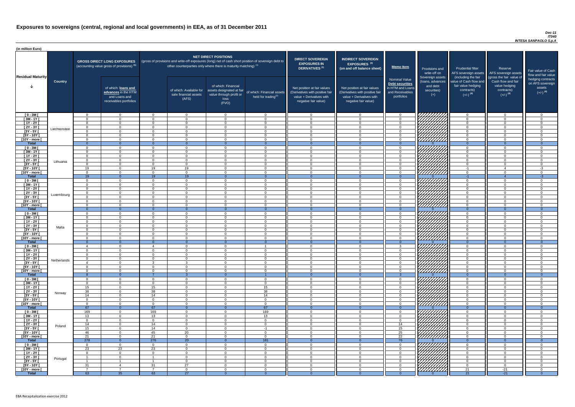### *Dec-11 IT040 INTESA SANPAOLO S.p.A*

| <b>DIRECT SOVEREIGN</b><br><b>EXPOSURES IN</b><br><b>DERIVATIVES<sup>(1)</sup></b><br>Net position at fair values<br>(Derivatives with positive fair<br>value + Derivatives with<br>negative fair value) | <b>INDIRECT SOVEREIGN</b><br>EXPOSURES <sup>(3)</sup><br>(on and off balance sheet)<br>Net position at fair values<br>(Derivatives with positive fair<br>value + Derivatives with<br>negative fair value) | <b>Memo Item</b><br><b>Nominal Value</b><br>Debt securities<br>in HTM and Loans<br>and Receivables<br>portfolios | Provisions and<br>write-off on<br>Sovereign assets<br>(loans, advances<br>and debt<br>securities)<br>$(+)$ | <b>Prudential filter</b><br>AFS sovereign assets<br>(including the fair<br>value of Cash flow and<br>fair value hedging<br>contracts)<br>$(+/-)$ <sup>(4)</sup> | Reserve<br>AFS sovereign assets<br>(gross the fair value of<br>Cash flow and fair<br>value hedging<br>contracts)<br>$(+/-)$ <sup>(4)</sup> | Fair value of Cash<br>flow and fair value<br>hedging contracts<br>on AFS sovereign<br>assets<br>$(+/-)$ <sup>(4)</sup> |
|----------------------------------------------------------------------------------------------------------------------------------------------------------------------------------------------------------|-----------------------------------------------------------------------------------------------------------------------------------------------------------------------------------------------------------|------------------------------------------------------------------------------------------------------------------|------------------------------------------------------------------------------------------------------------|-----------------------------------------------------------------------------------------------------------------------------------------------------------------|--------------------------------------------------------------------------------------------------------------------------------------------|------------------------------------------------------------------------------------------------------------------------|
| $\mathbf 0$                                                                                                                                                                                              | $\overline{0}$                                                                                                                                                                                            | $\mathbf 0$                                                                                                      |                                                                                                            | $\mathbf 0$                                                                                                                                                     | $\mathbf 0$                                                                                                                                | 0                                                                                                                      |
| $\mathbf 0$                                                                                                                                                                                              | $\mathbf 0$                                                                                                                                                                                               | $\mathbf 0$                                                                                                      |                                                                                                            | 0                                                                                                                                                               | $\mathbf 0$                                                                                                                                | 0                                                                                                                      |
| $\mathbf 0$                                                                                                                                                                                              | $\mathbf 0$                                                                                                                                                                                               | $\mathbf 0$                                                                                                      |                                                                                                            | 0                                                                                                                                                               | $\mathbf 0$                                                                                                                                | 0                                                                                                                      |
| $\mathbf 0$<br>$\pmb{0}$                                                                                                                                                                                 | $\mathbf 0$<br>$\mathbf 0$                                                                                                                                                                                | $\mathbf 0$<br>$\mathbf 0$                                                                                       |                                                                                                            | 0<br>0                                                                                                                                                          | $\mathbf 0$<br>$\mathbf 0$                                                                                                                 | 0<br>0                                                                                                                 |
| $\mathbf 0$                                                                                                                                                                                              | $\mathbf 0$                                                                                                                                                                                               | $\mathbf 0$                                                                                                      |                                                                                                            | $\mathbf 0$                                                                                                                                                     | $\mathbf 0$                                                                                                                                | $\overline{0}$                                                                                                         |
| $\pmb{0}$                                                                                                                                                                                                | $\mathbf 0$                                                                                                                                                                                               | $\mathbf 0$                                                                                                      |                                                                                                            | $\pmb{0}$                                                                                                                                                       | $\mathbf 0$                                                                                                                                | 0                                                                                                                      |
| $\overline{0}$<br>$\mathbf 0$                                                                                                                                                                            | $\overline{0}$<br>$\mathbf 0$                                                                                                                                                                             | $\overline{0}$<br>$\mathbf 0$                                                                                    | $\Omega$                                                                                                   | $\overline{0}$<br>$\mathbf 0$                                                                                                                                   | $\overline{0}$<br>$\mathbf 0$                                                                                                              | $\overline{0}$<br>0                                                                                                    |
| $\mathbf 0$                                                                                                                                                                                              | $\mathbf 0$                                                                                                                                                                                               | $\mathbf 0$                                                                                                      |                                                                                                            | $\mathbf 0$                                                                                                                                                     | $\mathbf 0$                                                                                                                                | 0                                                                                                                      |
| $\pmb{0}$                                                                                                                                                                                                | $\mathbf 0$                                                                                                                                                                                               | $\mathbf 0$                                                                                                      |                                                                                                            | $\pmb{0}$                                                                                                                                                       | $\mathbf 0$                                                                                                                                | 0                                                                                                                      |
| $\mathbf 0$                                                                                                                                                                                              | $\mathbf 0$                                                                                                                                                                                               | $\mathbf 0$                                                                                                      |                                                                                                            | $\mathbf 0$                                                                                                                                                     | $\mathbf 0$                                                                                                                                | 0                                                                                                                      |
| $\mathbf 0$<br>$\mathbf 0$                                                                                                                                                                               | $\mathbf 0$                                                                                                                                                                                               | $\mathbf 0$                                                                                                      |                                                                                                            | $\pmb{0}$<br>$-1$                                                                                                                                               | $\mathbf 0$                                                                                                                                | 0<br>$-3$                                                                                                              |
| $\mathbf 0$                                                                                                                                                                                              | $\mathbf 0$<br>$\mathbf 0$                                                                                                                                                                                | $\mathbf 0$<br>$\mathbf 0$                                                                                       |                                                                                                            | $\mathbf 0$                                                                                                                                                     | $\overline{4}$<br>$\mathbf 0$                                                                                                              | 0                                                                                                                      |
| $\mathbf{0}$                                                                                                                                                                                             | $\overline{0}$                                                                                                                                                                                            | $\overline{0}$                                                                                                   | $\Omega$                                                                                                   | $-1$                                                                                                                                                            | 4                                                                                                                                          | $-3$                                                                                                                   |
| $\mathbf 0$                                                                                                                                                                                              | $\mathbf 0$                                                                                                                                                                                               | $\mathbf 0$                                                                                                      |                                                                                                            | $\mathbf 0$                                                                                                                                                     | $\mathbf 0$                                                                                                                                | 0                                                                                                                      |
| $\mathbf 0$                                                                                                                                                                                              | $\mathbf 0$                                                                                                                                                                                               | $\mathbf 0$                                                                                                      |                                                                                                            | $\mathbf 0$                                                                                                                                                     | $\mathbf 0$                                                                                                                                | 0                                                                                                                      |
| $\mathbf 0$<br>$\mathbf 0$                                                                                                                                                                               | $\mathbf 0$<br>$\mathbf 0$                                                                                                                                                                                | $\mathbf 0$<br>$\mathbf 0$                                                                                       |                                                                                                            | $\mathbf 0$<br>$\mathbf 0$                                                                                                                                      | $\mathbf 0$<br>$\mathbf 0$                                                                                                                 | 0<br>0                                                                                                                 |
| $\mathbf 0$                                                                                                                                                                                              | $\mathbf 0$                                                                                                                                                                                               | $\mathbf 0$                                                                                                      |                                                                                                            | $\mathbf 0$                                                                                                                                                     | $\mathbf 0$                                                                                                                                | 0                                                                                                                      |
| O                                                                                                                                                                                                        | 0                                                                                                                                                                                                         | 0                                                                                                                |                                                                                                            | 0                                                                                                                                                               | 0                                                                                                                                          | O                                                                                                                      |
| $\mathbf 0$                                                                                                                                                                                              | $\mathbf 0$                                                                                                                                                                                               | $\mathbf 0$                                                                                                      |                                                                                                            | $\mathbf 0$                                                                                                                                                     | $\mathbf{0}$                                                                                                                               | 0                                                                                                                      |
| $\overline{0}$<br>$\mathbf 0$                                                                                                                                                                            | $\overline{0}$<br>$\mathbf 0$                                                                                                                                                                             | $\overline{0}$<br>$\mathbf 0$                                                                                    | $\mathbf{0}$                                                                                               | $\overline{0}$<br>0                                                                                                                                             | $\overline{0}$<br>$\mathbf 0$                                                                                                              | $\overline{0}$<br>0                                                                                                    |
| 0                                                                                                                                                                                                        | 0                                                                                                                                                                                                         | $\mathbf 0$                                                                                                      |                                                                                                            | 0                                                                                                                                                               | 0                                                                                                                                          | 0                                                                                                                      |
| 0                                                                                                                                                                                                        | 0                                                                                                                                                                                                         | $\mathbf 0$                                                                                                      |                                                                                                            | 0                                                                                                                                                               | 0                                                                                                                                          | 0                                                                                                                      |
| 0                                                                                                                                                                                                        | $\mathbf 0$                                                                                                                                                                                               | $\mathbf 0$                                                                                                      |                                                                                                            | 0                                                                                                                                                               | $\mathbf{0}$                                                                                                                               | 0                                                                                                                      |
| $\mathbf 0$<br>$\mathbf 0$                                                                                                                                                                               | $\mathbf 0$<br>$\mathbf 0$                                                                                                                                                                                | $\mathbf 0$<br>$\mathbf 0$                                                                                       |                                                                                                            | 0<br>$\mathbf 0$                                                                                                                                                | 0<br>$\mathbf 0$                                                                                                                           | 0<br>0                                                                                                                 |
| $\mathbf 0$                                                                                                                                                                                              | 0                                                                                                                                                                                                         | $\mathbf 0$                                                                                                      |                                                                                                            | 0                                                                                                                                                               | $\mathbf 0$                                                                                                                                | 0                                                                                                                      |
| $\mathbf{0}$                                                                                                                                                                                             | $\overline{0}$                                                                                                                                                                                            | $\overline{0}$                                                                                                   | $\mathbf 0$                                                                                                | $\overline{O}$                                                                                                                                                  | $\overline{0}$                                                                                                                             | $\overline{0}$                                                                                                         |
| 0                                                                                                                                                                                                        | 0                                                                                                                                                                                                         | 3                                                                                                                |                                                                                                            | 0                                                                                                                                                               | $\overline{0}$                                                                                                                             | 0                                                                                                                      |
| 0<br>$\mathbf 0$                                                                                                                                                                                         | 0<br>$\mathbf 0$                                                                                                                                                                                          | 0<br>$\mathbf 0$                                                                                                 |                                                                                                            | 0<br>$\mathbf 0$                                                                                                                                                | $\Omega$<br>0                                                                                                                              | 0<br>0                                                                                                                 |
| $\mathbf 0$                                                                                                                                                                                              | $\mathbf 0$                                                                                                                                                                                               | $\mathbf 0$                                                                                                      |                                                                                                            | $\mathbf 0$                                                                                                                                                     | $\mathbf{0}$                                                                                                                               | 0                                                                                                                      |
| $\mathbf 0$                                                                                                                                                                                              | 0                                                                                                                                                                                                         | $\mathbf 0$                                                                                                      |                                                                                                            | 0                                                                                                                                                               | 0                                                                                                                                          | 0                                                                                                                      |
| 0                                                                                                                                                                                                        | 0                                                                                                                                                                                                         | $\mathbf 0$                                                                                                      |                                                                                                            | 0                                                                                                                                                               | 0                                                                                                                                          | 0                                                                                                                      |
| 0<br>$\mathbf{0}$                                                                                                                                                                                        | 0<br>$\overline{0}$                                                                                                                                                                                       | $\mathbf 0$<br>$\overline{3}$                                                                                    | $\overline{0}$                                                                                             | 0<br>$\overline{0}$                                                                                                                                             | $\mathbf 0$<br>$\overline{0}$                                                                                                              | 0<br>$\overline{0}$                                                                                                    |
| 0                                                                                                                                                                                                        | 0                                                                                                                                                                                                         | $\mathbf 0$                                                                                                      |                                                                                                            | 0                                                                                                                                                               | $\mathbf 0$                                                                                                                                | 0                                                                                                                      |
| $\mathbf 0$                                                                                                                                                                                              | $\mathbf 0$                                                                                                                                                                                               | $\mathbf 0$                                                                                                      |                                                                                                            | $\mathbf 0$                                                                                                                                                     | $\mathbf 0$                                                                                                                                | 0                                                                                                                      |
| $\mathbf 0$                                                                                                                                                                                              | $\mathbf 0$                                                                                                                                                                                               | $\mathbf 0$                                                                                                      |                                                                                                            | 0                                                                                                                                                               | 0                                                                                                                                          | 0                                                                                                                      |
| $\mathbf 0$<br>0                                                                                                                                                                                         | 0<br>$\mathbf 0$                                                                                                                                                                                          | $\mathbf 0$<br>$\mathbf 0$                                                                                       |                                                                                                            | 0<br>0                                                                                                                                                          | 0<br>$\mathbf 0$                                                                                                                           | 0<br>0                                                                                                                 |
| 0                                                                                                                                                                                                        | 0                                                                                                                                                                                                         | 0                                                                                                                |                                                                                                            | 0                                                                                                                                                               | 0                                                                                                                                          | 0                                                                                                                      |
| $\mathbf 0$                                                                                                                                                                                              | 0                                                                                                                                                                                                         | $\mathbf 0$                                                                                                      |                                                                                                            | 0                                                                                                                                                               | 0                                                                                                                                          | 0                                                                                                                      |
| $\mathbf{0}$<br>$\mathbf 0$                                                                                                                                                                              | $\overline{0}$<br>$\mathbf 0$                                                                                                                                                                             | $\overline{0}$<br>0                                                                                              | $\mathbf{0}$                                                                                               | $\overline{0}$<br>0                                                                                                                                             | $\overline{0}$<br>0                                                                                                                        | $\overline{0}$<br>0                                                                                                    |
| 0                                                                                                                                                                                                        | $\mathbf 0$                                                                                                                                                                                               | $\mathbf 0$                                                                                                      |                                                                                                            | 0                                                                                                                                                               | $\mathbf{0}$                                                                                                                               | 0                                                                                                                      |
| 0                                                                                                                                                                                                        | 0                                                                                                                                                                                                         | $\mathbf 0$                                                                                                      |                                                                                                            | 0                                                                                                                                                               | 0                                                                                                                                          | 0                                                                                                                      |
| 0                                                                                                                                                                                                        | $\mathbf{0}$                                                                                                                                                                                              | 14                                                                                                               |                                                                                                            | 0                                                                                                                                                               | $\mathbf{0}$                                                                                                                               | 0                                                                                                                      |
| $\mathbf 0$                                                                                                                                                                                              | $\mathbf 0$                                                                                                                                                                                               | 15                                                                                                               |                                                                                                            | 0                                                                                                                                                               | 0                                                                                                                                          | 0                                                                                                                      |
| $\mathbf 0$<br>$\mathbf 0$                                                                                                                                                                               | $\mathbf 0$<br>0                                                                                                                                                                                          | 25<br>22                                                                                                         |                                                                                                            | 0<br>0                                                                                                                                                          | $\mathbf 0$<br>$\mathbf 0$                                                                                                                 | 0<br>0                                                                                                                 |
| $\mathbf{0}$                                                                                                                                                                                             | $\overline{0}$                                                                                                                                                                                            | 76                                                                                                               | $\mathbf 0$                                                                                                | $\overline{0}$                                                                                                                                                  | $\overline{0}$                                                                                                                             | $\overline{0}$                                                                                                         |
| $\mathbf 0$                                                                                                                                                                                              | $\mathbf 0$                                                                                                                                                                                               | $\mathbf 0$                                                                                                      |                                                                                                            | 0                                                                                                                                                               | 0                                                                                                                                          | 0                                                                                                                      |
| $\Omega$                                                                                                                                                                                                 | $\Omega$                                                                                                                                                                                                  | $\mathbf{0}$                                                                                                     |                                                                                                            | $\mathbf{0}$                                                                                                                                                    | $\overline{0}$                                                                                                                             | $\Omega$                                                                                                               |
| 0<br>$\mathbf 0$                                                                                                                                                                                         | $\mathbf 0$<br>$\mathbf 0$                                                                                                                                                                                | $\mathbf 0$<br>$\mathbf 0$                                                                                       |                                                                                                            | $\mathbf 0$<br>$\mathbf 0$                                                                                                                                      | $\mathbf 0$<br>$\overline{0}$                                                                                                              | 0<br>$\overline{0}$                                                                                                    |
| $\mathbf 0$                                                                                                                                                                                              | $\mathbf 0$                                                                                                                                                                                               | $\mathbf 0$                                                                                                      |                                                                                                            | $\mathbf 0$                                                                                                                                                     | $\overline{0}$                                                                                                                             | $\overline{0}$                                                                                                         |
| $\mathbf 0$                                                                                                                                                                                              | $\mathbf 0$                                                                                                                                                                                               | $\mathbf 0$                                                                                                      |                                                                                                            | $\mathbf 0$                                                                                                                                                     | $\overline{0}$                                                                                                                             | $\overline{0}$                                                                                                         |
| $\mathbf 0$                                                                                                                                                                                              | $\overline{0}$                                                                                                                                                                                            | $\mathbf 0$                                                                                                      |                                                                                                            | $\overline{21}$                                                                                                                                                 | $-21$                                                                                                                                      | $\overline{0}$                                                                                                         |
| $\overline{0}$                                                                                                                                                                                           | $\overline{0}$                                                                                                                                                                                            | $\overline{0}$                                                                                                   | $\Omega$                                                                                                   | $\overline{21}$                                                                                                                                                 | $-21$                                                                                                                                      | $\overline{0}$                                                                                                         |

| (in million Euro)             |                |                      |                                                                                             |                      |                                                           |                                                                                                           |                                                                                                     |                                                                                                                    |                                                                                                                    |                                                                                              |                                                                          |                                                                                                             |                                                                                                         |                                          |
|-------------------------------|----------------|----------------------|---------------------------------------------------------------------------------------------|----------------------|-----------------------------------------------------------|-----------------------------------------------------------------------------------------------------------|-----------------------------------------------------------------------------------------------------|--------------------------------------------------------------------------------------------------------------------|--------------------------------------------------------------------------------------------------------------------|----------------------------------------------------------------------------------------------|--------------------------------------------------------------------------|-------------------------------------------------------------------------------------------------------------|---------------------------------------------------------------------------------------------------------|------------------------------------------|
| <b>Residual Maturity</b>      |                |                      | <b>GROSS DIRECT LONG EXPOSURES</b><br>(accounting value gross of provisions) <sup>(1)</sup> |                      |                                                           | <b>NET DIRECT POSITIONS</b><br>other counterparties only where there is maturity matching) <sup>(1)</sup> | (gross of provisions and write-off exposures (long) net of cash short position of sovereign debt to | <b>DIRECT SOVEREIGN</b><br><b>EXPOSURES IN</b><br><b>DERIVATIVES (1)</b>                                           | <b>INDIRECT SOVEREIGN</b><br><b>EXPOSURES<sup>(3)</sup></b><br>(on and off balance sheet)                          | <b>Memo Item</b>                                                                             | Provisions and<br>write-off on                                           | <b>Prudential filter</b><br>AFS sovereign assets                                                            | Reserve<br>AFS sovereign assets                                                                         | Fair value<br>flow and f                 |
|                               | <b>Country</b> |                      | of which: loans and<br>advances in the HTM<br>and Loans and<br>receivables portfolios       |                      | of which: Available for<br>sale financial assets<br>(AFS) | of which: Financial<br>assets designated at fair<br>value through profit or<br>loss<br>(FVO)              | of which: Financial assets<br>held for trading $(2)$                                                | Net position at fair values<br>(Derivatives with positive fair<br>value + Derivatives with<br>negative fair value) | Net position at fair values<br>(Derivatives with positive fair<br>value + Derivatives with<br>negative fair value) | <b>Nominal Value</b><br>Debt securities<br>in HTM and Loans<br>and Receivables<br>portfolios | Sovereign assets<br>(Ioans, advances<br>and debt<br>securities)<br>$(+)$ | (including the fair<br>value of Cash flow and<br>fair value hedging<br>contracts)<br>$(+/-)$ <sup>(4)</sup> | (gross the fair value of<br>Cash flow and fair<br>value hedging<br>contracts)<br>$(+/-)$ <sup>(4)</sup> | hedging c<br>on AFS so<br>ass<br>$(+/-)$ |
| $[0 - 3M]$                    |                | $\Omega$             | $\Omega$                                                                                    | - റ                  | $\Omega$                                                  | $\Omega$                                                                                                  | $\overline{0}$                                                                                      | $\Omega$                                                                                                           | $\cap$                                                                                                             | $\overline{0}$                                                                               | HANA<br>HANA                                                             | $\Omega$                                                                                                    | $\overline{0}$                                                                                          |                                          |
| $[3M - 1Y]$                   |                | $\cap$               | $\Omega$                                                                                    | $\Omega$             | $\cap$                                                    | $\Omega$                                                                                                  | $\Omega$                                                                                            | $\Omega$                                                                                                           |                                                                                                                    | $\Omega$                                                                                     |                                                                          | $\cap$                                                                                                      | $\Omega$                                                                                                |                                          |
| $[1Y - 2Y]$<br>$[2Y - 3Y]$    |                | $\cap$<br>$\cap$     | $\Omega$<br>$\Omega$                                                                        | $\Omega$<br>- റ      | $\cap$<br>$\cap$                                          | $\Omega$<br>$\Omega$                                                                                      | $\Omega$<br>$\Omega$                                                                                | $\Omega$<br>$\Omega$                                                                                               | $\Omega$<br>$\cap$                                                                                                 | $\Omega$<br>$\overline{0}$                                                                   |                                                                          | $\Omega$<br>$\cap$                                                                                          | $\Omega$<br>$\Omega$                                                                                    |                                          |
| $[3Y - 5Y]$                   | Liechtenstein  | $\Omega$             | $\Omega$                                                                                    | $\Omega$             | $\cap$                                                    | $\Omega$                                                                                                  | $\Omega$                                                                                            | $\Omega$                                                                                                           |                                                                                                                    | $\overline{0}$                                                                               |                                                                          | $\cap$                                                                                                      | $\Omega$                                                                                                |                                          |
| $[5Y - 10Y]$                  |                | $\Omega$             | $\Omega$                                                                                    | $\Omega$             | $\Omega$                                                  | $\Omega$                                                                                                  | $\Omega$                                                                                            | $\Omega$                                                                                                           | $\cap$                                                                                                             | $\overline{0}$                                                                               |                                                                          | $\Omega$                                                                                                    | $\Omega$                                                                                                |                                          |
| [10Y - more [<br><b>Total</b> |                | $\Omega$<br>$\Omega$ | $\Omega$<br>$\Omega$                                                                        | $\Omega$<br>$\Omega$ | $\Omega$<br>$\overline{0}$                                | $\Omega$<br>- 0                                                                                           | $\overline{0}$<br>$\Omega$                                                                          | $\Omega$                                                                                                           | $\Omega$<br>$\Omega$                                                                                               | $\overline{0}$<br>$\overline{0}$                                                             |                                                                          | $\Omega$<br>$\Omega$                                                                                        | $\Omega$<br>$\Omega$                                                                                    |                                          |
| $[0 - 3M]$                    |                | $\Omega$             | $\Omega$                                                                                    | $\Omega$             | $\Omega$                                                  | $\Omega$                                                                                                  | $\overline{0}$                                                                                      | $\Omega$                                                                                                           |                                                                                                                    | $\Omega$                                                                                     |                                                                          | $\Omega$                                                                                                    | $\Omega$                                                                                                |                                          |
| $[3M - 1Y]$                   |                | $\Omega$             | $\Omega$                                                                                    | $\Omega$             | $\cap$                                                    | $\Omega$                                                                                                  | $\Omega$                                                                                            | $\Omega$                                                                                                           | $\Omega$                                                                                                           | $\Omega$                                                                                     |                                                                          | $\cap$                                                                                                      | $\Omega$                                                                                                |                                          |
| $[1Y - 2Y]$                   |                | $\cap$               | $\Omega$                                                                                    | $\cap$               | $\cap$                                                    | $\Omega$                                                                                                  | $\Omega$                                                                                            | $\Omega$                                                                                                           |                                                                                                                    | $\Omega$                                                                                     |                                                                          |                                                                                                             | $\Omega$                                                                                                |                                          |
| $[2Y - 3Y]$                   | Lithuania      | $\cap$<br>$\Omega$   | $\Omega$                                                                                    | $\Omega$             | $\Omega$                                                  | $\Omega$                                                                                                  | $\Omega$                                                                                            | $\Omega$                                                                                                           |                                                                                                                    | $\Omega$                                                                                     |                                                                          | $\cap$<br>$\Omega$                                                                                          | $\Omega$                                                                                                |                                          |
| $[3Y - 5Y]$<br>$[5Y - 10Y]$   |                | 19                   | $\Omega$<br>$\Omega$                                                                        | - റ<br>19            | $\Omega$<br>19                                            | $\Omega$<br>$\Omega$                                                                                      | $\overline{0}$<br>$\Omega$                                                                          | $\overline{0}$<br>$\Omega$                                                                                         | $\Omega$<br>$\cap$                                                                                                 | $\Omega$<br>$\Omega$                                                                         |                                                                          | $-1$                                                                                                        | $\Omega$                                                                                                |                                          |
| [10Y - more [                 |                | $\cap$               | $\Omega$                                                                                    | - റ                  | $\Omega$                                                  | $\Omega$                                                                                                  | $\Omega$                                                                                            | $\Omega$                                                                                                           | $\cap$                                                                                                             | $\Omega$                                                                                     |                                                                          | $\cap$                                                                                                      | $\Omega$                                                                                                |                                          |
| <b>Total</b>                  |                | 19                   | - റ                                                                                         | 19                   | $\overline{19}$                                           | $\Omega$                                                                                                  |                                                                                                     |                                                                                                                    | - റ                                                                                                                | $\Omega$                                                                                     |                                                                          | $-1$                                                                                                        |                                                                                                         |                                          |
| $[0 - 3M]$                    |                | $\Omega$<br>$\Omega$ | $\Omega$<br>$\Omega$                                                                        | $\Omega$<br>$\Omega$ | $\Omega$<br>$\Omega$                                      | $\Omega$<br>$\Omega$                                                                                      | $\Omega$<br>$\Omega$                                                                                | $\Omega$<br>$\Omega$                                                                                               | $\cap$<br>$\Omega$                                                                                                 | $\Omega$<br>$\overline{0}$                                                                   |                                                                          | $\cap$<br>$\Omega$                                                                                          | $\Omega$<br>$\Omega$                                                                                    |                                          |
| $[3M - 1Y]$<br>$[1Y - 2Y]$    |                | $\Omega$             | $\Omega$                                                                                    | $\Omega$             | $\Omega$                                                  | $\Omega$                                                                                                  | $\overline{0}$                                                                                      | $\overline{0}$                                                                                                     | $\Omega$                                                                                                           | $\overline{0}$                                                                               |                                                                          | $\Omega$                                                                                                    | $\overline{0}$                                                                                          |                                          |
| $[2Y - 3Y]$                   | Luxembourg     | $\cap$               | $\Omega$                                                                                    | $\cap$               | $\cap$                                                    | $\Omega$                                                                                                  | $\Omega$                                                                                            | $\Omega$                                                                                                           |                                                                                                                    | $\Omega$                                                                                     | CHANA (                                                                  |                                                                                                             | $\Omega$                                                                                                |                                          |
| $[3Y - 5Y]$                   |                |                      |                                                                                             |                      |                                                           |                                                                                                           |                                                                                                     |                                                                                                                    |                                                                                                                    |                                                                                              | WWW 1                                                                    |                                                                                                             |                                                                                                         |                                          |
| [5Y - 10Y [<br>[10Y - more [  |                | $\cap$               | $\Omega$<br>$\Omega$                                                                        | $\Omega$<br>$\cap$   | $\Omega$<br>$\Omega$                                      | $\Omega$<br>$\Omega$                                                                                      | $\Omega$<br>$\Omega$                                                                                | $\Omega$<br>$\Omega$                                                                                               |                                                                                                                    | $\Omega$<br>$\cap$                                                                           | <u>VIIIIIII</u>                                                          |                                                                                                             | $\Omega$<br>$\Omega$                                                                                    |                                          |
| <b>Total</b>                  |                | $\Omega$             | $\Omega$                                                                                    | - റ                  | $\Omega$                                                  | <u>_ N</u>                                                                                                | $\theta$                                                                                            | O                                                                                                                  |                                                                                                                    | $\Omega$                                                                                     |                                                                          | $\Omega$                                                                                                    | $\theta$                                                                                                |                                          |
| $[0 - 3M]$                    |                | റ                    | $\Omega$                                                                                    | $\Omega$             | $\Omega$                                                  | $\Omega$                                                                                                  | $\Omega$                                                                                            | $\Omega$                                                                                                           | - റ                                                                                                                | $\Omega$                                                                                     | THING<br>HIMA<br>HIMA                                                    | റ                                                                                                           | $\Omega$                                                                                                |                                          |
| $[3M - 1Y]$                   |                | $\cap$               | $\Omega$                                                                                    | - റ                  | $\cap$                                                    | $\Omega$                                                                                                  | $\Omega$                                                                                            | $\Omega$                                                                                                           | റ                                                                                                                  | റ                                                                                            |                                                                          | റ                                                                                                           | $\Omega$                                                                                                |                                          |
| $[1Y - 2Y]$<br>$[2Y - 3Y]$    |                | $\cap$<br>$\cap$     | $\Omega$<br>$\Omega$                                                                        | - 0<br>$\Omega$      | $\Omega$<br>$\Omega$                                      | $\Omega$<br>$\Omega$                                                                                      | $\overline{0}$<br>$\Omega$                                                                          | $\Omega$<br>$\Omega$                                                                                               | റ<br>$\cap$                                                                                                        | $\Omega$<br>$\Omega$                                                                         |                                                                          | റ<br>$\cap$                                                                                                 | $\Omega$<br>$\Omega$                                                                                    |                                          |
| $[3Y - 5Y]$                   | Malta          | $\cap$               | $\Omega$                                                                                    | $\Omega$             | $\Omega$                                                  | $\Omega$                                                                                                  | $\Omega$                                                                                            | $\Omega$                                                                                                           | $\Omega$                                                                                                           | $\Omega$                                                                                     |                                                                          | $\Omega$                                                                                                    | $\Omega$                                                                                                |                                          |
| $[5Y - 10Y]$                  |                | $\Omega$             | $\Omega$                                                                                    | $\Omega$             | $\Omega$                                                  | $\Omega$                                                                                                  | $\overline{0}$                                                                                      | $\Omega$                                                                                                           | $\Omega$                                                                                                           | $\overline{0}$                                                                               |                                                                          | $\Omega$                                                                                                    | $\overline{0}$                                                                                          |                                          |
| [10Y - more [                 |                | $\cap$               | $\Omega$                                                                                    | $\Omega$             | $\Omega$                                                  | $\Omega$                                                                                                  | $\overline{0}$                                                                                      | $\Omega$                                                                                                           | $\cap$                                                                                                             | $\Omega$                                                                                     |                                                                          | $\Omega$                                                                                                    | $\Omega$                                                                                                |                                          |
| <b>Total</b><br>$[0 - 3M]$    |                | $\overline{0}$       | $\Omega$<br>$\Omega$                                                                        | $\Omega$<br>4        | $\overline{0}$<br>$\Omega$                                | $\Omega$<br>$\Omega$                                                                                      | $\Omega$                                                                                            | $\Omega$                                                                                                           | $\Omega$                                                                                                           | $\Omega$<br>-3                                                                               |                                                                          | $\Omega$<br>റ                                                                                               | $\Omega$<br>$\Omega$                                                                                    |                                          |
| $[3M - 1Y]$                   |                |                      | $\Omega$                                                                                    | $\Omega$             | $\cap$                                                    | $\Omega$                                                                                                  | $\overline{0}$                                                                                      | $\Omega$                                                                                                           |                                                                                                                    | $\Omega$                                                                                     | 777777777                                                                |                                                                                                             | $\Omega$                                                                                                |                                          |
| $[1Y - 2Y]$                   |                |                      | $\Omega$                                                                                    | $\Omega$             | $\Omega$                                                  | $\Omega$                                                                                                  | $\Omega$                                                                                            | $\Omega$                                                                                                           |                                                                                                                    | $\Omega$                                                                                     | HAAAD<br>HAAAD                                                           |                                                                                                             | $\Omega$                                                                                                |                                          |
| $[2Y - 3Y]$                   | Netherlands    | റ                    | $\Omega$                                                                                    | $\Omega$             | $\Omega$                                                  | $\Omega$                                                                                                  | $\Omega$                                                                                            | $\Omega$                                                                                                           |                                                                                                                    | $\Omega$                                                                                     |                                                                          | $\cap$                                                                                                      | $\Omega$                                                                                                |                                          |
| $[3Y - 5Y]$<br>[5Y - 10Y [    |                | $\cap$               | $\Omega$<br>$\Omega$                                                                        | ્વ<br>$\Omega$       | ູ<br>$\Omega$                                             | $\Omega$<br>$\Omega$                                                                                      | $\Omega$<br>$\Omega$                                                                                | $\Omega$<br>$\Omega$                                                                                               |                                                                                                                    | $\cap$<br>$\cap$                                                                             |                                                                          | $\cap$                                                                                                      | $\Omega$<br>$\Omega$                                                                                    |                                          |
| [10Y - more [                 |                | റ                    | $\Omega$                                                                                    | - 0                  | $\cap$                                                    | $\Omega$                                                                                                  | $\Omega$                                                                                            | $\Omega$                                                                                                           | റ                                                                                                                  | റ                                                                                            | <u>VIIIIIII</u>                                                          | $\cap$                                                                                                      | $\Omega$                                                                                                |                                          |
| <b>Total</b>                  |                | -8                   | - 0                                                                                         |                      | -3                                                        | $\Omega$                                                                                                  |                                                                                                     |                                                                                                                    | 0.                                                                                                                 | $\mathbf{3}$                                                                                 |                                                                          | $\Omega$                                                                                                    | $\overline{0}$                                                                                          |                                          |
| $[0 - 3M]$                    |                | $\cap$               | $\Omega$                                                                                    | $\Omega$             | $\Omega$                                                  | $\Omega$                                                                                                  | $\Omega$                                                                                            | $\Omega$                                                                                                           |                                                                                                                    | $\Omega$                                                                                     | HAHAHA<br>HAHAHA                                                         | $\cap$                                                                                                      | $\Omega$                                                                                                |                                          |
| $[3M - 1Y]$<br>$[1Y - 2Y]$    |                | $\Omega$<br>15       | $\Omega$<br>$\Omega$                                                                        | $\Omega$<br>15       | $\Omega$<br>$\Omega$                                      | $\Omega$<br>$\Omega$                                                                                      | $\overline{0}$<br>15                                                                                | $\Omega$<br>$\Omega$                                                                                               | $\Omega$<br>റ                                                                                                      | $\Omega$<br>$\Omega$                                                                         |                                                                          | $\Omega$<br>$\cap$                                                                                          | $\Omega$<br>$\Omega$                                                                                    |                                          |
| $[2Y - 3Y]$                   |                | 38                   | $\Omega$                                                                                    | 38                   | $\Omega$                                                  | $\Omega$                                                                                                  | 38                                                                                                  | $\Omega$                                                                                                           |                                                                                                                    | $\Omega$                                                                                     |                                                                          |                                                                                                             | $\mathbf 0$                                                                                             |                                          |
| $[3Y - 5Y]$                   | Norway         | 14                   | $\Omega$                                                                                    | 14                   | $\Omega$                                                  | $\Omega$                                                                                                  | 14                                                                                                  | $\Omega$                                                                                                           |                                                                                                                    | $\Omega$                                                                                     | 7777                                                                     | $\cap$                                                                                                      | $\overline{0}$                                                                                          |                                          |
| $[5Y - 10Y]$                  |                | $\cap$               | $\Omega$                                                                                    | $\Omega$             | $\cap$                                                    | റ                                                                                                         | $\Omega$                                                                                            | $\Omega$                                                                                                           |                                                                                                                    | $\Omega$                                                                                     | HAAAD S                                                                  |                                                                                                             | $\Omega$                                                                                                |                                          |
| [10Y - more  <br><b>Total</b> |                | റ<br>67              | $\Omega$<br>$\Omega$                                                                        | $\Omega$<br>67       | $\Omega$<br>$\Omega$                                      | $\Omega$                                                                                                  | $\Omega$<br>67                                                                                      | $\Omega$                                                                                                           |                                                                                                                    | $\Omega$                                                                                     |                                                                          |                                                                                                             | $\Omega$<br>$\Omega$                                                                                    |                                          |
| $[0 - 3M]$                    |                | 169                  | $\Omega$                                                                                    | 169                  | $\Omega$                                                  | $\Omega$                                                                                                  | 169                                                                                                 | $\Omega$                                                                                                           |                                                                                                                    | $\Omega$                                                                                     | 777777777                                                                |                                                                                                             | $\Omega$                                                                                                |                                          |
| $[3M - 1Y]$                   |                | 13                   | $\Omega$                                                                                    | 13                   | $\Omega$                                                  | $\Omega$                                                                                                  | 13                                                                                                  | $\Omega$                                                                                                           |                                                                                                                    | $\cap$                                                                                       |                                                                          | $\cap$                                                                                                      | $\Omega$                                                                                                |                                          |
| $[1Y - 2Y]$                   |                | $\Omega$             | $\Omega$                                                                                    | $\Omega$             | $\Omega$                                                  | $\Omega$                                                                                                  | $\overline{0}$                                                                                      | $\Omega$                                                                                                           | $\Omega$                                                                                                           | $\Omega$                                                                                     | HANA<br>HANA                                                             | $\cap$                                                                                                      | $\Omega$                                                                                                |                                          |
| $[2Y - 3Y]$<br>$[3Y - 5Y]$    | Poland         | 14<br>15             | $\Omega$<br>$\Omega$                                                                        | 14<br>14             | $\Omega$<br>$\Omega$                                      | $\Omega$<br>$\Omega$                                                                                      | $\overline{0}$<br>$-1$                                                                              | $\Omega$<br>$\Omega$                                                                                               | റ                                                                                                                  | 14<br>15                                                                                     |                                                                          | $\Omega$<br>$\Omega$                                                                                        | - 0<br>$\Omega$                                                                                         |                                          |
| $[5Y - 10Y]$                  |                | 46                   | $\Omega$                                                                                    | 45                   | 20                                                        | $\Omega$                                                                                                  | $\Omega$                                                                                            | $\Omega$                                                                                                           | $\Omega$                                                                                                           | 25                                                                                           |                                                                          | $\Omega$                                                                                                    | $\Omega$                                                                                                |                                          |
| [10Y - more [                 |                | 21                   | $\Omega$                                                                                    | 21                   | $\Omega$                                                  | $\Omega$                                                                                                  | $\overline{0}$                                                                                      | $\Omega$                                                                                                           | $\cap$                                                                                                             | 22                                                                                           |                                                                          | $\Omega$                                                                                                    | $\Omega$                                                                                                |                                          |
| <b>Total</b>                  |                | 278                  | $\Omega$                                                                                    | 276                  | $\overline{20}$                                           | - 0                                                                                                       | 181                                                                                                 | $\Omega$                                                                                                           | $\Omega$                                                                                                           | 76                                                                                           |                                                                          | $\Omega$                                                                                                    | $\Omega$                                                                                                |                                          |
| $[0 - 3M]$<br>$[3M-1Y]$       |                | $\Omega$<br>23       | $\Omega$<br>23                                                                              | $\Omega$<br>23       | $\Omega$<br>$\Omega$                                      | $\Omega$<br>$\Omega$                                                                                      | $\Omega$<br>$\overline{0}$                                                                          | $\Omega$<br>$\Omega$                                                                                               |                                                                                                                    | $\Omega$                                                                                     | <i>V7777777</i> 711                                                      | റ                                                                                                           | $\Omega$<br>$\overline{0}$                                                                              |                                          |
| $[1Y - 2Y]$                   |                | $\Omega$             | $\overline{0}$                                                                              | $\Omega$             | $\Omega$                                                  | $\Omega$                                                                                                  | $\Omega$                                                                                            | $\Omega$                                                                                                           | $\Omega$                                                                                                           | റ                                                                                            |                                                                          | $\cap$                                                                                                      | $\Omega$                                                                                                |                                          |
| $[2Y - 3Y]$                   | Portugal       | $\overline{1}$       | $\overline{0}$                                                                              |                      | $\overline{0}$                                            | $\Omega$                                                                                                  | $\overline{0}$                                                                                      | $\Omega$                                                                                                           | $\Omega$                                                                                                           | $\overline{0}$                                                                               |                                                                          | $\Omega$                                                                                                    | $\overline{0}$                                                                                          |                                          |
| $[3Y - 5Y]$                   |                | $\overline{1}$       | - 1                                                                                         | - 1                  | $\overline{0}$                                            | $\Omega$                                                                                                  | $\overline{0}$                                                                                      | $\overline{0}$                                                                                                     | $\Omega$                                                                                                           | $\Omega$                                                                                     |                                                                          | $\Omega$                                                                                                    | $\overline{0}$                                                                                          |                                          |
| $[5Y - 10Y]$<br>[10Y - more [ |                | 31                   | $\overline{4}$<br>$\overline{ }$                                                            | 31<br>$\overline{7}$ | 27<br>$\overline{0}$                                      | $\Omega$<br>$\overline{0}$                                                                                | $\Omega$<br>$\overline{0}$                                                                          | $\overline{0}$<br>$\Omega$                                                                                         | $\Omega$<br>$\Omega$                                                                                               | റ<br>$\Omega$                                                                                | HANA<br>HANA                                                             | $\cap$<br>21                                                                                                | $\Omega$<br>$-21$                                                                                       |                                          |
| <b>Total</b>                  |                | 63                   | 35                                                                                          | 63                   | 27                                                        | 0                                                                                                         |                                                                                                     |                                                                                                                    |                                                                                                                    | റ                                                                                            |                                                                          | $\overline{21}$                                                                                             | $-21$                                                                                                   | $\overline{0}$                           |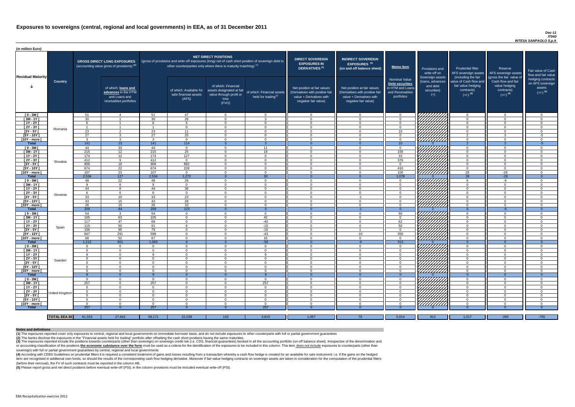### *Dec-11 IT040 INTESA SANPAOLO S.p.A*

(4) According with CEBS Guidelines on prudential filters it is required a consistent treatment of gains and losses resulting from a transaction whereby a cash flow hedge is created for an available for sale instrument: i.e item are recognised in additional own funds, so should the results of the corresponding cash flow hedging derivative. Moreover if fair-value hedging contracts on sovereign assets are taken in consideration for the computat (before their removal), the FV of such contracts must be reported in the column AB.

| (in million Euro)             |                     |                 |                                                                                             |                                                                                                                                                                                                                  |                                                           |                                                                                              |                                                                              |                                                                                                                    |                                                                                                                    |                                                                                              |                                                                          |                                                                                                             |                                                                                                         |                                                                           |
|-------------------------------|---------------------|-----------------|---------------------------------------------------------------------------------------------|------------------------------------------------------------------------------------------------------------------------------------------------------------------------------------------------------------------|-----------------------------------------------------------|----------------------------------------------------------------------------------------------|------------------------------------------------------------------------------|--------------------------------------------------------------------------------------------------------------------|--------------------------------------------------------------------------------------------------------------------|----------------------------------------------------------------------------------------------|--------------------------------------------------------------------------|-------------------------------------------------------------------------------------------------------------|---------------------------------------------------------------------------------------------------------|---------------------------------------------------------------------------|
| <b>Residual Maturity</b>      |                     |                 | <b>GROSS DIRECT LONG EXPOSURES</b><br>(accounting value gross of provisions) <sup>(1)</sup> | <b>NET DIRECT POSITIONS</b><br>(gross of provisions and write-off exposures (long) net of cash short position of sovereign debt to<br>other counterparties only where there is maturity matching) <sup>(1)</sup> |                                                           |                                                                                              | <b>DIRECT SOVEREIGN</b><br><b>EXPOSURES IN</b><br>DERIVATIVES <sup>(1)</sup> | <b>INDIRECT SOVEREIGN</b><br>EXPOSURES <sup>(3)</sup><br>(on and off balance sheet)                                | <b>Memo Item</b>                                                                                                   | Provisions and<br>write-off on                                                               | <b>Prudential filter</b><br>AFS sovereign assets                         | Reserve<br>AFS sovereign assets                                                                             | Fair value of Cash<br>flow and fair value                                                               |                                                                           |
|                               | <b>Country</b>      |                 | of which: loans and<br>advances in the HTM<br>and Loans and<br>receivables portfolios       |                                                                                                                                                                                                                  | of which: Available for<br>sale financial assets<br>(AFS) | of which: Financial<br>assets designated at fair<br>value through profit or<br>loss<br>(FVO) | of which: Financial assets<br>held for trading <sup>(2)</sup>                | Net position at fair values<br>(Derivatives with positive fair<br>value + Derivatives with<br>negative fair value) | Net position at fair values<br>(Derivatives with positive fair<br>value + Derivatives with<br>negative fair value) | <b>Nominal Value</b><br>Debt securities<br>in HTM and Loans<br>and Receivables<br>portfolios | Sovereign assets<br>(loans, advances<br>and debt<br>securities)<br>$(+)$ | (including the fair<br>value of Cash flow and<br>fair value hedging<br>contracts)<br>$(+/-)$ <sup>(4)</sup> | (gross the fair value of<br>Cash flow and fair<br>value hedging<br>contracts)<br>$(+/-)$ <sup>(4)</sup> | hedging contracts<br>on AFS sovereign<br>assets<br>$(+/-)$ <sup>(4)</sup> |
| $[0 - 3M]$                    |                     | 51              |                                                                                             | 51                                                                                                                                                                                                               | 47                                                        | $\Omega$                                                                                     | $\overline{0}$                                                               | - 0                                                                                                                | $\Omega$                                                                                                           | $\Omega$                                                                                     | VIIIIIIIII                                                               | $\overline{0}$                                                                                              | $\Omega$                                                                                                | - ೧                                                                       |
| $[3M - 1Y]$                   |                     | 30              | $\overline{1}$                                                                              | 30                                                                                                                                                                                                               | 26                                                        | $\Omega$                                                                                     | $\mathbf{3}$                                                                 | $\cap$                                                                                                             | $\Omega$                                                                                                           | $\Omega$                                                                                     |                                                                          | $\overline{0}$                                                                                              | $\Omega$                                                                                                | $\cap$                                                                    |
| $[1Y - 2Y]$                   |                     | 6               | $\overline{1}$                                                                              | $\epsilon$                                                                                                                                                                                                       | $5^{\circ}$                                               | $\Omega$                                                                                     | $\Omega$                                                                     | $\Omega$                                                                                                           | $\Omega$                                                                                                           | $\Omega$                                                                                     |                                                                          | $\overline{0}$                                                                                              | $\Omega$                                                                                                | $\Omega$                                                                  |
| [2Y - 3Y [                    | Romania             | $\overline{1}$  | $\overline{1}$                                                                              |                                                                                                                                                                                                                  | $\Omega$                                                  | $\Omega$                                                                                     | $\overline{0}$                                                               | $\Omega$                                                                                                           | $\Omega$                                                                                                           | $\overline{0}$                                                                               |                                                                          | $\overline{0}$                                                                                              | $\Omega$                                                                                                | $\Omega$                                                                  |
| $[3Y - 5Y]$<br>$[5Y - 10Y]$   |                     | 23<br>27        | $\mathcal{D}$<br>$\mathcal{R}$                                                              | 23<br>27                                                                                                                                                                                                         | 11<br>25                                                  | $\Omega$<br>$\cap$                                                                           | $\Omega$<br>$\Omega$                                                         | <u>റ</u><br>$\Omega$                                                                                               | $\Omega$<br>$\Omega$                                                                                               | 10 <sup>1</sup>                                                                              |                                                                          | $\overline{0}$<br>$\overline{2}$                                                                            | $\Omega$<br>$\mathcal{R}$                                                                               | <b>O</b>                                                                  |
| [10Y - more [                 |                     | $\mathbf{3}$    | $\mathcal{R}$                                                                               | $\mathbf{3}$                                                                                                                                                                                                     | $\Omega$                                                  | $\cap$                                                                                       | $\Omega$                                                                     | $\cap$                                                                                                             | $\Omega$                                                                                                           | $\overline{0}$<br>$\Omega$                                                                   | HHHH                                                                     | $\Omega$                                                                                                    | $\Omega$                                                                                                | $-5$<br>$\Omega$                                                          |
| <b>Total</b>                  |                     | 141             | 15                                                                                          | 141                                                                                                                                                                                                              | $\overline{114}$                                          |                                                                                              | 3                                                                            |                                                                                                                    |                                                                                                                    | $\overline{10}$                                                                              |                                                                          | $\overline{2}$                                                                                              |                                                                                                         | $-5$                                                                      |
| $[0 - 3M]$                    |                     | 44              | 33                                                                                          | 44                                                                                                                                                                                                               | $\Omega$                                                  | $\cap$                                                                                       | 11                                                                           | $\Omega$                                                                                                           | $\Omega$                                                                                                           | $\Omega$                                                                                     |                                                                          | $\Omega$                                                                                                    | $\Omega$                                                                                                | $\Omega$                                                                  |
| $[3M-1\overline{Y}]$          |                     | 215             | 12                                                                                          | 215                                                                                                                                                                                                              | 25                                                        | $\Omega$                                                                                     | 19                                                                           | $\Omega$                                                                                                           | $\Omega$                                                                                                           | 159                                                                                          | HAHARA<br>HAHARA                                                         | $\Omega$                                                                                                    | $\Omega$                                                                                                | - 0                                                                       |
| $[1Y - 2Y]$                   |                     | 174             | 12                                                                                          | 174                                                                                                                                                                                                              | 127                                                       | $\Omega$                                                                                     | $\Omega$                                                                     | $\cap$                                                                                                             | $\Omega$                                                                                                           | 33                                                                                           |                                                                          | $\Omega$                                                                                                    | $\Omega$                                                                                                | $\cap$                                                                    |
| $[2Y - 3Y]$                   | Slovakia            | 412             | $\Omega$                                                                                    | 412                                                                                                                                                                                                              | $\Omega$                                                  | $\Omega$                                                                                     | $\overline{0}$                                                               | $\Omega$                                                                                                           | $\Omega$                                                                                                           | 376                                                                                          |                                                                          | $\Omega$                                                                                                    | $\Omega$                                                                                                | $\cap$                                                                    |
| $[3Y - 5Y]$                   |                     | 908             | 16                                                                                          | 908                                                                                                                                                                                                              | 892                                                       | $\Omega$                                                                                     | $\overline{0}$                                                               | $\cap$                                                                                                             | $\Omega$                                                                                                           | $\Omega$                                                                                     |                                                                          | $\Omega$                                                                                                    | $\Omega$                                                                                                | - 0                                                                       |
| [5Y - 10Y [                   |                     | 674             | $\overline{22}$                                                                             | 674                                                                                                                                                                                                              | 228                                                       | $\Omega$                                                                                     | $\overline{0}$                                                               | $\cap$                                                                                                             | $\Omega$                                                                                                           | 410                                                                                          |                                                                          | $\Omega$                                                                                                    | $\Omega$                                                                                                | $\cap$                                                                    |
| [10Y - more [                 |                     | 107             | 23                                                                                          | 107                                                                                                                                                                                                              | $\Omega$                                                  | $\cap$                                                                                       | $\overline{0}$                                                               | $\cap$                                                                                                             | $\Omega$                                                                                                           | 100                                                                                          |                                                                          | 28                                                                                                          | $-28$                                                                                                   | $\cap$                                                                    |
| Total                         |                     | 2,534           | 127                                                                                         | 2,534                                                                                                                                                                                                            | 1,272                                                     |                                                                                              | 30                                                                           | - റ<br>$\cap$                                                                                                      | $\Omega$                                                                                                           | 1,078                                                                                        |                                                                          | $\overline{28}$                                                                                             | $-28$                                                                                                   | $\overline{0}$<br>$\cap$                                                  |
| $[0 - 3M]$                    |                     | -48<br><b>Q</b> | $\overline{22}$                                                                             | 48<br>$\Omega$                                                                                                                                                                                                   | $\overline{26}$<br>$\Omega$                               | $\Omega$<br>$\Omega$                                                                         | $\overline{0}$<br>$\overline{0}$                                             | $\cap$                                                                                                             |                                                                                                                    | $\Omega$<br>$\Omega$                                                                         |                                                                          | 6<br>$\Omega$                                                                                               | -6<br>$\Omega$                                                                                          | $\cap$                                                                    |
| $[3M - 1Y]$<br>$[1Y - 2Y]$    |                     | 44              |                                                                                             | 44                                                                                                                                                                                                               | 36                                                        | $\cap$                                                                                       | $\Omega$                                                                     | $\Omega$                                                                                                           |                                                                                                                    | $\Omega$                                                                                     |                                                                          | $\Omega$                                                                                                    | $\Omega$                                                                                                | $\Omega$                                                                  |
| $[2Y - 3Y]$                   |                     | 6               |                                                                                             |                                                                                                                                                                                                                  | $\Omega$                                                  |                                                                                              | $\Omega$                                                                     |                                                                                                                    |                                                                                                                    | $\Omega$                                                                                     |                                                                          | $\Omega$                                                                                                    | $\Omega$                                                                                                |                                                                           |
| $[3Y - 5Y]$                   | Slovenia            | 33              | 10                                                                                          | 33                                                                                                                                                                                                               | 23                                                        |                                                                                              | $\Omega$                                                                     |                                                                                                                    | -1                                                                                                                 |                                                                                              | $\mathbb{Z}$                                                             | <b>U</b>                                                                                                    |                                                                                                         |                                                                           |
| $[5Y - 10Y]$                  |                     | 43              | 15                                                                                          | 43                                                                                                                                                                                                               | 28                                                        | 0                                                                                            | $\Omega$                                                                     |                                                                                                                    |                                                                                                                    | $\Omega$                                                                                     |                                                                          | $\Omega$                                                                                                    |                                                                                                         |                                                                           |
| [10Y - more ]                 |                     | 26              | 15                                                                                          | 26                                                                                                                                                                                                               | 10 <sup>1</sup>                                           | $\Omega$                                                                                     | $\Omega$                                                                     | $\cap$                                                                                                             | $\Omega$                                                                                                           | $\Omega$                                                                                     |                                                                          | $\Omega$                                                                                                    | $\Omega$                                                                                                | $\cap$                                                                    |
| <b>Total</b>                  |                     | 209             | 84                                                                                          | 209                                                                                                                                                                                                              | 123                                                       |                                                                                              | $\overline{0}$                                                               |                                                                                                                    | $-1$                                                                                                               | $\Omega$                                                                                     |                                                                          |                                                                                                             | $-6$                                                                                                    | $\Omega$                                                                  |
| $[0 - 3M]$                    |                     | 54              | -3                                                                                          | 54                                                                                                                                                                                                               | $\Omega$                                                  | $\Omega$                                                                                     | $\overline{0}$                                                               | $\Omega$                                                                                                           | $\Omega$                                                                                                           | 50                                                                                           | 7777777777                                                               | $\overline{0}$                                                                                              | $\Omega$                                                                                                | $\cap$                                                                    |
| $[3M - 1Y]$                   |                     | 105             | 63                                                                                          | 105                                                                                                                                                                                                              | $\Omega$                                                  | $\Omega$                                                                                     | 42                                                                           | $\Omega$                                                                                                           | $\Omega$                                                                                                           | $\Omega$                                                                                     | ШШЛ                                                                      | $\overline{0}$                                                                                              | $\Omega$                                                                                                | $\Omega$                                                                  |
| $[1Y - 2Y]$                   |                     | 117             | 47                                                                                          | 69                                                                                                                                                                                                               | $\Omega$                                                  | $\Omega$                                                                                     | $-40$                                                                        | $\Omega$                                                                                                           | $\Omega$                                                                                                           | 62                                                                                           |                                                                          | $\overline{0}$                                                                                              | $\Omega$                                                                                                | $\Omega$                                                                  |
| $[2Y - 3Y]$                   | Spain               | 115             | 50                                                                                          | 91                                                                                                                                                                                                               | 6                                                         | $\Omega$                                                                                     | $-15$                                                                        | $\Omega$                                                                                                           | $\Omega$                                                                                                           | 50                                                                                           |                                                                          | $\overline{0}$                                                                                              | $\Omega$                                                                                                | $\Omega$                                                                  |
| $[3Y - 5Y]$                   |                     | 106             | 95                                                                                          | 79                                                                                                                                                                                                               | $\Omega$                                                  | $\Omega$                                                                                     | $-16$                                                                        | $\Omega$                                                                                                           |                                                                                                                    | $\Omega$                                                                                     |                                                                          | $\overline{0}$                                                                                              | $\Omega$                                                                                                | $\Omega$                                                                  |
| $[5Y - 10Y]$                  |                     | 647             | 291                                                                                         | 598                                                                                                                                                                                                              | $\Omega$                                                  | $\Omega$                                                                                     | $-43$                                                                        | $\Omega$                                                                                                           | $-10$                                                                                                              | 350                                                                                          | HHHA<br>HHHA                                                             | $\overline{0}$                                                                                              | $\Omega$                                                                                                | $\Omega$                                                                  |
| [10Y - more ]<br><b>Total</b> |                     | 68<br>1,212     | 52<br>601                                                                                   | 67<br>1,063                                                                                                                                                                                                      | $\Omega$                                                  | $\Omega$                                                                                     | 16<br>$-56$                                                                  | $\Omega$                                                                                                           | $\Omega$<br>$-9$                                                                                                   | $\Omega$<br>512                                                                              |                                                                          | $\overline{0}$<br>$\Omega$                                                                                  | $\Omega$                                                                                                | $\cap$<br>$\Omega$                                                        |
| $[0 - 3M]$                    |                     | $\Omega$        | $\Omega$                                                                                    | $\Omega$                                                                                                                                                                                                         | $\Omega$                                                  | $\Omega$                                                                                     | $\Omega$                                                                     | $\Omega$                                                                                                           | $\Omega$                                                                                                           | $\Omega$                                                                                     |                                                                          | $\Omega$                                                                                                    | $\mathbf{0}$                                                                                            | $\Omega$                                                                  |
| $[3M-1Y]$                     |                     | $\Omega$        | $\Omega$                                                                                    | $\Omega$                                                                                                                                                                                                         | $\Omega$                                                  | $\Omega$                                                                                     | $\overline{0}$                                                               | $\Omega$                                                                                                           | $\Omega$                                                                                                           | $\Omega$                                                                                     |                                                                          | $\Omega$                                                                                                    | $\Omega$                                                                                                | - 0                                                                       |
| $[1Y - 2Y]$                   |                     | <b>Q</b>        | $\Omega$                                                                                    | <b>Q</b>                                                                                                                                                                                                         | $\Omega$                                                  | $\Omega$                                                                                     | -9                                                                           | $\Omega$                                                                                                           | $\Omega$                                                                                                           | $\Omega$                                                                                     |                                                                          | $\Omega$                                                                                                    | $\Omega$                                                                                                | $\Omega$                                                                  |
| $[2Y - 3Y]$                   |                     | $\Omega$        | $\Omega$                                                                                    | $\Omega$                                                                                                                                                                                                         | $\Omega$                                                  | $\Omega$                                                                                     | $\overline{0}$                                                               | - 0                                                                                                                | $\Omega$                                                                                                           | $\Omega$                                                                                     |                                                                          | $\overline{0}$                                                                                              | $\Omega$                                                                                                | - 0                                                                       |
| [3Y - 5Y]                     | Sweden              | റ -             | $\Omega$                                                                                    | $\Omega$                                                                                                                                                                                                         | $\Omega$                                                  | $\Omega$                                                                                     | $\overline{0}$                                                               | - 0                                                                                                                | $\Omega$                                                                                                           | $\Omega$                                                                                     |                                                                          | $\Omega$                                                                                                    | $\Omega$                                                                                                | - 0                                                                       |
| [5Y - 10Y [                   |                     | $\Omega$        | $\Omega$                                                                                    | $\Omega$                                                                                                                                                                                                         | $\Omega$                                                  | $\Omega$                                                                                     | $\overline{0}$                                                               | $\cap$                                                                                                             | $\Omega$                                                                                                           | $\Omega$                                                                                     |                                                                          | $\Omega$                                                                                                    | $\Omega$                                                                                                | $\Omega$                                                                  |
| [10Y - more [                 |                     | $\Omega$        | $\Omega$                                                                                    | $\Omega$                                                                                                                                                                                                         | $\Omega$                                                  | $\Omega$                                                                                     | $\overline{0}$                                                               | $\Omega$                                                                                                           | $\Omega$                                                                                                           | $\Omega$                                                                                     | TIJJITA<br>HANA<br>HANAA                                                 | $\Omega$                                                                                                    | $\Omega$                                                                                                | - 0                                                                       |
| <b>Total</b>                  |                     | - വ             | $\Omega$                                                                                    |                                                                                                                                                                                                                  | $\Omega$                                                  |                                                                                              | $\alpha$                                                                     |                                                                                                                    |                                                                                                                    | -0                                                                                           |                                                                          | $\Omega$                                                                                                    | $\Omega$                                                                                                | $\overline{0}$                                                            |
| $[0 - 3M]$                    |                     | $\Omega$        | $\Omega$                                                                                    | $\Omega$                                                                                                                                                                                                         | $\Omega$                                                  | $\Omega$                                                                                     | $\Omega$                                                                     | $\Omega$                                                                                                           | $\Omega$                                                                                                           | $\Omega$                                                                                     | .<br>ШШШ                                                                 | $\Omega$                                                                                                    | $\Omega$                                                                                                | $\cap$                                                                    |
| $[3M - 1Y]$                   |                     | 257             | $\Omega$                                                                                    | 257                                                                                                                                                                                                              | $\Omega$                                                  | $\Omega$                                                                                     | 257                                                                          | $\Omega$                                                                                                           | $\Omega$                                                                                                           | $\Omega$                                                                                     |                                                                          | $\overline{0}$                                                                                              | $\Omega$                                                                                                | $\Omega$                                                                  |
| $[1Y - 2Y]$                   |                     | $\Omega$        | $\Omega$                                                                                    | $\Omega$                                                                                                                                                                                                         | $\Omega$                                                  | $\Omega$                                                                                     | $\overline{0}$                                                               | $\Omega$                                                                                                           | $\Omega$                                                                                                           | $\Omega$                                                                                     | HAAAA<br>HAAAA                                                           | $\Omega$                                                                                                    | $\Omega$                                                                                                | $\Omega$                                                                  |
| [2Y - 3Y]                     | United Kingdom      | റ               |                                                                                             | $\Omega$                                                                                                                                                                                                         | $\Omega$                                                  | $\Omega$                                                                                     | $\Omega$                                                                     | $\Omega$<br>$\Omega$                                                                                               | ∩                                                                                                                  | $\Omega$                                                                                     |                                                                          | $\Omega$                                                                                                    | $\Omega$                                                                                                | $\cap$<br>$\cap$                                                          |
| $[3Y - 5Y]$<br>$[5Y - 10Y]$   |                     | റ<br>$\Omega$   |                                                                                             | $\Omega$<br>$\Omega$                                                                                                                                                                                             | - 0<br>- 0                                                | $\Omega$<br>$\Omega$                                                                         | $\Omega$<br>$\Omega$                                                         |                                                                                                                    |                                                                                                                    | $\Omega$<br>$\Omega$                                                                         |                                                                          | $\Omega$<br>$\Omega$                                                                                        | $\Omega$<br>$\Omega$                                                                                    |                                                                           |
| [10Y - more ]                 |                     | $\Omega$        | $\cap$                                                                                      | $\Omega$                                                                                                                                                                                                         | $\cap$                                                    | $\Omega$                                                                                     | $\Omega$                                                                     | $\cap$                                                                                                             |                                                                                                                    | $\cap$                                                                                       | HHHHA                                                                    | $\Omega$                                                                                                    |                                                                                                         | $\cap$                                                                    |
| <b>Total</b>                  |                     | 257             |                                                                                             | 257                                                                                                                                                                                                              |                                                           |                                                                                              | 257                                                                          |                                                                                                                    |                                                                                                                    |                                                                                              |                                                                          |                                                                                                             |                                                                                                         |                                                                           |
|                               |                     |                 |                                                                                             |                                                                                                                                                                                                                  |                                                           |                                                                                              |                                                                              |                                                                                                                    |                                                                                                                    |                                                                                              |                                                                          |                                                                                                             |                                                                                                         |                                                                           |
|                               | <b>TOTAL EEA 30</b> | 61,333          | 27,642                                                                                      | 59,171                                                                                                                                                                                                           | 22,238                                                    | 133                                                                                          | 3,819                                                                        | 1,057                                                                                                              | 79                                                                                                                 | 5,014                                                                                        | 812                                                                      | 1,017                                                                                                       | $-265$                                                                                                  | $-755$                                                                    |

(3) The exposures reported include the positions towards counterparts (other than sovereign) on sovereign credit risk (i.e. CDS, financial guarantees) booked in all the accounting portfolio (on-off balance sheet). Irrespec or accounting classification of the positions the economic substance over the form must be used as a criteria for the identification of the exposures to be included in this column. This item does not include exposures to c sovereign) with full or partial government guarantees by central, regional and local governments

**(5)** Please report gross and net direct positions before eventual write-off (PSI); in the column provisions must be included eventual write-off (PSI).

#### **Notes and definitions**

**(1)** The exposures reported cover only exposures to central, regional and local governments on immediate borrower basis, and do not include exposures to other counterparts with full or partial government guarantees **(2)** The banks disclose the exposures in the "Financial assets held for trading" portfolio after offsetting the cash short positions having the same maturities.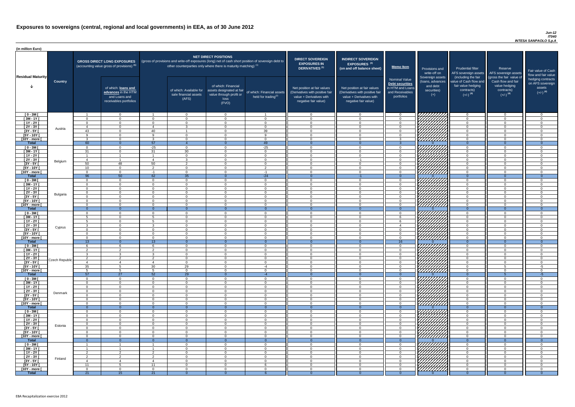| (in million Euro)                      |                       |                      |                                                                                       |                              |                                                                   |                                                                                              |                                                                                                     |                                                                                                                    |                                                                                                                    |                                                                                              |                                                                                                                                                                                                                                        |                                                                                                             |                                                                                                         |                                          |
|----------------------------------------|-----------------------|----------------------|---------------------------------------------------------------------------------------|------------------------------|-------------------------------------------------------------------|----------------------------------------------------------------------------------------------|-----------------------------------------------------------------------------------------------------|--------------------------------------------------------------------------------------------------------------------|--------------------------------------------------------------------------------------------------------------------|----------------------------------------------------------------------------------------------|----------------------------------------------------------------------------------------------------------------------------------------------------------------------------------------------------------------------------------------|-------------------------------------------------------------------------------------------------------------|---------------------------------------------------------------------------------------------------------|------------------------------------------|
|                                        |                       |                      | <b>GROSS DIRECT LONG EXPOSURES</b><br>(accounting value gross of provisions) (1)      |                              | other counterparties only where there is maturity matching) $(1)$ | <b>NET DIRECT POSITIONS</b>                                                                  | (gross of provisions and write-off exposures (long) net of cash short position of sovereign debt to | <b>DIRECT SOVEREIGN</b><br><b>EXPOSURES IN</b><br><b>DERIVATIVES<sup>(1)</sup></b>                                 | <b>INDIRECT SOVEREIGN</b><br>EXPOSURES <sup>(3)</sup><br>(on and off balance sheet)                                | <b>Memo Item</b>                                                                             | Provisions and<br>write-off on                                                                                                                                                                                                         | <b>Prudential filter</b><br>AFS sovereign assets                                                            | Reserve<br>AFS sovereign assets                                                                         | Fair value<br>flow and f                 |
| <b>Residual Maturity</b>               | <b>Country</b>        |                      | of which: loans and<br>advances in the HTM<br>and Loans and<br>receivables portfolios |                              | of which: Available for<br>sale financial assets<br>(AFS)         | of which: Financial<br>assets designated at fair<br>value through profit or<br>loss<br>(FVO) | of which: Financial assets<br>held for trading $^{(2)}$                                             | Net position at fair values<br>(Derivatives with positive fair<br>value + Derivatives with<br>negative fair value) | Net position at fair values<br>(Derivatives with positive fair<br>value + Derivatives with<br>negative fair value) | <b>Nominal Value</b><br>Debt securities<br>in HTM and Loans<br>and Receivables<br>portfolios | Sovereign assets<br>(Ioans, advances<br>and debt<br>securities)<br>$(+)$                                                                                                                                                               | (including the fair<br>value of Cash flow and<br>fair value hedging<br>contracts)<br>$(+/-)$ <sup>(4)</sup> | (gross the fair value of<br>Cash flow and fair<br>value hedging<br>contracts)<br>$(+/-)$ <sup>(4)</sup> | hedging c<br>on AFS so<br>ass<br>$(+/-)$ |
| $[0 - 3M]$                             |                       |                      | $\Omega$                                                                              | $\overline{1}$               | $\Omega$                                                          | $\Omega$                                                                                     | $\overline{1}$                                                                                      | $\overline{0}$                                                                                                     | $\Omega$                                                                                                           | $\overline{0}$                                                                               |                                                                                                                                                                                                                                        | $\Omega$                                                                                                    | $\overline{0}$                                                                                          |                                          |
| $[3M - 1Y]$                            |                       | $\cap$<br>$\Omega$   | $\Omega$<br>$\Omega$                                                                  | $\Omega$<br>$\Omega$         | $\overline{0}$<br>$\Omega$                                        | $\Omega$<br>$\Omega$                                                                         | $\Omega$<br>$\Omega$                                                                                | $\overline{0}$<br>$\Omega$                                                                                         | റ                                                                                                                  | $\overline{0}$<br>$\Omega$                                                                   |                                                                                                                                                                                                                                        |                                                                                                             | $\Omega$<br>$\overline{0}$                                                                              |                                          |
| $[1Y - 2Y]$<br>$[2Y - 3Y]$             |                       | $\overline{4}$       | $\Omega$                                                                              | $\boldsymbol{\varDelta}$     | $\mathcal{R}$                                                     | $\Omega$                                                                                     | $\Omega$                                                                                            | $\overline{0}$                                                                                                     | $\cap$                                                                                                             | $\Omega$                                                                                     |                                                                                                                                                                                                                                        | $\cap$                                                                                                      | $\overline{0}$                                                                                          |                                          |
| $[3Y - 5Y]$                            | Austria               | 43                   | $\Omega$                                                                              | 40                           |                                                                   | $\Omega$                                                                                     | 39                                                                                                  | $\Omega$                                                                                                           | റ                                                                                                                  | $\Omega$                                                                                     | HANG SANG                                                                                                                                                                                                                              | $\cap$                                                                                                      | $\Omega$                                                                                                |                                          |
| $[5Y - 10Y]$                           |                       |                      | $\Omega$                                                                              | <b>Q</b>                     | $\Omega$                                                          | $\Omega$                                                                                     | $\Omega$                                                                                            | $\Omega$                                                                                                           |                                                                                                                    | $\Omega$                                                                                     |                                                                                                                                                                                                                                        |                                                                                                             | $\Omega$                                                                                                |                                          |
| [10Y - more [<br><b>Total</b>          |                       | 60                   | $\Omega$                                                                              | ્વ<br>57                     | $\Omega$                                                          | $\cap$<br>$\Omega$                                                                           | $\Omega$<br>49                                                                                      | $\Omega$                                                                                                           | $\Omega$                                                                                                           |                                                                                              | 77777777                                                                                                                                                                                                                               | $\cap$                                                                                                      | $\Omega$<br>$\Omega$                                                                                    |                                          |
| $[0 - 3M]$                             |                       | $\Omega$             | $\Omega$                                                                              | $-25$                        | $\Omega$                                                          | $\Omega$                                                                                     | $-25$                                                                                               | $\Omega$                                                                                                           | $\Omega$                                                                                                           | $\Omega$                                                                                     |                                                                                                                                                                                                                                        | $\cap$                                                                                                      | $\Omega$                                                                                                |                                          |
| $[3M - 1Y]$                            |                       | 31                   | $\Omega$                                                                              | 31                           | 30                                                                | $\Omega$                                                                                     | $\Omega$                                                                                            | $\Omega$                                                                                                           | $\Omega$                                                                                                           | $\Omega$                                                                                     | THAT A                                                                                                                                                                                                                                 | $\Omega$                                                                                                    | $\Omega$                                                                                                |                                          |
| [ 1Y - 2Y [                            |                       |                      | - 1                                                                                   | $\overline{1}$               | $\Omega$                                                          | $\Omega$                                                                                     | $\overline{0}$                                                                                      | $\overline{0}$                                                                                                     | $\Omega$                                                                                                           | $\overline{0}$                                                                               |                                                                                                                                                                                                                                        | $\Omega$                                                                                                    | $\overline{0}$                                                                                          |                                          |
| $[2Y - 3Y]$<br>$[3Y - 5Y]$             | Belgium               | $\overline{4}$<br>50 | 48                                                                                    | $\boldsymbol{\Lambda}$<br>50 | $\mathbf{R}$<br>2                                                 | $\Omega$<br>$\Omega$                                                                         | $\overline{0}$<br>$\overline{0}$                                                                    | $\Omega$<br>$\Omega$                                                                                               | $-1$<br>$\Omega$                                                                                                   | $\overline{0}$<br>$\overline{0}$                                                             |                                                                                                                                                                                                                                        | $\Omega$<br>$\Omega$                                                                                        | $\Omega$<br>$\overline{0}$                                                                              |                                          |
| $[5Y - 10Y]$                           |                       | 10 <sup>°</sup>      | $\Omega$                                                                              | $\overline{2}$               | $\overline{0}$                                                    | $\Omega$                                                                                     | 2                                                                                                   | $\Omega$                                                                                                           | - റ                                                                                                                | $\overline{0}$                                                                               |                                                                                                                                                                                                                                        | $\Omega$                                                                                                    | $\overline{0}$                                                                                          |                                          |
| [10Y - more [                          |                       | $\Omega$             | $\Omega$                                                                              | $-1$                         | $\overline{0}$                                                    | $\Omega$                                                                                     | $-1$                                                                                                | $\Omega$                                                                                                           | $\cap$                                                                                                             | $\Omega$                                                                                     |                                                                                                                                                                                                                                        | $\cap$                                                                                                      | $\Omega$                                                                                                |                                          |
| <b>Total</b>                           |                       | 96                   | 50                                                                                    | 62                           | 35                                                                | $\cap$                                                                                       | $-24$                                                                                               | $\Omega$                                                                                                           | $-1$                                                                                                               | $\Omega$                                                                                     |                                                                                                                                                                                                                                        | $\Omega$                                                                                                    | $\Omega$                                                                                                |                                          |
| $[0 - 3M]$<br>$[3M - 1Y]$              |                       | $\Omega$<br>$\cap$   | $\Omega$<br>$\Omega$                                                                  | $\Omega$<br>$\Omega$         | $\overline{0}$<br>$\Omega$                                        | $\Omega$<br>$\Omega$                                                                         | $\overline{0}$<br>$\Omega$                                                                          | $\Omega$<br>$\Omega$                                                                                               | $\Omega$<br>$\cap$                                                                                                 | $\Omega$<br>$\Omega$                                                                         |                                                                                                                                                                                                                                        | $\cap$<br>$\cap$                                                                                            | $\Omega$<br>$\Omega$                                                                                    |                                          |
| $[1Y - 2Y]$                            |                       | $\cap$               | $\Omega$                                                                              | $\Omega$                     | $\Omega$                                                          | $\Omega$                                                                                     | $\Omega$                                                                                            | $\Omega$                                                                                                           |                                                                                                                    | $\cap$                                                                                       | <i>VHHHA</i>                                                                                                                                                                                                                           | $\cap$                                                                                                      | $\Omega$                                                                                                |                                          |
| $[2Y - 3Y]$                            | Bulgaria              | $\Omega$             | $\Omega$                                                                              | $\Omega$                     | $\Omega$                                                          | $\Omega$                                                                                     | $\Omega$                                                                                            | $\overline{0}$                                                                                                     | $\Omega$                                                                                                           | $\Omega$                                                                                     | $\mathbb{Z}/\mathbb{Z}/\mathbb{Z}$                                                                                                                                                                                                     | $\Omega$                                                                                                    | $\overline{0}$                                                                                          |                                          |
| [3Y - 5Y [                             |                       |                      |                                                                                       |                              |                                                                   |                                                                                              |                                                                                                     |                                                                                                                    |                                                                                                                    |                                                                                              |                                                                                                                                                                                                                                        |                                                                                                             |                                                                                                         |                                          |
| $[5Y - 10Y]$<br>[10Y - more [          |                       | $\cap$<br>$\Omega$   | $\Omega$<br>$\Omega$                                                                  | $\Omega$<br>$\Omega$         | $\Omega$<br>$\Omega$                                              | $\Omega$<br>$\Omega$                                                                         | $\Omega$<br>$\Omega$                                                                                | $\Omega$<br>$\Omega$                                                                                               | റ                                                                                                                  | $\cap$<br>$\cap$                                                                             | HHHH                                                                                                                                                                                                                                   | $\cap$                                                                                                      | $\Omega$<br>$\Omega$                                                                                    |                                          |
| <b>Total</b>                           |                       | $\overline{0}$       | $\Omega$                                                                              | - ೧                          | $\Omega$                                                          | $\Omega$                                                                                     |                                                                                                     |                                                                                                                    | $\Omega$                                                                                                           | $\Omega$                                                                                     |                                                                                                                                                                                                                                        | $\Omega$                                                                                                    | $\Omega$                                                                                                |                                          |
| $[0 - 3M]$                             |                       | $\cap$               | $\Omega$                                                                              | $\Omega$                     | $\Omega$                                                          | $\Omega$                                                                                     | $\Omega$                                                                                            | $\Omega$                                                                                                           | $\Omega$                                                                                                           | $\cap$                                                                                       |                                                                                                                                                                                                                                        |                                                                                                             | $\Omega$                                                                                                |                                          |
| $[3M - 1Y]$                            |                       |                      | $\overline{0}$                                                                        | 5                            | $\overline{0}$                                                    | $\Omega$                                                                                     | $\overline{0}$                                                                                      | $\overline{0}$                                                                                                     | $\Omega$                                                                                                           |                                                                                              | HAHA                                                                                                                                                                                                                                   | $\Omega$                                                                                                    | $\overline{0}$                                                                                          |                                          |
| $[1Y - 2Y]$<br>$[2Y - 3Y]$             |                       | -5                   | $\Omega$<br>$\Omega$                                                                  | -5<br>-3                     | $\Omega$<br>$\Omega$                                              | - 0<br>$\Omega$                                                                              | $\Omega$<br>$\mathbf{0}$                                                                            | $\Omega$<br>$\Omega$                                                                                               | $\Omega$<br>$\Omega$                                                                                               |                                                                                              |                                                                                                                                                                                                                                        | $\cap$                                                                                                      | $\Omega$<br>$\Omega$                                                                                    |                                          |
| $\overline{3Y - 5Y}$                   | Cyprus                |                      | $\Omega$                                                                              | $\Omega$                     | $\overline{0}$                                                    | $\Omega$                                                                                     | $\mathbf 0$                                                                                         | $\Omega$                                                                                                           |                                                                                                                    | $\Omega$                                                                                     | ШШЛ                                                                                                                                                                                                                                    |                                                                                                             | $\mathbf 0$                                                                                             |                                          |
| $[5Y - 10Y]$                           |                       |                      | $\Omega$                                                                              | $\Omega$                     | $\Omega$                                                          | - 0                                                                                          | $\Omega$                                                                                            | $\Omega$                                                                                                           | $\Omega$                                                                                                           | $\Omega$                                                                                     |                                                                                                                                                                                                                                        |                                                                                                             | $\Omega$                                                                                                |                                          |
| [10Y - more [                          |                       | $\cap$               | $\Omega$                                                                              | $\Omega$                     | $\Omega$                                                          | $\Omega$                                                                                     | $\Omega$                                                                                            | $\Omega$                                                                                                           | $\cap$                                                                                                             | $\cap$                                                                                       | ( <u>//////////</u>                                                                                                                                                                                                                    |                                                                                                             | $\Omega$                                                                                                |                                          |
| <b>Total</b><br>$[0 - 3M]$             |                       | 13 <sup>°</sup>      |                                                                                       | 13 <sup>°</sup><br>6         | $\Omega$<br>$\Omega$                                              | $\Omega$                                                                                     | $\Omega$                                                                                            | $\Omega$                                                                                                           | $\Omega$                                                                                                           | 16<br>$\cap$                                                                                 |                                                                                                                                                                                                                                        | റ                                                                                                           | $\theta$<br>$\Omega$                                                                                    |                                          |
| $[3M - 1Y]$                            |                       | ົດ                   | $\mathcal{D}$                                                                         | $\mathcal{P}$                | $\Omega$                                                          | $\Omega$                                                                                     | $\Omega$                                                                                            | $\Omega$                                                                                                           | $\Omega$                                                                                                           | $\Omega$                                                                                     | <b>SANARA SANARA SERIKA DENGAN DENGAN DENGAN DENGAN DENGAN DENGAN DENGAN DENGAN DENGAN DENGAN DENGAN DENGAN DENG</b><br>SERIKAN DENGAN DENGAN DENGAN DENGAN DENGAN DENGAN DENGAN DENGAN DENGAN DENGAN DENGAN DENGAN DENGAN DENGAN DENG | റ                                                                                                           | $\Omega$                                                                                                |                                          |
| $[1Y - 2Y]$                            |                       | ູ                    | ્ર                                                                                    | 3                            | $\Omega$                                                          | $\Omega$                                                                                     | $\Omega$                                                                                            | $\Omega$                                                                                                           | $\Omega$                                                                                                           | $\Omega$                                                                                     |                                                                                                                                                                                                                                        | $\cap$                                                                                                      | $\Omega$                                                                                                |                                          |
| $[2Y - 3Y]$                            | <b>Czech Republic</b> | $\overline{2}$       | $\mathcal{D}$                                                                         | 2                            | $\overline{0}$                                                    | $\Omega$                                                                                     | $\Omega$                                                                                            | $\Omega$                                                                                                           | $\Omega$                                                                                                           | $\Omega$                                                                                     |                                                                                                                                                                                                                                        | $\Omega$                                                                                                    | $\Omega$                                                                                                |                                          |
| $\overline{[3Y - 5Y]}$<br>$[5Y - 10Y]$ |                       | $\overline{4}$<br>35 | -4                                                                                    | $\overline{4}$<br>30         | $\overline{0}$<br>29                                              | $\Omega$<br>$\Omega$                                                                         | $\overline{0}$<br>$-4$                                                                              | $\Omega$<br>$\Omega$                                                                                               | $\Omega$<br>$\Omega$                                                                                               | $\overline{0}$<br>$\Omega$                                                                   |                                                                                                                                                                                                                                        | $\Omega$<br>$\Omega$                                                                                        | $\Omega$<br>5                                                                                           |                                          |
| [10Y - more [                          |                       | $\sqrt{2}$           |                                                                                       | $5\overline{5}$              | $\overline{0}$                                                    | $\Omega$                                                                                     | $\overline{0}$                                                                                      | $\Omega$                                                                                                           | $\Omega$                                                                                                           | $\Omega$                                                                                     |                                                                                                                                                                                                                                        | $\Omega$                                                                                                    | $\Omega$                                                                                                |                                          |
| <b>Total</b>                           |                       | 57                   | 27                                                                                    | 52                           | 29                                                                |                                                                                              | $-4$                                                                                                |                                                                                                                    |                                                                                                                    | $\Omega$                                                                                     |                                                                                                                                                                                                                                        | $\Omega$                                                                                                    | b                                                                                                       |                                          |
| $[0 - 3M]$<br>$[3M - 1Y]$              |                       | $\Omega$             | $\overline{0}$                                                                        | $\Omega$<br>$\Omega$         | $\Omega$<br>$\Omega$                                              | $\Omega$                                                                                     | $\mathbf{0}$<br>$\Omega$                                                                            | $\Omega$<br>$\Omega$                                                                                               |                                                                                                                    | $\Omega$                                                                                     |                                                                                                                                                                                                                                        |                                                                                                             | $\Omega$<br>$\Omega$                                                                                    |                                          |
| $[1Y - 2Y]$                            |                       |                      | $\overline{0}$<br>$\overline{0}$                                                      | $\Omega$                     | $\Omega$                                                          | 0<br>- 0                                                                                     | $\Omega$                                                                                            | $\Omega$                                                                                                           | $\Omega$                                                                                                           | $\Omega$                                                                                     |                                                                                                                                                                                                                                        | $\cap$                                                                                                      | $\Omega$                                                                                                |                                          |
| $[2Y - 3Y]$                            | Denmark               | $\cap$               | $\Omega$                                                                              | $\Omega$                     | $\Omega$                                                          | $\Omega$                                                                                     | $\Omega$                                                                                            | $\Omega$                                                                                                           | $\cap$                                                                                                             | . വ                                                                                          |                                                                                                                                                                                                                                        | $\cap$                                                                                                      | $\Omega$                                                                                                |                                          |
| $[3Y - 5Y]$                            |                       | $\cap$               | $\Omega$                                                                              | $\Omega$                     | $\Omega$                                                          | $\Omega$                                                                                     | $\Omega$                                                                                            | $\Omega$                                                                                                           | റ                                                                                                                  | $\cap$                                                                                       |                                                                                                                                                                                                                                        | $\cap$                                                                                                      | $\Omega$                                                                                                |                                          |
| $T5Y - 10Y$<br>[10Y - more [           |                       | $\Omega$<br>$\Omega$ | $\overline{0}$<br>$\Omega$                                                            | $\Omega$<br>$\Omega$         | $\overline{0}$<br>$\Omega$                                        | $\Omega$<br>$\Omega$                                                                         | $\overline{0}$<br>$\Omega$                                                                          | $\Omega$<br>$\Omega$                                                                                               | $\Omega$<br>$\cap$                                                                                                 | $\Omega$<br>. വ                                                                              |                                                                                                                                                                                                                                        | $\cap$<br>$\cap$                                                                                            | $\overline{0}$<br>$\Omega$                                                                              |                                          |
| <b>Total</b>                           |                       | $\overline{0}$       | $\overline{0}$                                                                        | $\Omega$                     | $\overline{0}$                                                    | $\Omega$                                                                                     | $\overline{0}$                                                                                      | $\Omega$                                                                                                           | $\Omega$                                                                                                           | $\Omega$                                                                                     |                                                                                                                                                                                                                                        | $\Omega$                                                                                                    | $\overline{0}$                                                                                          |                                          |
| $[0 - 3M]$                             |                       | $\Omega$             | $\Omega$                                                                              | $\Omega$                     | $\Omega$                                                          | $\Omega$                                                                                     | $\Omega$                                                                                            | $\Omega$                                                                                                           | $\Omega$                                                                                                           | $\Omega$                                                                                     | 777777A                                                                                                                                                                                                                                | $\cap$                                                                                                      | $\Omega$                                                                                                |                                          |
| $[3M - 1Y]$                            |                       | $\Omega$             | $\Omega$                                                                              | $\Omega$                     | $\Omega$                                                          | $\Omega$                                                                                     | $\Omega$                                                                                            | $\Omega$                                                                                                           | $\Omega$                                                                                                           | $\Omega$                                                                                     | 177,                                                                                                                                                                                                                                   | $\cap$                                                                                                      | $\Omega$                                                                                                |                                          |
| $[1Y - 2Y]$<br>$[2Y - 3Y]$             |                       | $\Omega$<br>$\Omega$ | $\Omega$<br>$\Omega$                                                                  | $\Omega$<br>$\Omega$         | $\Omega$<br>$\Omega$                                              | $\Omega$<br>$\Omega$                                                                         | $\Omega$<br>$\mathbf 0$                                                                             | $\Omega$<br>$\overline{0}$                                                                                         | $\Omega$                                                                                                           | $\Omega$<br>$\Omega$                                                                         |                                                                                                                                                                                                                                        |                                                                                                             | $\Omega$<br>$\mathbf 0$                                                                                 |                                          |
| $[3Y - 5Y]$                            | Estonia               | $\Omega$             | $\Omega$                                                                              | - 0                          | $\Omega$                                                          | $\Omega$                                                                                     | $\Omega$                                                                                            | $\Omega$                                                                                                           | $\Omega$                                                                                                           | $\Omega$                                                                                     | UMM).                                                                                                                                                                                                                                  |                                                                                                             | $\Omega$                                                                                                |                                          |
| $[5Y - 10Y]$                           |                       |                      | $\Omega$                                                                              | - 0                          | $\Omega$                                                          | $\Omega$                                                                                     | $\Omega$                                                                                            | $\Omega$                                                                                                           |                                                                                                                    | $\Omega$                                                                                     |                                                                                                                                                                                                                                        |                                                                                                             | $\Omega$                                                                                                |                                          |
| [10Y - more [                          |                       |                      | $\Omega$                                                                              | - 0                          | $\Omega$                                                          | $\Omega$                                                                                     | $\Omega$                                                                                            | $\Omega$                                                                                                           |                                                                                                                    | $\Omega$                                                                                     | V <i>IIIIIII</i>                                                                                                                                                                                                                       |                                                                                                             | $\Omega$                                                                                                |                                          |
| <b>Total</b><br>$[0 - 3M]$             |                       |                      |                                                                                       |                              | $\Omega$<br>$\cap$                                                | $\Omega$                                                                                     | $\Omega$                                                                                            | $\Omega$                                                                                                           |                                                                                                                    |                                                                                              | 777777777                                                                                                                                                                                                                              |                                                                                                             | $\Omega$                                                                                                |                                          |
| $[3M - 1Y]$                            |                       |                      |                                                                                       |                              | $\overline{0}$                                                    | $\Omega$                                                                                     | 0                                                                                                   | $\overline{0}$                                                                                                     | $\overline{0}$                                                                                                     | $\Omega$                                                                                     |                                                                                                                                                                                                                                        | $\overline{0}$                                                                                              | 0                                                                                                       |                                          |
| $[1Y - 2Y]$                            |                       | $\mathcal{D}$        | $\mathcal{D}$                                                                         | 2                            | $\overline{0}$                                                    | $\Omega$                                                                                     | $\overline{0}$                                                                                      | $\overline{0}$                                                                                                     | $\overline{0}$                                                                                                     | $\overline{0}$                                                                               |                                                                                                                                                                                                                                        | $\Omega$                                                                                                    | $\overline{0}$                                                                                          |                                          |
| $[2Y - 3Y]$                            | Finland               | 2                    | $\overline{2}$                                                                        | 2                            | $\overline{0}$                                                    | $\Omega$                                                                                     | $\overline{0}$                                                                                      | $\overline{0}$                                                                                                     | $\Omega$                                                                                                           | $\overline{0}$                                                                               |                                                                                                                                                                                                                                        | $\Omega$                                                                                                    | $\overline{0}$                                                                                          |                                          |
| $[3Y - 5Y]$<br>[5Y - 10Y [             |                       | $\overline{4}$       | $\overline{4}$<br>-5                                                                  | $\overline{\mathbf{4}}$      | $\overline{0}$<br>$\overline{0}$                                  | $\Omega$<br>$\Omega$                                                                         | $\overline{0}$<br>6                                                                                 | $\overline{0}$<br>$\overline{0}$                                                                                   | $\overline{0}$<br>$\overline{0}$                                                                                   | $\overline{0}$<br>$\overline{0}$                                                             |                                                                                                                                                                                                                                        | $\overline{0}$<br>$\Omega$                                                                                  | $\overline{0}$<br>$\overline{0}$                                                                        |                                          |
| [10Y - more [                          |                       | 11<br>$\Omega$       | $\Omega$                                                                              | 11<br>$\Omega$               | $\Omega$                                                          | $\Omega$                                                                                     | $\Omega$                                                                                            | $\Omega$                                                                                                           | $\cap$                                                                                                             | . വ                                                                                          | WITH STATES                                                                                                                                                                                                                            | $\cap$                                                                                                      | $\Omega$                                                                                                |                                          |
| <b>Total</b>                           |                       | 21                   | 15                                                                                    | $\overline{21}$              | $\Omega$                                                          | $\Omega$                                                                                     |                                                                                                     |                                                                                                                    |                                                                                                                    |                                                                                              |                                                                                                                                                                                                                                        | $\Omega$                                                                                                    |                                                                                                         | $\overline{0}$                           |

### *Jun-12 IT040 INTESA SANPAOLO S.p.A*

| <b>DIRECT SOVEREIGN</b><br><b>EXPOSURES IN</b><br><b>DERIVATIVES<sup>(1)</sup></b><br>Net position at fair values<br>(Derivatives with positive fair<br>value + Derivatives with<br>negative fair value) | <b>INDIRECT SOVEREIGN</b><br>EXPOSURES <sup>(3)</sup><br>(on and off balance sheet)<br>Net position at fair values<br>(Derivatives with positive fair<br>value + Derivatives with<br>negative fair value) | <b>Memo Item</b><br><b>Nominal Value</b><br>Debt securities<br>in HTM and Loans<br>and Receivables<br>portfolios | Provisions and<br>write-off on<br>Sovereign assets<br>(loans, advances<br>and debt<br>securities)<br>$(+)$ | <b>Prudential filter</b><br>AFS sovereign assets<br>(including the fair<br>value of Cash flow and<br>fair value hedging<br>contracts)<br>$(+/-)$ <sup>(4)</sup> | Reserve<br>AFS sovereign assets<br>(gross the fair value of<br>Cash flow and fair<br>value hedging<br>contracts)<br>$(+/-)$ <sup>(4)</sup> | Fair value of Cash<br>flow and fair value<br>hedging contracts<br>on AFS sovereign<br>assets<br>$(+/-)$ <sup>(4)</sup> |
|----------------------------------------------------------------------------------------------------------------------------------------------------------------------------------------------------------|-----------------------------------------------------------------------------------------------------------------------------------------------------------------------------------------------------------|------------------------------------------------------------------------------------------------------------------|------------------------------------------------------------------------------------------------------------|-----------------------------------------------------------------------------------------------------------------------------------------------------------------|--------------------------------------------------------------------------------------------------------------------------------------------|------------------------------------------------------------------------------------------------------------------------|
| $\mathbf 0$                                                                                                                                                                                              | $\mathbf 0$                                                                                                                                                                                               | $\mathbf 0$                                                                                                      |                                                                                                            | $\mathbf 0$                                                                                                                                                     | $\mathbf 0$                                                                                                                                | $\mathbf 0$                                                                                                            |
| $\mathbf 0$                                                                                                                                                                                              | $\mathbf 0$                                                                                                                                                                                               | $\boldsymbol{0}$                                                                                                 |                                                                                                            | $\mathbf 0$                                                                                                                                                     | 0                                                                                                                                          | $\mathbf 0$                                                                                                            |
| $\mathbf 0$                                                                                                                                                                                              | $\mathbf 0$                                                                                                                                                                                               | $\pmb{0}$                                                                                                        |                                                                                                            | $\mathbf 0$                                                                                                                                                     | $\mathbf 0$                                                                                                                                | $\mathbf 0$                                                                                                            |
| $\mathbf 0$                                                                                                                                                                                              | $\mathbf 0$                                                                                                                                                                                               | 0                                                                                                                |                                                                                                            | $\mathbf 0$                                                                                                                                                     | $\mathbf 0$                                                                                                                                | $\mathbf 0$                                                                                                            |
| $\mathbf 0$                                                                                                                                                                                              | $\mathbf 0$                                                                                                                                                                                               | $\boldsymbol{0}$                                                                                                 |                                                                                                            | $\mathbf 0$                                                                                                                                                     | $\mathbf 0$                                                                                                                                | $\mathbf 0$                                                                                                            |
| $\mathbf 0$<br>$\mathbf 0$                                                                                                                                                                               | $\mathbf 0$<br>$\mathbf 0$                                                                                                                                                                                | $\pmb{0}$<br>$\sqrt{3}$                                                                                          |                                                                                                            | $\mathbf 0$<br>$\mathbf 0$                                                                                                                                      | $\mathbf 0$<br>$\mathbf 0$                                                                                                                 | $\mathbf 0$<br>$\mathbf 0$                                                                                             |
| $\overline{0}$                                                                                                                                                                                           | $\overline{0}$                                                                                                                                                                                            | $\overline{3}$                                                                                                   | $\Omega$                                                                                                   | $\overline{0}$                                                                                                                                                  | $\overline{0}$                                                                                                                             | $\overline{0}$                                                                                                         |
| $\mathbf 0$                                                                                                                                                                                              | $\mathbf 0$                                                                                                                                                                                               | $\pmb{0}$                                                                                                        |                                                                                                            | $\mathbf 0$                                                                                                                                                     | $\mathbf 0$                                                                                                                                | $\mathbf 0$                                                                                                            |
| $\pmb{0}$                                                                                                                                                                                                | $\mathbf 0$                                                                                                                                                                                               | $\mathbf 0$                                                                                                      |                                                                                                            | $\mathbf 0$                                                                                                                                                     | $\mathbf 0$                                                                                                                                | $\mathbf 0$                                                                                                            |
| $\pmb{0}$                                                                                                                                                                                                | $\pmb{0}$                                                                                                                                                                                                 | $\mathbf 0$                                                                                                      |                                                                                                            | $\mathbf 0$                                                                                                                                                     | $\mathbf 0$                                                                                                                                | $\mathbf 0$                                                                                                            |
| $\mathbf 0$                                                                                                                                                                                              | $-1$                                                                                                                                                                                                      | $\mathbf 0$                                                                                                      |                                                                                                            | $\mathbf 0$                                                                                                                                                     | $\mathbf 0$                                                                                                                                | $\mathbf 0$                                                                                                            |
| $\mathbf 0$                                                                                                                                                                                              | $\mathbf 0$                                                                                                                                                                                               | $\overline{0}$                                                                                                   |                                                                                                            | $\mathbf 0$                                                                                                                                                     | $\mathbf 0$                                                                                                                                | $\mathbf 0$                                                                                                            |
| $\mathbf 0$<br>$\pmb{0}$                                                                                                                                                                                 | $\mathbf 0$<br>$\pmb{0}$                                                                                                                                                                                  | $\mathbf 0$<br>$\mathbf 0$                                                                                       |                                                                                                            | $\mathbf 0$<br>$\mathbf 0$                                                                                                                                      | $\overline{0}$<br>$\mathbf 0$                                                                                                              | $\mathbf 0$<br>$\pmb{0}$                                                                                               |
| $\overline{0}$                                                                                                                                                                                           | $-1$                                                                                                                                                                                                      | $\overline{0}$                                                                                                   | $\Omega$                                                                                                   | $\overline{0}$                                                                                                                                                  | $\overline{0}$                                                                                                                             | $\overline{0}$                                                                                                         |
| $\mathbf 0$                                                                                                                                                                                              | $\mathbf 0$                                                                                                                                                                                               | $\boldsymbol{0}$                                                                                                 |                                                                                                            | $\mathbf 0$                                                                                                                                                     | $\overline{0}$                                                                                                                             | $\mathbf 0$                                                                                                            |
| $\mathbf 0$                                                                                                                                                                                              | $\mathbf 0$                                                                                                                                                                                               | $\pmb{0}$                                                                                                        |                                                                                                            | $\mathbf 0$                                                                                                                                                     | $\overline{0}$                                                                                                                             | $\mathbf 0$                                                                                                            |
| $\mathbf 0$                                                                                                                                                                                              | $\mathbf 0$                                                                                                                                                                                               | $\mathbf 0$                                                                                                      |                                                                                                            | $\mathbf 0$                                                                                                                                                     | $\overline{0}$                                                                                                                             | $\mathbf 0$                                                                                                            |
| 0                                                                                                                                                                                                        | 0                                                                                                                                                                                                         | $\boldsymbol{0}$                                                                                                 |                                                                                                            | $\mathbf 0$                                                                                                                                                     | 0                                                                                                                                          | $\mathbf 0$                                                                                                            |
| $\mathbf 0$                                                                                                                                                                                              | $\mathbf 0$                                                                                                                                                                                               | $\mathbf 0$                                                                                                      |                                                                                                            | $\mathbf 0$                                                                                                                                                     | $\overline{0}$                                                                                                                             | $\mathbf 0$                                                                                                            |
| O<br>$\mathbf 0$                                                                                                                                                                                         | 0<br>0                                                                                                                                                                                                    | 0<br>0                                                                                                           |                                                                                                            | $\cup$<br>0                                                                                                                                                     | Ü<br>0                                                                                                                                     | 0                                                                                                                      |
| $\mathbf{0}$                                                                                                                                                                                             | $\overline{0}$                                                                                                                                                                                            | $\boldsymbol{0}$                                                                                                 | $\overline{0}$                                                                                             | $\overline{0}$                                                                                                                                                  | $\overline{0}$                                                                                                                             | $\overline{0}$                                                                                                         |
| $\mathbf 0$                                                                                                                                                                                              | 0                                                                                                                                                                                                         | 0                                                                                                                |                                                                                                            | $\mathbf 0$                                                                                                                                                     | 0                                                                                                                                          | 0                                                                                                                      |
| $\mathbf 0$                                                                                                                                                                                              | $\mathbf 0$                                                                                                                                                                                               | 6                                                                                                                |                                                                                                            | 0                                                                                                                                                               | 0                                                                                                                                          | 0                                                                                                                      |
| $\mathbf 0$                                                                                                                                                                                              | $\mathbf 0$                                                                                                                                                                                               | 6                                                                                                                |                                                                                                            | $\mathbf 0$                                                                                                                                                     | $\mathbf 0$                                                                                                                                | 0                                                                                                                      |
| $\mathbf 0$                                                                                                                                                                                              | $\mathbf 0$                                                                                                                                                                                               | 4                                                                                                                |                                                                                                            | $\mathbf 0$                                                                                                                                                     | $\mathbf 0$                                                                                                                                | 0                                                                                                                      |
| 0<br>0                                                                                                                                                                                                   | 0<br>0                                                                                                                                                                                                    | 0<br>$\mathbf 0$                                                                                                 |                                                                                                            | 0<br>0                                                                                                                                                          | 0<br>0                                                                                                                                     | 0<br>0                                                                                                                 |
| $\mathbf 0$                                                                                                                                                                                              | 0                                                                                                                                                                                                         | 0                                                                                                                |                                                                                                            | 0                                                                                                                                                               | 0                                                                                                                                          | 0                                                                                                                      |
| $\overline{0}$                                                                                                                                                                                           | $\overline{0}$                                                                                                                                                                                            | 16                                                                                                               | $\overline{0}$                                                                                             | $\overline{0}$                                                                                                                                                  | $\overline{0}$                                                                                                                             | $\overline{0}$                                                                                                         |
| $\mathbf 0$                                                                                                                                                                                              | 0                                                                                                                                                                                                         | $\boldsymbol{0}$                                                                                                 |                                                                                                            | 0                                                                                                                                                               | 0                                                                                                                                          | $\mathbf 0$                                                                                                            |
| $\mathbf 0$                                                                                                                                                                                              | 0                                                                                                                                                                                                         | $\boldsymbol{0}$                                                                                                 |                                                                                                            | $\mathbf 0$                                                                                                                                                     | $\mathbf 0$                                                                                                                                | $\mathbf 0$                                                                                                            |
| $\mathbf 0$<br>$\mathbf 0$                                                                                                                                                                               | 0<br>$\mathbf 0$                                                                                                                                                                                          | 0<br>$\mathbf 0$                                                                                                 |                                                                                                            | 0<br>$\mathbf 0$                                                                                                                                                | $\mathbf 0$<br>$\mathbf 0$                                                                                                                 | 0<br>$\mathbf 0$                                                                                                       |
| 0                                                                                                                                                                                                        | 0                                                                                                                                                                                                         | 0                                                                                                                |                                                                                                            | $\mathbf 0$                                                                                                                                                     | $\overline{0}$                                                                                                                             | $\mathbf 0$                                                                                                            |
| 0                                                                                                                                                                                                        | 0                                                                                                                                                                                                         | 0                                                                                                                |                                                                                                            | $\Omega$                                                                                                                                                        | 5                                                                                                                                          | $-5$                                                                                                                   |
| $\mathbf 0$                                                                                                                                                                                              | 0                                                                                                                                                                                                         | 0                                                                                                                |                                                                                                            | 0                                                                                                                                                               | $\mathbf 0$                                                                                                                                | 0                                                                                                                      |
| $\mathbf{0}$                                                                                                                                                                                             | $\overline{0}$                                                                                                                                                                                            | $\overline{0}$                                                                                                   | $\overline{0}$                                                                                             | $\overline{0}$                                                                                                                                                  | 5                                                                                                                                          | $-5$                                                                                                                   |
| $\mathbf 0$                                                                                                                                                                                              | 0                                                                                                                                                                                                         | 0                                                                                                                |                                                                                                            | 0                                                                                                                                                               | 0                                                                                                                                          | 0                                                                                                                      |
| 0<br>0                                                                                                                                                                                                   | 0<br>0                                                                                                                                                                                                    | 0<br>0                                                                                                           |                                                                                                            | 0<br>0                                                                                                                                                          | 0<br>0                                                                                                                                     | $\mathbf 0$<br>$\mathbf 0$                                                                                             |
| $\mathbf 0$                                                                                                                                                                                              | 0                                                                                                                                                                                                         | 0                                                                                                                |                                                                                                            | 0                                                                                                                                                               | $\Omega$                                                                                                                                   | 0                                                                                                                      |
| $\mathbf 0$                                                                                                                                                                                              | 0                                                                                                                                                                                                         | $\boldsymbol{0}$                                                                                                 |                                                                                                            | $\mathbf 0$                                                                                                                                                     | 0                                                                                                                                          | 0                                                                                                                      |
| $\mathbf 0$                                                                                                                                                                                              | 0                                                                                                                                                                                                         | $\pmb{0}$                                                                                                        |                                                                                                            | $\mathbf 0$                                                                                                                                                     | 0                                                                                                                                          | $\mathbf 0$                                                                                                            |
| $\mathbf 0$                                                                                                                                                                                              | 0                                                                                                                                                                                                         | 0                                                                                                                | <u>//////</u>                                                                                              | 0                                                                                                                                                               | 0                                                                                                                                          | 0                                                                                                                      |
| $\mathbf{0}$                                                                                                                                                                                             | $\overline{0}$                                                                                                                                                                                            | $\boldsymbol{0}$                                                                                                 | $\overline{0}$                                                                                             | $\overline{0}$                                                                                                                                                  | $\overline{0}$                                                                                                                             | $\overline{0}$                                                                                                         |
| 0<br>0                                                                                                                                                                                                   | 0<br>0                                                                                                                                                                                                    | 0<br>0                                                                                                           |                                                                                                            | $\mathbf 0$<br>0                                                                                                                                                | 0<br>0                                                                                                                                     | 0<br>0                                                                                                                 |
| $\mathbf 0$                                                                                                                                                                                              | 0                                                                                                                                                                                                         | 0                                                                                                                |                                                                                                            | 0                                                                                                                                                               | 0                                                                                                                                          | 0                                                                                                                      |
| $\mathbf 0$                                                                                                                                                                                              | 0                                                                                                                                                                                                         | 0                                                                                                                |                                                                                                            | 0                                                                                                                                                               | 0                                                                                                                                          | 0                                                                                                                      |
| $\mathbf 0$                                                                                                                                                                                              | 0                                                                                                                                                                                                         | 0                                                                                                                |                                                                                                            | 0                                                                                                                                                               | 0                                                                                                                                          | 0                                                                                                                      |
| 0                                                                                                                                                                                                        | 0                                                                                                                                                                                                         | 0                                                                                                                |                                                                                                            | 0                                                                                                                                                               | 0                                                                                                                                          | 0                                                                                                                      |
| 0                                                                                                                                                                                                        | 0                                                                                                                                                                                                         | 0                                                                                                                |                                                                                                            | 0                                                                                                                                                               | 0                                                                                                                                          | 0                                                                                                                      |
| $\overline{0}$<br>$\mathbf 0$                                                                                                                                                                            | $\overline{0}$<br>0                                                                                                                                                                                       | $\overline{0}$<br>0                                                                                              | $\overline{0}$                                                                                             | $\overline{0}$                                                                                                                                                  | $\overline{0}$<br>0                                                                                                                        | $\overline{0}$<br>$\Omega$                                                                                             |
| $\Omega$                                                                                                                                                                                                 | $\Omega$                                                                                                                                                                                                  | 0                                                                                                                |                                                                                                            | 0<br>$\mathbf 0$                                                                                                                                                | 0                                                                                                                                          | $\Omega$                                                                                                               |
| $\mathbf 0$                                                                                                                                                                                              | $\overline{0}$                                                                                                                                                                                            | $\mathbf 0$                                                                                                      |                                                                                                            | $\overline{0}$                                                                                                                                                  | $\overline{0}$                                                                                                                             | $\mathbf 0$                                                                                                            |
| $\mathbf 0$                                                                                                                                                                                              | $\overline{0}$                                                                                                                                                                                            | $\overline{0}$                                                                                                   |                                                                                                            | $\overline{0}$                                                                                                                                                  | $\overline{0}$                                                                                                                             | $\overline{0}$                                                                                                         |
| $\mathbf 0$                                                                                                                                                                                              | $\mathbf 0$                                                                                                                                                                                               | $\mathbf 0$                                                                                                      |                                                                                                            | $\overline{0}$                                                                                                                                                  | $\overline{0}$                                                                                                                             | $\overline{0}$                                                                                                         |
| $\mathbf 0$                                                                                                                                                                                              | $\mathbf 0$                                                                                                                                                                                               | $\mathbf 0$                                                                                                      |                                                                                                            | $\overline{0}$                                                                                                                                                  | $\overline{0}$                                                                                                                             | $\overline{0}$                                                                                                         |
| $\mathbf 0$<br>$\overline{0}$                                                                                                                                                                            | $\mathbf 0$<br>$\overline{0}$                                                                                                                                                                             | $\mathbf 0$<br>$\overline{0}$                                                                                    | $\Omega$                                                                                                   | $\overline{0}$<br>$\overline{0}$                                                                                                                                | $\overline{0}$<br>$\overline{0}$                                                                                                           | $\overline{0}$<br>$\overline{0}$                                                                                       |
|                                                                                                                                                                                                          |                                                                                                                                                                                                           |                                                                                                                  |                                                                                                            |                                                                                                                                                                 |                                                                                                                                            |                                                                                                                        |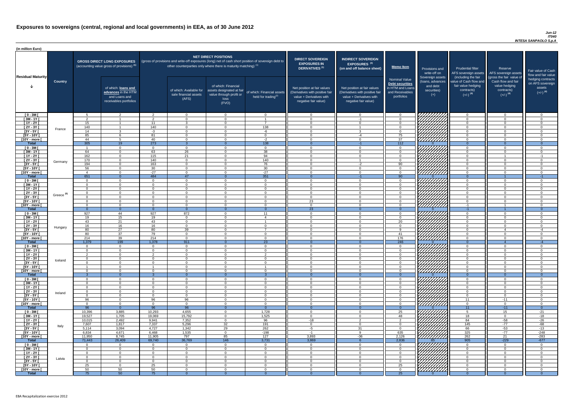### *Jun-12 IT040 INTESA SANPAOLO S.p.A*

| (in million Euro)             |                       |                 |                                                                                             |                    |                                                                                                                                                                                   |                                                                                              |                                                         |                                                                                                                    |                                                                                                                    |                                                                                              |                                                                          |                                                                                      |                                                                                  |                                                                           |
|-------------------------------|-----------------------|-----------------|---------------------------------------------------------------------------------------------|--------------------|-----------------------------------------------------------------------------------------------------------------------------------------------------------------------------------|----------------------------------------------------------------------------------------------|---------------------------------------------------------|--------------------------------------------------------------------------------------------------------------------|--------------------------------------------------------------------------------------------------------------------|----------------------------------------------------------------------------------------------|--------------------------------------------------------------------------|--------------------------------------------------------------------------------------|----------------------------------------------------------------------------------|---------------------------------------------------------------------------|
| <b>Residual Maturity</b>      |                       |                 | <b>GROSS DIRECT LONG EXPOSURES</b><br>(accounting value gross of provisions) <sup>(1)</sup> |                    | (gross of provisions and write-off exposures (long) net of cash short position of sovereign debt to<br>other counterparties only where there is maturity matching) <sup>(1)</sup> | <b>NET DIRECT POSITIONS</b>                                                                  |                                                         | <b>DIRECT SOVEREIGN</b><br><b>EXPOSURES IN</b><br><b>DERIVATIVES (1)</b>                                           | <b>INDIRECT SOVEREIGN</b><br>EXPOSURES <sup>(3)</sup><br>(on and off balance sheet)                                | <b>Memo Item</b>                                                                             | Provisions and<br>write-off on                                           | <b>Prudential filter</b><br>(including the fair                                      | Reserve<br>AFS sovereign assets AFS sovereign assets<br>(gross the fair value of | Fair value of Cash<br>flow and fair value                                 |
|                               | <b>Country</b>        |                 | of which: loans and<br>advances in the HTM<br>and Loans and<br>receivables portfolios       |                    | of which: Available for<br>sale financial assets<br>(AFS)                                                                                                                         | of which: Financial<br>assets designated at fair<br>value through profit or<br>loss<br>(FVO) | of which: Financial assets<br>held for trading $^{(2)}$ | Net position at fair values<br>(Derivatives with positive fair<br>value + Derivatives with<br>negative fair value) | Net position at fair values<br>(Derivatives with positive fail<br>value + Derivatives with<br>negative fair value) | <b>Nominal Value</b><br>Debt securities<br>in HTM and Loans<br>and Receivables<br>portfolios | Sovereign assets<br>(Ioans, advances<br>and debt<br>securities)<br>$(+)$ | value of Cash flow and<br>fair value hedging<br>contracts)<br>$(+/-)$ <sup>(4)</sup> | Cash flow and fair<br>value hedging<br>contracts)<br>$(+/-)$ <sup>(4)</sup>      | hedging contracts<br>on AFS sovereign<br>assets<br>$(+/-)$ <sup>(4)</sup> |
| $[0 - 3M]$                    |                       | .5              | $\overline{2}$                                                                              | $\mathcal{P}$      | $\overline{0}$                                                                                                                                                                    | $\Omega$                                                                                     | $\overline{0}$                                          | - 0                                                                                                                | $\cap$                                                                                                             | $\Omega$                                                                                     |                                                                          | $\Omega$                                                                             | $\Omega$                                                                         | - റ                                                                       |
| $[3M - 1Y]$                   |                       | ົດ<br>15        |                                                                                             | ົ<br>11            | $\Omega$<br>$\mathcal{R}$                                                                                                                                                         | $\Omega$<br>$\Omega$                                                                         | $\overline{z}$                                          | - 0<br>$\cap$                                                                                                      | $-1$                                                                                                               | $\Omega$<br>$\Omega$                                                                         |                                                                          | $\Omega$<br>$\Omega$                                                                 | $\Omega$<br>$\Omega$                                                             | $\Omega$<br>$\cap$                                                        |
| $[1Y - 2Y]$<br>[2Y - 3Y [     |                       | 140             |                                                                                             | 140                | $\Omega$                                                                                                                                                                          | $\Omega$                                                                                     | 138                                                     | $\cap$                                                                                                             |                                                                                                                    | $\Omega$                                                                                     |                                                                          | $\Omega$                                                                             | $\Omega$                                                                         | $\Omega$                                                                  |
| $[3Y - 5Y]$                   | France                | 14              | $\mathcal{R}$                                                                               | $-3$               | $\Omega$                                                                                                                                                                          | $\Omega$                                                                                     | $-6$                                                    | $\cap$                                                                                                             |                                                                                                                    | $\Omega$                                                                                     |                                                                          | $\Omega$                                                                             | $\Omega$                                                                         | $\cap$                                                                    |
| $I5Y - 10Y$                   |                       | 85              | 6                                                                                           | 81                 | $\Omega$                                                                                                                                                                          | $\Omega$                                                                                     | $\overline{0}$                                          | $\sqrt{ }$                                                                                                         | -4                                                                                                                 | 75                                                                                           | Hillitti                                                                 | $\Omega$                                                                             | $\Omega$                                                                         | $\Omega$                                                                  |
| [10Y - more [                 |                       | 44              | $5\overline{)}$                                                                             | 40                 | $\Omega$                                                                                                                                                                          | $\Omega$                                                                                     | $-2$                                                    | $\sqrt{ }$                                                                                                         | $\Omega$                                                                                                           | 37                                                                                           |                                                                          | $\overline{0}$                                                                       | $\Omega$                                                                         | $\cap$                                                                    |
| <b>Total</b>                  |                       | 305             | 19<br>$\overline{0}$                                                                        | 273<br>$\cap$      | -3<br>$\overline{0}$                                                                                                                                                              | $\Omega$<br>$\Omega$                                                                         | 138<br>$\overline{0}$                                   | $\overline{0}$<br>$\cap$                                                                                           | $-1$<br>$\cap$                                                                                                     | 112<br>$\overline{0}$                                                                        |                                                                          | $\Omega$<br>$\overline{0}$                                                           | $\Omega$<br>$\Omega$                                                             | $\overline{0}$<br>- റ                                                     |
| $[0 - 3M]$<br>$[3M - 1Y]$     |                       | 64              | $\overline{0}$                                                                              | 63                 | $\overline{26}$                                                                                                                                                                   | $\Omega$                                                                                     | 38                                                      | $\Omega$                                                                                                           |                                                                                                                    | $\overline{0}$                                                                               |                                                                          | $\overline{0}$                                                                       | $\Omega$                                                                         | $\Omega$                                                                  |
| $[1Y - 2Y]$                   |                       | 162             | $\overline{0}$                                                                              | 115                | $\overline{21}$                                                                                                                                                                   | $\Omega$                                                                                     | 94                                                      | $\cap$                                                                                                             |                                                                                                                    | $\Omega$                                                                                     |                                                                          | $\overline{0}$                                                                       |                                                                                  | $-1$                                                                      |
| $[2Y - 3Y]$                   | Germany               | 170             | $\overline{0}$                                                                              | 140                | $\overline{0}$                                                                                                                                                                    | $\Omega$                                                                                     | 140                                                     | $\cap$                                                                                                             |                                                                                                                    | $\overline{0}$                                                                               | ШША<br>ШШША                                                              | $\overline{0}$                                                                       | $\Omega$                                                                         | $\Omega$                                                                  |
| $[3Y - 5Y]$                   |                       | 194             | $\Omega$                                                                                    | 163                | $\Omega$                                                                                                                                                                          | $\Omega$                                                                                     | 76                                                      | $\cap$                                                                                                             | $-2$                                                                                                               | 90                                                                                           |                                                                          | $\overline{0}$                                                                       |                                                                                  | $\Omega$                                                                  |
| $[5Y - 10Y]$                  |                       | 56              | $\Omega$<br>$\Omega$                                                                        | 30<br>$-27$        | $\Omega$<br>$\Omega$                                                                                                                                                              | $\Omega$                                                                                     | 30<br>$-27$                                             | $\cap$<br>$\cap$                                                                                                   |                                                                                                                    | $\Omega$<br>$\Omega$                                                                         |                                                                          | $\overline{0}$<br>$\overline{0}$                                                     |                                                                                  | $\Omega$                                                                  |
| [10Y - more [<br><b>Total</b> |                       | 651             | $\Omega$                                                                                    | 484                | 47                                                                                                                                                                                |                                                                                              | 351                                                     | - 0                                                                                                                | - 1                                                                                                                | 90                                                                                           |                                                                          | $\overline{0}$                                                                       |                                                                                  | $-1$                                                                      |
| $[0 - 3M]$                    |                       | $\cap$          | $\Omega$                                                                                    | $\Omega$           | $\Omega$                                                                                                                                                                          | $\cap$                                                                                       | $\overline{0}$                                          | $\cap$                                                                                                             | $\Omega$                                                                                                           | $\Omega$                                                                                     | HHHHA                                                                    | $\overline{0}$                                                                       | $\cap$                                                                           | _റ                                                                        |
| $[3M - 1Y]$                   |                       | $\cap$          | $\overline{0}$                                                                              | $\Omega$           | $\Omega$                                                                                                                                                                          | $\cap$                                                                                       | $\overline{0}$                                          | $\sqrt{ }$                                                                                                         | $\cap$                                                                                                             | $\Omega$                                                                                     |                                                                          | $\overline{0}$                                                                       | $\Omega$                                                                         | $\Omega$                                                                  |
| $[1Y - 2Y]$                   |                       | $\cap$          | $\Omega$                                                                                    | $\cap$             | $\Omega$                                                                                                                                                                          | $\Omega$                                                                                     | $\overline{0}$                                          | $\overline{0}$<br>$\cap$                                                                                           | $\cap$<br>$\cap$                                                                                                   | $\overline{0}$                                                                               |                                                                          | $\overline{0}$                                                                       | $\Omega$                                                                         | $\Omega$                                                                  |
| $[2Y - 3Y]$<br>$[3Y - 5Y]$    | Greece <sup>(5)</sup> | $\Omega$        | $\Omega$                                                                                    | $\Omega$           | $\Omega$                                                                                                                                                                          | $\Omega$                                                                                     | $\overline{0}$                                          |                                                                                                                    |                                                                                                                    | $\overline{0}$                                                                               | <i>ШША</i>                                                               | $\Omega$                                                                             | $\Omega$                                                                         | - റ                                                                       |
| [5Y - 10Y [                   |                       | $\Omega$        | $\Omega$                                                                                    | $\Omega$           | $\Omega$                                                                                                                                                                          | $\Omega$                                                                                     | $\Omega$                                                | 23                                                                                                                 |                                                                                                                    | $\Omega$                                                                                     | HHHH                                                                     | $\overline{0}$                                                                       | $\Omega$                                                                         | ി                                                                         |
| [10Y - more [                 |                       | $\Omega$        | $\Omega$                                                                                    | $\Omega$           | $\Omega$                                                                                                                                                                          | $\Omega$                                                                                     | $\Omega$                                                | $\cap$                                                                                                             |                                                                                                                    | $\Omega$                                                                                     | 7777777777                                                               | -1                                                                                   |                                                                                  | ി                                                                         |
| Total                         |                       |                 | $\Omega$                                                                                    |                    | $\Omega$                                                                                                                                                                          |                                                                                              | $\Omega$                                                | $\overline{23}$                                                                                                    |                                                                                                                    |                                                                                              |                                                                          | $-1$                                                                                 |                                                                                  |                                                                           |
| $[0 - 3M]$<br>$[3M - 1Y]$     |                       | 927<br>19       | 44<br>15                                                                                    | 927<br>19          | 872<br>$\Omega$                                                                                                                                                                   | $\Omega$<br>$\Omega$                                                                         | 11<br>$\overline{4}$                                    | - 0<br>- 0                                                                                                         | ∩                                                                                                                  | $\Omega$<br>$\Omega$                                                                         |                                                                          | $\overline{0}$<br>$\overline{0}$                                                     | $\Omega$<br>$\Omega$                                                             | ി<br>$\cap$                                                               |
| $[1Y - 2Y]$                   |                       | 43              | 21                                                                                          | 43                 | $\overline{0}$                                                                                                                                                                    | $\Omega$                                                                                     |                                                         | - 0                                                                                                                | $\cap$                                                                                                             | 20                                                                                           |                                                                          | $\overline{0}$                                                                       | $\Omega$                                                                         | - 0                                                                       |
| $[2Y - 3Y]$                   | Hungary               | 16              | 16                                                                                          | 16                 | $\Omega$                                                                                                                                                                          | $\Omega$                                                                                     | $\overline{0}$                                          | $\cap$                                                                                                             | $\cap$                                                                                                             | $\Omega$                                                                                     |                                                                          | $\overline{0}$                                                                       | $\Omega$                                                                         | - 0                                                                       |
| $[3Y - 5Y]$                   |                       | 80              | 27                                                                                          | 80                 | 39                                                                                                                                                                                | $\Omega$                                                                                     | $\overline{z}$                                          | $\Omega$                                                                                                           |                                                                                                                    | <b>Q</b>                                                                                     |                                                                          | $\Omega$                                                                             |                                                                                  | -4                                                                        |
| $[5Y - 10Y]$                  |                       | 80              | 37                                                                                          | 79                 | $\Omega$                                                                                                                                                                          | $\Omega$<br>$\Omega$                                                                         | $\Omega$<br>$\Omega$                                    | $\cap$<br>$\cap$                                                                                                   | $\cap$<br>$\Omega$                                                                                                 | 41                                                                                           | HHHHA                                                                    | $\Omega$                                                                             | $\Omega$<br>$\Omega$                                                             | $\Omega$<br>$\cap$                                                        |
| [10Y - more [<br><b>Total</b> |                       | 214<br>1,379    | 39<br>199                                                                                   | 214<br>1,378       | $\Omega$<br>911                                                                                                                                                                   | $\Omega$                                                                                     | 23                                                      | $\Omega$                                                                                                           |                                                                                                                    | 176<br>246                                                                                   |                                                                          | $\Omega$<br>$\Omega$                                                                 |                                                                                  | -4                                                                        |
| $[0 - 3M]$                    |                       | $\Omega$        | $\overline{0}$                                                                              | $\Omega$           | $\overline{0}$                                                                                                                                                                    | $\Omega$                                                                                     | $\overline{0}$                                          | $\cap$                                                                                                             |                                                                                                                    | $\Omega$                                                                                     |                                                                          | $\overline{0}$                                                                       | $\Omega$                                                                         | $\Omega$                                                                  |
| $[3M - 1Y]$                   |                       |                 | $\overline{0}$                                                                              | $\Omega$           | $\Omega$                                                                                                                                                                          | $\Omega$                                                                                     | $\Omega$                                                | - 0                                                                                                                |                                                                                                                    | $\Omega$                                                                                     |                                                                          | $\Omega$                                                                             | $\Omega$                                                                         | $\Omega$                                                                  |
| $[1Y - 2Y]$                   |                       |                 | $\Omega$                                                                                    | $\Omega$           | $\Omega$                                                                                                                                                                          | $\Omega$                                                                                     | $\mathcal{P}$                                           | $\cap$                                                                                                             |                                                                                                                    | $\Omega$                                                                                     |                                                                          | $\Omega$                                                                             | $\Omega$                                                                         | $\cap$                                                                    |
| [2Y - 3Y [<br>$[3Y - 5Y]$     | Iceland               |                 | $\Omega$<br>$\Omega$                                                                        |                    | $\Omega$<br>$\cap$                                                                                                                                                                | $\Omega$<br>$\Omega$                                                                         | $\Omega$<br>$\Omega$                                    | $\cap$                                                                                                             |                                                                                                                    | $\Omega$<br>$\Omega$                                                                         |                                                                          | $\Omega$<br>$\Omega$                                                                 |                                                                                  |                                                                           |
| $[5Y - 10Y]$                  |                       |                 | $\Omega$                                                                                    |                    | $\Omega$                                                                                                                                                                          |                                                                                              |                                                         |                                                                                                                    |                                                                                                                    | $\Omega$                                                                                     |                                                                          | $\Omega$                                                                             |                                                                                  |                                                                           |
| [10Y - more [                 |                       | - 0             | $\Omega$                                                                                    |                    | $\Omega$                                                                                                                                                                          | $\Omega$                                                                                     | $\Omega$                                                | - വ                                                                                                                |                                                                                                                    | $\Omega$                                                                                     |                                                                          | $\overline{0}$                                                                       |                                                                                  |                                                                           |
| <b>Total</b>                  |                       |                 | $\Omega$                                                                                    |                    | - 0                                                                                                                                                                               |                                                                                              |                                                         |                                                                                                                    |                                                                                                                    | $\Omega$                                                                                     |                                                                          | $\Omega$                                                                             | $\Omega$                                                                         | - റ                                                                       |
| $[0 - 3M]$<br>$1$ 3M - 1Y I   |                       |                 | $\Omega$<br>$\overline{0}$                                                                  | $\cap$             | $\Omega$<br>$\Omega$                                                                                                                                                              | $\Omega$<br>$\Omega$                                                                         | $\Omega$<br>$\overline{0}$                              | റ<br>$\cap$                                                                                                        |                                                                                                                    | $\Omega$<br>$\Omega$                                                                         |                                                                          | $\overline{0}$<br>$\overline{0}$                                                     | $\cap$<br>$\Omega$                                                               | $\cap$<br>$\Omega$                                                        |
| $[1Y - 2Y]$                   |                       | $\cap$          | $\overline{0}$                                                                              | $\cap$             | $\Omega$                                                                                                                                                                          | $\Omega$                                                                                     | $\Omega$                                                | $\cap$                                                                                                             |                                                                                                                    | $\Omega$                                                                                     |                                                                          | $\overline{0}$                                                                       | $\Omega$                                                                         | $\Omega$                                                                  |
| $[2Y - 3Y]$                   | Ireland               | $\Omega$        | $\overline{0}$                                                                              | $\Omega$           | $\Omega$                                                                                                                                                                          | $\Omega$                                                                                     | $\Omega$                                                | $\cap$                                                                                                             |                                                                                                                    | $\Omega$                                                                                     |                                                                          | $\overline{0}$                                                                       | $\Omega$                                                                         | $\Omega$                                                                  |
| $[3Y - 5Y]$                   |                       | $\Omega$        | $\overline{0}$                                                                              | $\Omega$           | $\Omega$                                                                                                                                                                          | $\Omega$                                                                                     | $\Omega$                                                | $\Omega$                                                                                                           |                                                                                                                    | $\overline{0}$                                                                               |                                                                          | $\overline{0}$                                                                       | $\Omega$                                                                         | $\Omega$                                                                  |
| [5Y - 10Y [<br>[10Y - more [  |                       | 96<br>$\Omega$  | $\Omega$<br>$\Omega$                                                                        | 96<br>$\Omega$     | 96<br>$\Omega$                                                                                                                                                                    | $\Omega$<br>$\Omega$                                                                         | $\Omega$<br>$\Omega$                                    | റ<br>$\cap$                                                                                                        |                                                                                                                    | $\overline{0}$<br>$\Omega$                                                                   | 7777777777<br>///////////                                                | 11<br>$\overline{0}$                                                                 | $-11$<br>$\Omega$                                                                | $\Omega$<br>$\Omega$                                                      |
| <b>Total</b>                  |                       | 96              | $\Omega$                                                                                    | 96                 | 96                                                                                                                                                                                |                                                                                              | $\Omega$                                                |                                                                                                                    |                                                                                                                    |                                                                                              |                                                                          | 11                                                                                   | $-11$                                                                            | $\Omega$                                                                  |
| $[0 - 3M]$                    |                       | 10,396          | 3,885                                                                                       | 10,293             | 4,655                                                                                                                                                                             | $\Omega$                                                                                     | 1,728                                                   | - 0                                                                                                                |                                                                                                                    | 25                                                                                           | 77777                                                                    | 5                                                                                    | 15                                                                               | $-21$                                                                     |
| $[3M - 1Y]$                   |                       | 19,527          | 1,705                                                                                       | 19,069             | 15,792                                                                                                                                                                            | $\Omega$                                                                                     | 1,525                                                   | $\Omega$                                                                                                           |                                                                                                                    | 48                                                                                           |                                                                          | 18                                                                                   | $\Omega$                                                                         | $-18$                                                                     |
| $[1Y - 2Y]$<br>$[2Y - 3Y]$    |                       | 10,015<br>7,607 | 2,492<br>1,817                                                                              | 9,941<br>7,337     | 7,352<br>5,296                                                                                                                                                                    | $\overline{0}$<br>32                                                                         | 96<br>191                                               | -18<br>- 0                                                                                                         | $\mathcal{P}$<br>$\cap$                                                                                            | 2<br>$\Omega$                                                                                |                                                                          | 84<br>145                                                                            | -58<br>$-77$                                                                     | $-26$<br>-68                                                              |
| $[3Y - 5Y]$                   | Italy                 | 5,114           | 3,094                                                                                       | 4,727              | 1,342                                                                                                                                                                             | 29                                                                                           | 262                                                     | -5                                                                                                                 | 31                                                                                                                 | $\Omega$                                                                                     |                                                                          | 66                                                                                   | $-53$                                                                            | $-13$                                                                     |
| $[5Y - 10Y]$                  |                       | 6,834           | 4,671                                                                                       | 6,468              | 1,535                                                                                                                                                                             | $\Omega$                                                                                     | $-198$                                                  | -1                                                                                                                 | Q                                                                                                                  | 635                                                                                          |                                                                          | 325                                                                                  | $-77$                                                                            | $-248$                                                                    |
| [10Y - more [                 |                       | 11,950          | 8,745                                                                                       | 11,905             | 797                                                                                                                                                                               | 85                                                                                           | 127                                                     | 3,893                                                                                                              | $-36$                                                                                                              | 2,126                                                                                        | <u>/////////</u>                                                         | 262                                                                                  | 21                                                                               | $-283$                                                                    |
| <b>Total</b>                  |                       | 71,443          | 26,409                                                                                      | 69,740<br>$\Omega$ | 36,769                                                                                                                                                                            | 146<br>$\Omega$                                                                              | 3,731                                                   | 3,869<br>റ                                                                                                         |                                                                                                                    | 2,836<br>$\Omega$                                                                            | VIIIIIIII                                                                | 905<br>$\Omega$                                                                      | $-229$<br>$\cap$                                                                 | $-677$                                                                    |
| $[0 - 3M]$<br>$[3M - 1Y]$     |                       | $\Omega$        | $\Omega$<br>$\overline{0}$                                                                  | $\Omega$           | $\Omega$<br>$\overline{0}$                                                                                                                                                        | $\overline{0}$                                                                               | $\overline{0}$<br>$\overline{0}$                        | $\Omega$                                                                                                           | $\cap$                                                                                                             | $\Omega$                                                                                     |                                                                          | $\overline{0}$                                                                       | $\Omega$                                                                         | $\Omega$                                                                  |
| $[1Y - 2Y]$                   |                       | $\Omega$        | $\overline{0}$                                                                              | $\Omega$           | $\Omega$                                                                                                                                                                          | $\Omega$                                                                                     | $\overline{0}$                                          | - 0                                                                                                                |                                                                                                                    | $\Omega$                                                                                     |                                                                          | $\Omega$                                                                             | $\Omega$                                                                         | $\Omega$                                                                  |
| [2Y - 3Y [                    | Latvia                | $\Omega$        | $\overline{0}$                                                                              | $\Omega$           | $\Omega$                                                                                                                                                                          | $\Omega$                                                                                     | $\overline{0}$                                          | - വ                                                                                                                |                                                                                                                    | $\Omega$                                                                                     |                                                                          | $\Omega$                                                                             | $\Omega$                                                                         | $\Omega$                                                                  |
| $[3Y - 5Y]$                   |                       |                 | $\Omega$                                                                                    | $\Omega$           | $\Omega$                                                                                                                                                                          | $\Omega$                                                                                     | $\Omega$                                                | $\cap$                                                                                                             |                                                                                                                    | $\Omega$                                                                                     |                                                                          | $\Omega$                                                                             | ∩                                                                                | $\cap$<br>$\cap$                                                          |
| [5Y - 10Y [<br>[10Y - more [  |                       | 25<br>50        | $\overline{0}$<br>50                                                                        | 25<br>50           | $\Omega$<br>$\Omega$                                                                                                                                                              | $\Omega$<br>$\Omega$                                                                         | $\Omega$<br>$\Omega$                                    | - വ<br>$\cap$                                                                                                      |                                                                                                                    | 25<br>$\Omega$                                                                               | <b>SANARIA</b>                                                           | $\Omega$<br>$\Omega$                                                                 | ∩                                                                                | $\Omega$                                                                  |
| <b>Total</b>                  |                       | 75              | 50                                                                                          | 75                 | - 0                                                                                                                                                                               | $\Omega$                                                                                     | $\Omega$                                                |                                                                                                                    |                                                                                                                    | 25                                                                                           |                                                                          | $\Omega$                                                                             |                                                                                  | $\Omega$                                                                  |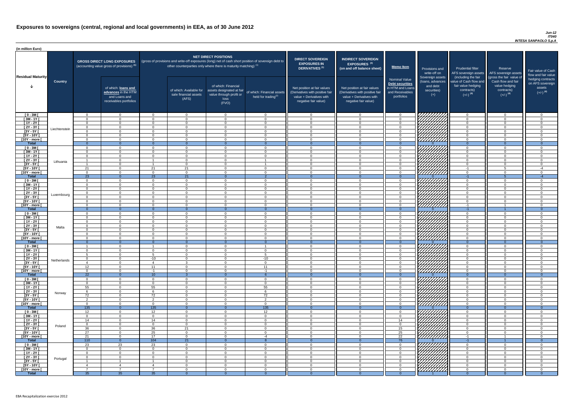### *Jun-12 IT040 INTESA SANPAOLO S.p.A*

| <b>DIRECT SOVEREIGN</b><br><b>EXPOSURES IN</b><br><b>DERIVATIVES<sup>(1)</sup></b><br>Net position at fair values<br>(Derivatives with positive fair<br>value + Derivatives with<br>negative fair value) | <b>INDIRECT SOVEREIGN</b><br>EXPOSURES <sup>(3)</sup><br>(on and off balance sheet)<br>Net position at fair values<br>(Derivatives with positive fair<br>value + Derivatives with<br>negative fair value) | <b>Memo Item</b><br><b>Nominal Value</b><br>Debt securities<br>in HTM and Loans<br>and Receivables<br>portfolios | Provisions and<br>write-off on<br>Sovereign assets<br>(loans, advances<br>and debt<br>securities)<br>$(+)$ | <b>Prudential filter</b><br>AFS sovereign assets<br>(including the fair<br>value of Cash flow and<br>fair value hedging<br>contracts)<br>$(+/-)$ <sup>(4)</sup> | Reserve<br>AFS sovereign assets<br>(gross the fair value of<br>Cash flow and fair<br>value hedging<br>contracts)<br>$(+/-)$ <sup>(4)</sup> | Fair value of Cash<br>flow and fair value<br>hedging contracts<br>on AFS sovereign<br>assets<br>$(+/-)$ <sup>(4)</sup> |
|----------------------------------------------------------------------------------------------------------------------------------------------------------------------------------------------------------|-----------------------------------------------------------------------------------------------------------------------------------------------------------------------------------------------------------|------------------------------------------------------------------------------------------------------------------|------------------------------------------------------------------------------------------------------------|-----------------------------------------------------------------------------------------------------------------------------------------------------------------|--------------------------------------------------------------------------------------------------------------------------------------------|------------------------------------------------------------------------------------------------------------------------|
| $\mathbf 0$                                                                                                                                                                                              | $\mathbf 0$                                                                                                                                                                                               | $\mathbf 0$                                                                                                      |                                                                                                            | $\mathbf 0$                                                                                                                                                     | $\mathbf 0$                                                                                                                                | $\mathbf 0$                                                                                                            |
| $\mathbf 0$                                                                                                                                                                                              | $\mathbf 0$                                                                                                                                                                                               | $\mathbf 0$                                                                                                      |                                                                                                            | 0                                                                                                                                                               | $\mathbf 0$                                                                                                                                | $\mathbf 0$                                                                                                            |
| $\mathbf 0$                                                                                                                                                                                              | $\mathbf 0$                                                                                                                                                                                               | $\mathbf 0$                                                                                                      |                                                                                                            | 0                                                                                                                                                               | $\mathbf 0$                                                                                                                                | $\mathbf 0$                                                                                                            |
| $\mathbf 0$<br>$\pmb{0}$                                                                                                                                                                                 | $\mathbf 0$<br>$\mathbf 0$                                                                                                                                                                                | $\pmb{0}$<br>$\pmb{0}$                                                                                           |                                                                                                            | 0<br>0                                                                                                                                                          | $\mathbf 0$<br>$\mathbf 0$                                                                                                                 | $\mathbf 0$<br>$\mathbf 0$                                                                                             |
| $\mathbf 0$                                                                                                                                                                                              | $\mathbf 0$                                                                                                                                                                                               | $\mathbf 0$                                                                                                      |                                                                                                            | 0                                                                                                                                                               | $\mathbf 0$                                                                                                                                | $\mathbf 0$                                                                                                            |
| $\pmb{0}$                                                                                                                                                                                                | $\mathbf 0$                                                                                                                                                                                               | $\pmb{0}$                                                                                                        |                                                                                                            | 0                                                                                                                                                               | $\pmb{0}$                                                                                                                                  | $\mathbf 0$                                                                                                            |
| $\overline{0}$                                                                                                                                                                                           | $\overline{0}$                                                                                                                                                                                            | $\overline{0}$                                                                                                   | ∩                                                                                                          | $\overline{0}$                                                                                                                                                  | $\overline{0}$                                                                                                                             | $\overline{0}$                                                                                                         |
| $\mathbf 0$                                                                                                                                                                                              | $\mathbf 0$                                                                                                                                                                                               | $\mathbf 0$                                                                                                      |                                                                                                            | $\mathbf 0$                                                                                                                                                     | $\mathbf 0$                                                                                                                                | $\mathbf 0$                                                                                                            |
| $\mathbf 0$<br>$\pmb{0}$                                                                                                                                                                                 | $\mathbf 0$<br>$\pmb{0}$                                                                                                                                                                                  | $\pmb{0}$<br>$\pmb{0}$                                                                                           |                                                                                                            | $\mathbf 0$<br>$\pmb{0}$                                                                                                                                        | $\mathbf 0$<br>$\mathbf 0$                                                                                                                 | $\mathbf 0$<br>$\pmb{0}$                                                                                               |
| $\mathbf 0$                                                                                                                                                                                              | $\mathbf 0$                                                                                                                                                                                               | $\mathbf 0$                                                                                                      |                                                                                                            | $\mathbf 0$                                                                                                                                                     | $\mathbf 0$                                                                                                                                | $\mathbf 0$                                                                                                            |
| $\mathbf 0$                                                                                                                                                                                              | $\mathbf 0$                                                                                                                                                                                               | $\pmb{0}$                                                                                                        |                                                                                                            | $\mathbf 0$                                                                                                                                                     | $\mathbf 0$                                                                                                                                | $\pmb{0}$                                                                                                              |
| $\mathbf 0$                                                                                                                                                                                              | $\mathbf 0$                                                                                                                                                                                               | $\pmb{0}$                                                                                                        |                                                                                                            | $-1$                                                                                                                                                            | 5                                                                                                                                          | $-4$                                                                                                                   |
| $\mathbf 0$<br>$\mathbf{0}$                                                                                                                                                                              | $\mathbf 0$<br>$\overline{0}$                                                                                                                                                                             | $\pmb{0}$<br>$\overline{0}$                                                                                      | $\Omega$                                                                                                   | $\mathbf 0$<br>$-1$                                                                                                                                             | $\mathbf 0$<br>$\overline{5}$                                                                                                              | $\mathbf 0$<br>$-4$                                                                                                    |
| $\mathbf 0$                                                                                                                                                                                              | $\mathbf 0$                                                                                                                                                                                               | $\pmb{0}$                                                                                                        |                                                                                                            | $\mathbf 0$                                                                                                                                                     | $\mathbf 0$                                                                                                                                | $\mathbf 0$                                                                                                            |
| $\mathbf 0$                                                                                                                                                                                              | $\mathbf 0$                                                                                                                                                                                               | $\mathbf 0$                                                                                                      |                                                                                                            | $\mathbf 0$                                                                                                                                                     | $\mathbf 0$                                                                                                                                | $\mathbf 0$                                                                                                            |
| $\mathbf 0$                                                                                                                                                                                              | $\mathbf 0$                                                                                                                                                                                               | $\pmb{0}$                                                                                                        |                                                                                                            | $\mathbf 0$                                                                                                                                                     | $\mathbf 0$                                                                                                                                | $\mathsf 0$                                                                                                            |
| $\mathbf 0$                                                                                                                                                                                              | $\mathbf 0$                                                                                                                                                                                               | $\pmb{0}$                                                                                                        |                                                                                                            | $\mathbf 0$                                                                                                                                                     | $\mathbf 0$                                                                                                                                | $\pmb{0}$                                                                                                              |
| $\mathbf 0$                                                                                                                                                                                              | $\mathbf 0$                                                                                                                                                                                               | $\mathbf 0$                                                                                                      |                                                                                                            | $\mathbf 0$                                                                                                                                                     | $\overline{0}$                                                                                                                             | $\mathbf 0$<br>0                                                                                                       |
| O<br>$\mathbf 0$                                                                                                                                                                                         | 0<br>$\mathbf 0$                                                                                                                                                                                          | 0<br>$\mathbf 0$                                                                                                 |                                                                                                            | 0<br>$-1$                                                                                                                                                       | O                                                                                                                                          | 0                                                                                                                      |
| $\mathbf{0}$                                                                                                                                                                                             | $\overline{0}$                                                                                                                                                                                            | $\overline{0}$                                                                                                   | $\mathbf{0}$                                                                                               | $-1$                                                                                                                                                            |                                                                                                                                            | $\overline{0}$                                                                                                         |
| $\mathbf 0$                                                                                                                                                                                              | $\mathbf 0$                                                                                                                                                                                               | $\mathbf 0$                                                                                                      |                                                                                                            | 0                                                                                                                                                               | 0                                                                                                                                          | 0                                                                                                                      |
| 0                                                                                                                                                                                                        | 0                                                                                                                                                                                                         | $\mathbf 0$                                                                                                      |                                                                                                            | 0                                                                                                                                                               | 0                                                                                                                                          | $\mathbf 0$                                                                                                            |
| 0<br>0                                                                                                                                                                                                   | 0<br>$\mathbf 0$                                                                                                                                                                                          | $\mathbf 0$<br>$\mathbf 0$                                                                                       |                                                                                                            | 0<br>0                                                                                                                                                          | 0<br>0                                                                                                                                     | $\mathbf 0$<br>0                                                                                                       |
| $\mathbf 0$                                                                                                                                                                                              | 0                                                                                                                                                                                                         | $\pmb{0}$                                                                                                        |                                                                                                            | 0                                                                                                                                                               | 0                                                                                                                                          | $\mathbf 0$                                                                                                            |
| $\mathbf 0$                                                                                                                                                                                              | $\mathbf 0$                                                                                                                                                                                               | $\pmb{0}$                                                                                                        |                                                                                                            | $\mathbf 0$                                                                                                                                                     | $\mathbf 0$                                                                                                                                | $\mathbf 0$                                                                                                            |
| $\mathbf 0$                                                                                                                                                                                              | 0                                                                                                                                                                                                         | $\pmb{0}$                                                                                                        |                                                                                                            | 0                                                                                                                                                               | $\mathsf 0$                                                                                                                                | $\mathbf 0$                                                                                                            |
| $\mathbf{0}$<br>0                                                                                                                                                                                        | $\overline{0}$<br>0                                                                                                                                                                                       | $\overline{0}$<br>$\mathbf 0$                                                                                    | $\mathbf{0}$<br>777                                                                                        | $\overline{0}$<br>0                                                                                                                                             | $\overline{0}$<br>$\mathbf 0$                                                                                                              | $\overline{0}$<br>$\mathbf 0$                                                                                          |
| 0                                                                                                                                                                                                        | 0                                                                                                                                                                                                         | 0                                                                                                                |                                                                                                            | 0                                                                                                                                                               | 0                                                                                                                                          | $\mathbf 0$                                                                                                            |
| $\mathbf 0$                                                                                                                                                                                              | $\mathbf 0$                                                                                                                                                                                               | 0                                                                                                                |                                                                                                            | $\mathbf 0$                                                                                                                                                     | $\mathbf 0$                                                                                                                                | $\mathbf 0$                                                                                                            |
| $\mathbf 0$                                                                                                                                                                                              | $\mathbf 0$                                                                                                                                                                                               | $\pmb{0}$                                                                                                        |                                                                                                            | $\mathbf{0}$                                                                                                                                                    | $\mathbf 0$                                                                                                                                | $\mathbf 0$                                                                                                            |
| $\mathbf 0$<br>0                                                                                                                                                                                         | 0<br>0                                                                                                                                                                                                    | $\mathbf 0$<br>$\pmb{0}$                                                                                         |                                                                                                            | 0<br>$\mathbf 0$                                                                                                                                                | $\mathbf 0$<br>0                                                                                                                           | $\mathbf 0$<br>$\mathbf 0$                                                                                             |
| 0                                                                                                                                                                                                        | 0                                                                                                                                                                                                         | $\mathbf 0$                                                                                                      |                                                                                                            | $\mathbf 0$                                                                                                                                                     | $\mathbf 0$                                                                                                                                | $\mathbf 0$                                                                                                            |
| $\mathbf{0}$                                                                                                                                                                                             | $\overline{0}$                                                                                                                                                                                            | $\mathbf{0}$                                                                                                     | $\overline{0}$                                                                                             | $\overline{0}$                                                                                                                                                  | $\overline{0}$                                                                                                                             | $\mathbf 0$                                                                                                            |
| 0                                                                                                                                                                                                        | 0                                                                                                                                                                                                         | $\pmb{0}$                                                                                                        |                                                                                                            | $\mathbf 0$                                                                                                                                                     | 0                                                                                                                                          | 0                                                                                                                      |
| $\mathbf 0$<br>$\mathbf 0$                                                                                                                                                                               | $\mathbf 0$<br>0                                                                                                                                                                                          | $\pmb{0}$<br>$\pmb{0}$                                                                                           |                                                                                                            | $\mathbf 0$<br>$\mathbf 0$                                                                                                                                      | $\mathbf 0$<br>$\mathbf 0$                                                                                                                 | $\pmb{0}$<br>$\mathbf 0$                                                                                               |
| $\mathbf 0$                                                                                                                                                                                              | 0                                                                                                                                                                                                         | $\mathbf 0$                                                                                                      |                                                                                                            | $\mathbf 0$                                                                                                                                                     | $\mathbf 0$                                                                                                                                | $\mathbf 0$                                                                                                            |
| 0                                                                                                                                                                                                        | $\mathbf 0$                                                                                                                                                                                               | $\mathbf 0$                                                                                                      |                                                                                                            | $\mathbf 0$                                                                                                                                                     | $\mathbf 0$                                                                                                                                | $\mathbf 0$                                                                                                            |
| 0                                                                                                                                                                                                        | 0                                                                                                                                                                                                         | 0                                                                                                                |                                                                                                            | 0                                                                                                                                                               | 0                                                                                                                                          | 0                                                                                                                      |
| $\mathbf 0$<br>$\mathbf{0}$                                                                                                                                                                              | 0<br>$\overline{0}$                                                                                                                                                                                       | 0<br>$\overline{0}$                                                                                              | $\mathbf{0}$                                                                                               | 0<br>$\overline{0}$                                                                                                                                             | 0<br>$\overline{0}$                                                                                                                        | 0<br>$\mathbf 0$                                                                                                       |
| $\mathbf 0$                                                                                                                                                                                              | $\mathbf 0$                                                                                                                                                                                               | 0                                                                                                                |                                                                                                            | $\mathbf 0$                                                                                                                                                     | 0                                                                                                                                          | 0                                                                                                                      |
| 0                                                                                                                                                                                                        | $\mathbf 0$                                                                                                                                                                                               | 0                                                                                                                |                                                                                                            | 0                                                                                                                                                               | 0                                                                                                                                          | 0                                                                                                                      |
| 0                                                                                                                                                                                                        | 0                                                                                                                                                                                                         | 14                                                                                                               |                                                                                                            | 0                                                                                                                                                               | 0                                                                                                                                          | $\mathbf 0$                                                                                                            |
| 0                                                                                                                                                                                                        | $\mathbf{0}$                                                                                                                                                                                              | $\mathbf 0$                                                                                                      |                                                                                                            | $\mathbf{0}$                                                                                                                                                    | $\Omega$                                                                                                                                   | 0                                                                                                                      |
| $\mathbf 0$<br>$\mathbf 0$                                                                                                                                                                               | $\mathbf 0$<br>$\mathbf 0$                                                                                                                                                                                | 15<br>25                                                                                                         |                                                                                                            | 0<br>$\mathbf 0$                                                                                                                                                | 0<br>$\mathbf 0$                                                                                                                           | $\mathbf 0$<br>$\mathbf 0$                                                                                             |
| $\mathbf 0$                                                                                                                                                                                              | 0                                                                                                                                                                                                         | 22                                                                                                               |                                                                                                            | $-1$                                                                                                                                                            | 1                                                                                                                                          | $\mathbf 0$                                                                                                            |
| $\mathbf{0}$                                                                                                                                                                                             | $\overline{0}$                                                                                                                                                                                            | 76                                                                                                               | $\mathbf{0}$                                                                                               | $-1$                                                                                                                                                            |                                                                                                                                            | $\overline{0}$                                                                                                         |
| $\mathbf 0$                                                                                                                                                                                              | 0                                                                                                                                                                                                         | $\mathbf 0$                                                                                                      |                                                                                                            | $\mathbf 0$                                                                                                                                                     | 0                                                                                                                                          | 0                                                                                                                      |
| $\Omega$                                                                                                                                                                                                 | $\Omega$<br>$\mathbf 0$                                                                                                                                                                                   | $\Omega$<br>$\mathbf 0$                                                                                          |                                                                                                            | $\mathbf 0$<br>$\mathbf 0$                                                                                                                                      | 0<br>$\mathsf 0$                                                                                                                           | $\overline{0}$<br>$\mathbf 0$                                                                                          |
| 0<br>$\mathbf 0$                                                                                                                                                                                         | $\mathbf 0$                                                                                                                                                                                               | $\mathsf 0$                                                                                                      |                                                                                                            | $\overline{0}$                                                                                                                                                  | $\overline{0}$                                                                                                                             | $\mathbf 0$                                                                                                            |
| $\mathbf 0$                                                                                                                                                                                              | $\mathbf 0$                                                                                                                                                                                               | $\mathsf 0$                                                                                                      |                                                                                                            | $\mathbf 0$                                                                                                                                                     | $\overline{0}$                                                                                                                             | $\mathbf 0$                                                                                                            |
| $\mathbf 0$                                                                                                                                                                                              | $\mathbf 0$                                                                                                                                                                                               | $\mathsf 0$                                                                                                      |                                                                                                            | $\mathbf 0$                                                                                                                                                     | $\overline{0}$                                                                                                                             | $\mathbf 0$                                                                                                            |
| $\mathbf 0$                                                                                                                                                                                              | $\overline{0}$                                                                                                                                                                                            | $\mathbf 0$                                                                                                      |                                                                                                            | $\overline{0}$                                                                                                                                                  | $\overline{0}$                                                                                                                             | $\mathbf 0$                                                                                                            |
| $\overline{0}$                                                                                                                                                                                           | $\overline{0}$                                                                                                                                                                                            | $\overline{0}$                                                                                                   |                                                                                                            | $\overline{0}$                                                                                                                                                  | $\overline{0}$                                                                                                                             | $\overline{0}$                                                                                                         |

| (in million Euro)                |                |                                                                                  |                                  |                                                                                                                                                                                                         |                                                                                       |                      |                                                           |                                                                                              |                                                                                           |                                                                                                                    |                                                                                                                             |                                                                                              |                                                                          |                                                                                                             |
|----------------------------------|----------------|----------------------------------------------------------------------------------|----------------------------------|---------------------------------------------------------------------------------------------------------------------------------------------------------------------------------------------------------|---------------------------------------------------------------------------------------|----------------------|-----------------------------------------------------------|----------------------------------------------------------------------------------------------|-------------------------------------------------------------------------------------------|--------------------------------------------------------------------------------------------------------------------|-----------------------------------------------------------------------------------------------------------------------------|----------------------------------------------------------------------------------------------|--------------------------------------------------------------------------|-------------------------------------------------------------------------------------------------------------|
| <b>Residual Maturity</b>         | <b>Country</b> | <b>GROSS DIRECT LONG EXPOSURES</b><br>(accounting value gross of provisions) (1) |                                  | <b>NET DIRECT POSITIONS</b><br>(gross of provisions and write-off exposures (long) net of cash short position of sovereign debt to<br>other counterparties only where there is maturity matching) $(1)$ |                                                                                       |                      |                                                           | <b>DIRECT SOVEREIGN</b><br><b>EXPOSURES IN</b><br><b>DERIVATIVES<sup>(1)</sup></b>           | <b>INDIRECT SOVEREIGN</b><br><b>EXPOSURES<sup>(3)</sup></b><br>(on and off balance sheet) | <b>Memo Item</b>                                                                                                   | Provisions and<br>write-off on                                                                                              | <b>Prudential filter</b><br>AFS sovereign assets                                             | Reserve<br>AFS sovereign assets                                          | Fair value<br>flow and f                                                                                    |
|                                  |                |                                                                                  |                                  |                                                                                                                                                                                                         | of which: loans and<br>advances in the HTM<br>and Loans and<br>receivables portfolios |                      | of which: Available for<br>sale financial assets<br>(AFS) | of which: Financial<br>assets designated at fair<br>value through profit or<br>loss<br>(FVO) | of which: Financial assets<br>held for trading $^{(2)}$                                   | Net position at fair values<br>(Derivatives with positive fair<br>value + Derivatives with<br>negative fair value) | Net position at fair values<br>(Derivatives with positive fair<br>value + Derivatives with<br>negative fair value)          | <b>Nominal Value</b><br>Debt securities<br>in HTM and Loans<br>and Receivables<br>portfolios | Sovereign assets<br>(loans, advances<br>and debt<br>securities)<br>$(+)$ | (including the fair<br>value of Cash flow and<br>fair value hedging<br>contracts)<br>$(+/-)$ <sup>(4)</sup> |
| $[0 - 3M]$                       |                | $\Omega$                                                                         | $\overline{0}$                   | $\Omega$                                                                                                                                                                                                | $\overline{0}$                                                                        | $\overline{0}$       | $\overline{0}$                                            | $\overline{0}$                                                                               | $\Omega$                                                                                  | $\overline{0}$                                                                                                     | <i>77777777</i> 77                                                                                                          | $\Omega$                                                                                     | $\overline{0}$                                                           |                                                                                                             |
| $[3M - 1Y]$                      |                | $\cap$<br>$\cap$                                                                 | $\Omega$<br>$\Omega$             | $\Omega$<br>$\Omega$                                                                                                                                                                                    | $\Omega$<br>$\Omega$                                                                  | $\Omega$<br>$\Omega$ | $\Omega$<br>$\Omega$                                      | $\Omega$<br>$\Omega$                                                                         | $\cap$<br>$\cap$                                                                          | $\Omega$<br>$\Omega$                                                                                               | HAHARA<br>HAHARA                                                                                                            | $\cap$<br>$\cap$                                                                             | $\Omega$<br>$\Omega$                                                     |                                                                                                             |
| $[1Y - 2Y]$<br>$\boxed{2Y - 3Y}$ |                | $\Omega$                                                                         | $\Omega$                         | $\Omega$                                                                                                                                                                                                | $\overline{0}$                                                                        | $\Omega$             | $\Omega$                                                  | $\overline{0}$                                                                               | $\Omega$                                                                                  | $\overline{0}$                                                                                                     |                                                                                                                             | $\cap$                                                                                       | $\Omega$                                                                 |                                                                                                             |
| $[3Y - 5Y]$                      | Liechtenstein  | $\cap$                                                                           | $\Omega$                         | $\Omega$                                                                                                                                                                                                | $\Omega$                                                                              | $\Omega$             | $\Omega$                                                  | $\Omega$                                                                                     | $\Omega$                                                                                  | $\Omega$                                                                                                           |                                                                                                                             | $\cap$                                                                                       | $\Omega$                                                                 |                                                                                                             |
| $[5Y - 10Y]$                     |                | $\cap$                                                                           | $\Omega$                         | $\Omega$                                                                                                                                                                                                | $\Omega$                                                                              | $\Omega$             | $\Omega$                                                  | $\Omega$                                                                                     | $\Omega$                                                                                  | $\Omega$                                                                                                           |                                                                                                                             | $\cap$                                                                                       | $\Omega$                                                                 |                                                                                                             |
| [10Y - more [<br><b>Total</b>    |                | $\Omega$<br>$\overline{0}$                                                       | $\Omega$<br>$\Omega$             | $\Omega$<br>$\Omega$                                                                                                                                                                                    | $\overline{0}$<br>$\Omega$                                                            | $\Omega$<br>- 0      | $\Omega$                                                  | $\Omega$                                                                                     | $\cap$<br>$\Omega$                                                                        | $\overline{0}$<br>$\Omega$                                                                                         |                                                                                                                             | $\Omega$<br>$\Omega$                                                                         | $\Omega$                                                                 |                                                                                                             |
| $[0 - 3M]$                       |                | $\Omega$                                                                         | $\Omega$                         | $\Omega$                                                                                                                                                                                                | $\Omega$                                                                              | $\Omega$             | $\Omega$                                                  | $\Omega$                                                                                     | $\Omega$                                                                                  | $\overline{0}$                                                                                                     |                                                                                                                             | $\Omega$                                                                                     | $\overline{0}$                                                           |                                                                                                             |
| $[3M - 1Y]$                      |                | $\Omega$                                                                         | $\Omega$                         | $\Omega$                                                                                                                                                                                                | $\overline{0}$                                                                        | $\Omega$             | $\mathbf{0}$                                              | $\Omega$                                                                                     | $\Omega$                                                                                  | $\overline{0}$                                                                                                     |                                                                                                                             | $\Omega$                                                                                     | $\overline{0}$                                                           |                                                                                                             |
| $[1Y - 2Y]$                      |                | $\Omega$                                                                         | $\Omega$                         | $\Omega$                                                                                                                                                                                                | $\overline{0}$                                                                        | $\Omega$             | $\Omega$                                                  | $\Omega$                                                                                     | $\Omega$                                                                                  | $\overline{0}$                                                                                                     |                                                                                                                             | $\cap$<br>$\cap$                                                                             | $\Omega$                                                                 |                                                                                                             |
| $[2Y - 3Y]$<br>$[3Y - 5Y]$       | Lithuania      |                                                                                  | $\Omega$<br>$\Omega$             |                                                                                                                                                                                                         | $\Omega$<br>$\Omega$                                                                  | $\Omega$<br>$\Omega$ |                                                           | $\Omega$<br>$\Omega$                                                                         | $\Omega$                                                                                  | $\Omega$<br>$\Omega$                                                                                               |                                                                                                                             |                                                                                              | $\Omega$<br>$\Omega$                                                     |                                                                                                             |
| $[5Y - 10Y]$                     |                | 21                                                                               | $\Omega$                         | 21                                                                                                                                                                                                      | 21                                                                                    | $\Omega$             | $\Omega$                                                  | $\Omega$                                                                                     |                                                                                           | $\Omega$                                                                                                           |                                                                                                                             | $-1$                                                                                         |                                                                          |                                                                                                             |
| [10Y - more [                    |                | $\cap$                                                                           | $\Omega$                         | $\Omega$                                                                                                                                                                                                | $\Omega$                                                                              | $\Omega$             | $\Omega$                                                  | $\Omega$                                                                                     | റ                                                                                         | $\cap$                                                                                                             |                                                                                                                             | $\cap$                                                                                       | $\Omega$                                                                 |                                                                                                             |
| <b>Total</b><br>$[0 - 3M]$       |                | 23<br>$\Omega$                                                                   | $\Omega$<br>$\Omega$             | $\overline{23}$<br>$\Omega$                                                                                                                                                                             | $\overline{21}$<br>$\Omega$                                                           | $\Omega$<br>$\Omega$ | $\Omega$                                                  | $\Omega$<br>$\Omega$                                                                         | $\Omega$<br>റ                                                                             | $\Omega$<br>$\cap$                                                                                                 |                                                                                                                             | $-1$<br>$\cap$                                                                               | $\Omega$                                                                 |                                                                                                             |
| $[3M - 1Y]$                      |                | $\Omega$                                                                         | $\Omega$                         | $\Omega$                                                                                                                                                                                                | $\Omega$                                                                              | $\Omega$             | $\Omega$                                                  | $\Omega$                                                                                     | $\Omega$                                                                                  | $\Omega$                                                                                                           | FAAHAS                                                                                                                      | $\cap$                                                                                       | $\Omega$                                                                 |                                                                                                             |
| $[1Y - 2Y]$                      |                | $\Omega$                                                                         | $\Omega$                         | $\Omega$                                                                                                                                                                                                | $\Omega$                                                                              | $\Omega$             | $\Omega$                                                  | $\Omega$                                                                                     | $\cap$                                                                                    | $\cap$                                                                                                             |                                                                                                                             | $\cap$                                                                                       | $\Omega$                                                                 |                                                                                                             |
| $[2Y - 3Y]$                      | Luxembourg     | $\cap$                                                                           | $\Omega$                         | $\Omega$                                                                                                                                                                                                | $\Omega$                                                                              | $\Omega$             | $\Omega$                                                  | $\Omega$                                                                                     | റ                                                                                         | $\cap$                                                                                                             |                                                                                                                             | $\cap$                                                                                       | $\overline{0}$                                                           |                                                                                                             |
| $[3Y - 5Y]$<br>$[5Y - 10Y]$      |                | $\Omega$                                                                         | $\Omega$                         | $\Omega$                                                                                                                                                                                                | $\Omega$                                                                              | $\Omega$             | $\Omega$                                                  | $\Omega$                                                                                     |                                                                                           | $\Omega$                                                                                                           | (HHHH)                                                                                                                      | $\cap$                                                                                       | $\Omega$                                                                 |                                                                                                             |
| [10Y - more [                    |                | $\Omega$                                                                         | $\Omega$                         | - 0                                                                                                                                                                                                     | $\Omega$                                                                              |                      | $\Omega$                                                  | $\Omega$                                                                                     |                                                                                           |                                                                                                                    | <u>777777773</u>                                                                                                            | $-1$                                                                                         |                                                                          |                                                                                                             |
| <b>Total</b>                     |                | $\overline{0}$                                                                   | $\Omega$                         | -C                                                                                                                                                                                                      | $\Omega$                                                                              | $\Omega$             |                                                           |                                                                                              |                                                                                           | $\Omega$                                                                                                           |                                                                                                                             | $-1$                                                                                         |                                                                          |                                                                                                             |
| $[0 - 3M]$<br>$[3M - 1Y]$        |                | $\Omega$                                                                         | $\Omega$<br>$\Omega$             | - ೧<br>$\Omega$                                                                                                                                                                                         | $\Omega$<br>$\Omega$                                                                  | $\Omega$<br>$\Omega$ | $\Omega$<br>$\Omega$                                      | $\Omega$<br>$\Omega$                                                                         |                                                                                           | $\Omega$<br>$\Omega$                                                                                               | THATHA<br>HATHA                                                                                                             |                                                                                              | $\Omega$<br>$\Omega$                                                     |                                                                                                             |
| $[1Y - 2Y]$                      |                |                                                                                  | $\Omega$                         | $\Omega$                                                                                                                                                                                                | $\Omega$                                                                              | $\Omega$             | $\Omega$                                                  | $\Omega$                                                                                     |                                                                                           | $\Omega$                                                                                                           |                                                                                                                             |                                                                                              | $\Omega$                                                                 |                                                                                                             |
| $[2Y - 3Y]$                      | Malta          | $\cap$                                                                           | $\Omega$                         | $\Omega$                                                                                                                                                                                                | $\Omega$                                                                              | $\Omega$             | $\Omega$                                                  | $\Omega$                                                                                     | $\cap$                                                                                    | റ                                                                                                                  |                                                                                                                             | $\cap$                                                                                       | $\Omega$                                                                 |                                                                                                             |
| $[3Y - 5Y]$                      |                | $\Omega$                                                                         | $\Omega$                         | $\Omega$                                                                                                                                                                                                | $\Omega$                                                                              | $\Omega$             | $\Omega$                                                  | $\Omega$                                                                                     | $\cap$                                                                                    | $\cap$                                                                                                             |                                                                                                                             |                                                                                              | $\Omega$                                                                 |                                                                                                             |
| $[5Y - 10Y]$<br>[10Y - more [    |                | $\Omega$<br>$\cap$                                                               | $\Omega$<br>$\Omega$             | $\Omega$<br>$\Omega$                                                                                                                                                                                    | $\Omega$<br>$\Omega$                                                                  | $\Omega$<br>$\cap$   | $\overline{0}$<br>$\Omega$                                | $\Omega$<br>$\Omega$                                                                         | $\Omega$<br>$\cap$                                                                        | $\Omega$<br>റ                                                                                                      |                                                                                                                             | $\cap$<br>$\Omega$                                                                           | $\overline{0}$<br>$\Omega$                                               |                                                                                                             |
| <b>Total</b>                     |                | $\Omega$                                                                         | $\Omega$                         | $\Omega$                                                                                                                                                                                                | - റ                                                                                   | <u>_ N</u>           | $\Omega$                                                  | $\Omega$                                                                                     | $\Omega$                                                                                  | - റ                                                                                                                |                                                                                                                             | $\Omega$                                                                                     | $\Omega$                                                                 |                                                                                                             |
| $[0 - 3M]$                       |                |                                                                                  | $\overline{0}$                   |                                                                                                                                                                                                         | $\Omega$                                                                              | $\Omega$             |                                                           | $\Omega$                                                                                     | $\Omega$                                                                                  | $\Omega$                                                                                                           |                                                                                                                             | $\Omega$                                                                                     | $\Omega$                                                                 |                                                                                                             |
| $[3M - 1Y]$<br>$[1Y - 2Y]$       |                | $\Omega$                                                                         | $\Omega$<br>$\Omega$             | $\Omega$<br>$5\overline{5}$                                                                                                                                                                             | $\overline{0}$<br>$\Omega$                                                            | $\Omega$<br>$\Omega$ | $\overline{0}$<br>.5                                      | $\Omega$<br>$\Omega$                                                                         | $\Omega$<br>$\cap$                                                                        | $\Omega$<br>$\Omega$                                                                                               | VI.                                                                                                                         | $\Omega$<br>$\Omega$                                                                         | $\overline{0}$<br>$\Omega$                                               |                                                                                                             |
| $[2Y - 3Y]$                      |                | $\Omega$                                                                         | $\overline{0}$                   | $-10$                                                                                                                                                                                                   | $\overline{0}$                                                                        | $\Omega$             | $-10$                                                     | $\Omega$                                                                                     |                                                                                           | $\Omega$                                                                                                           |                                                                                                                             |                                                                                              | $\overline{0}$                                                           |                                                                                                             |
| $\overline{3Y - 5Y}$             | Netherlands    |                                                                                  | $\Omega$                         | - 4                                                                                                                                                                                                     | -3                                                                                    | $\Omega$             | $\Omega$                                                  | $\Omega$                                                                                     |                                                                                           | $\Omega$                                                                                                           | HHHA<br>HAAAA                                                                                                               |                                                                                              | $\Omega$                                                                 |                                                                                                             |
| $[5Y - 10Y]$                     |                | 12                                                                               | $\Omega$                         | 11                                                                                                                                                                                                      | $\Omega$                                                                              | $\Omega$             | 11                                                        | $\Omega$                                                                                     |                                                                                           | $\cap$                                                                                                             |                                                                                                                             |                                                                                              | $\Omega$                                                                 |                                                                                                             |
| [10Y - more [<br><b>Total</b>    |                | $\Omega$<br>22                                                                   | $\overline{0}$<br>$\overline{0}$ | $-1$<br>10                                                                                                                                                                                              | $\Omega$<br>3                                                                         | $\Omega$<br>-0       | $-1$<br>-6                                                | $\Omega$                                                                                     | $\Omega$                                                                                  | $\Omega$<br>$\Omega$                                                                                               | 77777777                                                                                                                    | $\cap$<br>$\Omega$                                                                           | $\Omega$<br>$\theta$                                                     |                                                                                                             |
| $[0 - 3M]$                       |                | $\cap$                                                                           | $\Omega$                         | $\Omega$                                                                                                                                                                                                | $\Omega$                                                                              | $\Omega$             | $\Omega$                                                  | $\Omega$                                                                                     | $\cap$                                                                                    | $\cap$                                                                                                             |                                                                                                                             |                                                                                              | $\Omega$                                                                 |                                                                                                             |
| $[3M - 1Y]$                      | Norway         | $\Omega$                                                                         | $\overline{0}$                   | $\Omega$                                                                                                                                                                                                | $\overline{0}$                                                                        | $\Omega$             | $\overline{0}$                                            | $\Omega$                                                                                     | $\cap$                                                                                    | $\Omega$                                                                                                           |                                                                                                                             | $\cap$                                                                                       | $\overline{0}$                                                           |                                                                                                             |
| $[1Y - 2Y]$<br>$[2Y - 3Y]$       |                | 55<br>-6                                                                         | $\overline{0}$<br>$\Omega$       | 55<br>-6                                                                                                                                                                                                | $\Omega$<br>$\overline{0}$                                                            | $\Omega$<br>$\Omega$ | 55<br>6                                                   | $\Omega$<br>$\Omega$                                                                         | $\cap$<br>$\Omega$                                                                        | $\Omega$<br>$\Omega$                                                                                               | HAHA KABUPATÈN DI PARANGAN DI PANGGARANG PANGGARAN PANGGARAN PANGGARAN PANGGARAN PANGGARAN PANGGARAN PANGGARAN<br>PALIMPANG | $\cap$<br>$\Omega$                                                                           | $\Omega$<br>$\Omega$                                                     |                                                                                                             |
| $[3Y - 5Y]$                      |                | 72                                                                               | $\overline{0}$                   | 72                                                                                                                                                                                                      | $\overline{0}$                                                                        | $\Omega$             | 72                                                        | $\overline{0}$                                                                               | $\Omega$                                                                                  | $\overline{0}$                                                                                                     |                                                                                                                             | $\Omega$                                                                                     | $\Omega$                                                                 |                                                                                                             |
| $[5Y - 10Y]$                     |                | $\overline{2}$                                                                   | $\Omega$                         | $\mathcal{P}$                                                                                                                                                                                           | $\Omega$                                                                              | $\Omega$             | $\overline{2}$                                            | $\Omega$                                                                                     | $\Omega$                                                                                  | $\Omega$                                                                                                           |                                                                                                                             | $\cap$                                                                                       | $\Omega$                                                                 |                                                                                                             |
| [10Y - more [<br><b>Total</b>    |                | $\Omega$<br>$\overline{135}$                                                     | $\Omega$<br>$\Omega$             | $\Omega$<br>135                                                                                                                                                                                         | $\Omega$<br>$\Omega$                                                                  | $\Omega$<br>- 0      | $\Omega$<br>135                                           | $\Omega$                                                                                     | $\cap$<br>$\Omega$                                                                        | $\cap$<br>$\Omega$                                                                                                 | 777777777                                                                                                                   | $\cap$<br>$\Omega$                                                                           | $\Omega$<br>$\Omega$                                                     |                                                                                                             |
| $[0 - 3M]$                       |                | 12                                                                               | $\Omega$                         | 12                                                                                                                                                                                                      | $\Omega$                                                                              | $\Omega$             | 12                                                        | $\Omega$                                                                                     |                                                                                           |                                                                                                                    | 7777777777                                                                                                                  |                                                                                              | $\Omega$                                                                 |                                                                                                             |
| $[3M - 1Y]$                      |                | $\Omega$                                                                         | $\Omega$                         | $\Omega$                                                                                                                                                                                                | $\Omega$                                                                              | $\Omega$             | $\Omega$                                                  | $\Omega$                                                                                     |                                                                                           | $\Omega$                                                                                                           |                                                                                                                             |                                                                                              | $\Omega$                                                                 |                                                                                                             |
| $[1Y - 2Y]$                      |                | 14                                                                               | $\Omega$                         | 14                                                                                                                                                                                                      | $\Omega$                                                                              | - 0                  | $\Omega$                                                  | $\Omega$                                                                                     | $\Omega$                                                                                  | 14                                                                                                                 | SHAHARA<br>SHAHARA                                                                                                          | $\cap$                                                                                       | $\Omega$                                                                 |                                                                                                             |
| $[2Y - 3Y]$<br>$[3Y - 5Y]$       | Poland         | $\Omega$<br>36                                                                   | $\Omega$<br>$\Omega$             | $\Omega$<br>36                                                                                                                                                                                          | $\Omega$<br>21                                                                        | $\Omega$<br>- 0      | $\Omega$<br>$\Omega$                                      | $\Omega$<br>$\Omega$                                                                         | $\Omega$<br>$\Omega$                                                                      | $\Omega$<br>15                                                                                                     |                                                                                                                             | റ<br>$\cap$                                                                                  | $\Omega$<br>$\Omega$                                                     |                                                                                                             |
| $[5Y - 10Y]$                     |                | 27                                                                               | $\Omega$                         | 25                                                                                                                                                                                                      | $\Omega$                                                                              | $\Omega$             | $\Omega$                                                  | $\Omega$                                                                                     | - റ                                                                                       | 25                                                                                                                 |                                                                                                                             | റ                                                                                            | $\Omega$                                                                 |                                                                                                             |
| [10Y - more [                    |                | 21                                                                               | $\Omega$                         | 17                                                                                                                                                                                                      | $\Omega$                                                                              | $\Omega$             | -4                                                        | $\Omega$                                                                                     | $\Omega$                                                                                  | 22                                                                                                                 | ///////////                                                                                                                 | $-1$                                                                                         |                                                                          |                                                                                                             |
| <b>Total</b><br>$[0 - 3M]$       |                | 110<br>23                                                                        | റ<br>23                          | 104<br>23                                                                                                                                                                                               | 21<br>$\Omega$                                                                        | $\Omega$             | $\Omega$                                                  | $\Omega$                                                                                     |                                                                                           | 76<br>$\cap$                                                                                                       | 7777777771                                                                                                                  | $-1$                                                                                         | $\Omega$                                                                 |                                                                                                             |
| $[3M - 1Y]$                      |                | $\Omega$                                                                         | $\Omega$                         | $\Omega$                                                                                                                                                                                                | $\overline{0}$                                                                        | $\Omega$             | $\overline{0}$                                            | $\Omega$                                                                                     | $\Omega$                                                                                  | $\overline{0}$                                                                                                     |                                                                                                                             | $\Omega$                                                                                     | $\overline{0}$                                                           |                                                                                                             |
| $[1Y - 2Y]$                      |                | $\Omega$                                                                         | $\overline{0}$                   | $\Omega$                                                                                                                                                                                                | $\overline{0}$                                                                        | $\Omega$             | $\overline{0}$                                            | $\overline{0}$                                                                               | $\overline{0}$                                                                            | $\Omega$                                                                                                           |                                                                                                                             | $\Omega$                                                                                     | $\overline{0}$                                                           |                                                                                                             |
| $[2Y - 3Y]$                      | Portugal       | $\Omega$                                                                         | $\overline{0}$                   | $\Omega$                                                                                                                                                                                                | $\overline{0}$                                                                        | $\Omega$             | $\overline{0}$                                            | $\overline{0}$                                                                               | $\overline{0}$                                                                            | $\overline{0}$                                                                                                     |                                                                                                                             | $\Omega$                                                                                     | $\overline{0}$                                                           |                                                                                                             |
| $[3Y - 5Y]$<br>$[5Y - 10Y]$      |                |                                                                                  | -4                               | $\boldsymbol{\Delta}$                                                                                                                                                                                   | $\Omega$<br>$\Omega$                                                                  | $\Omega$<br>$\Omega$ | $\Omega$<br>$\mathbf{0}$                                  | $\Omega$<br>$\Omega$                                                                         | $\Omega$                                                                                  | റ<br>$\Omega$                                                                                                      | <b>Sellitter States</b>                                                                                                     | റ                                                                                            | $\Omega$<br>$\Omega$                                                     |                                                                                                             |
| [10Y - more [                    |                | $\overline{ }$                                                                   | - 7                              | - 7                                                                                                                                                                                                     | $\Omega$                                                                              | $\Omega$             | $\Omega$                                                  | $\Omega$                                                                                     |                                                                                           | $\Omega$                                                                                                           |                                                                                                                             |                                                                                              | $\Omega$                                                                 |                                                                                                             |
| <b>Total</b>                     |                | 35                                                                               | 35                               | $\overline{35}$                                                                                                                                                                                         | $\Omega$                                                                              | $\Omega$             |                                                           |                                                                                              |                                                                                           |                                                                                                                    |                                                                                                                             |                                                                                              |                                                                          | $\overline{0}$                                                                                              |